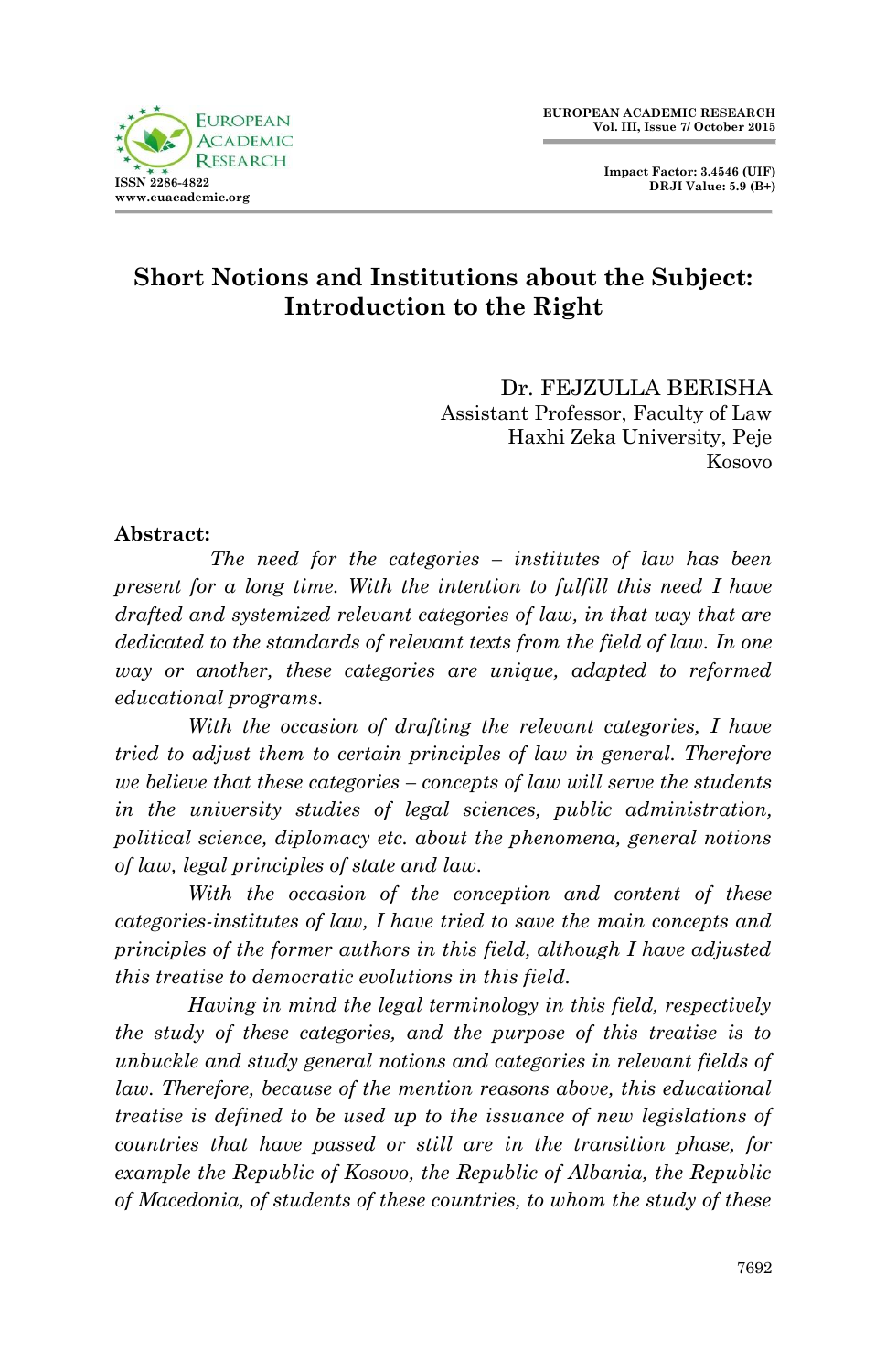

 **Impact Factor: 3.4546 (UIF) DRJI Value: 5.9 (B+)**

# **Short Notions and Institutions about the Subject: Introduction to the Right**

Dr. FEJZULLA BERISHA Assistant Professor, Faculty of Law Haxhi Zeka University, Peje Kosovo

#### **Abstract:**

 *The need for the categories – institutes of law has been present for a long time. With the intention to fulfill this need I have drafted and systemized relevant categories of law, in that way that are dedicated to the standards of relevant texts from the field of law. In one way or another, these categories are unique, adapted to reformed educational programs.*

*With the occasion of drafting the relevant categories, I have tried to adjust them to certain principles of law in general. Therefore we believe that these categories – concepts of law will serve the students in the university studies of legal sciences, public administration, political science, diplomacy etc. about the phenomena, general notions of law, legal principles of state and law.*

*With the occasion of the conception and content of these categories-institutes of law, I have tried to save the main concepts and principles of the former authors in this field, although I have adjusted this treatise to democratic evolutions in this field.*

*Having in mind the legal terminology in this field, respectively the study of these categories, and the purpose of this treatise is to unbuckle and study general notions and categories in relevant fields of law. Therefore, because of the mention reasons above, this educational treatise is defined to be used up to the issuance of new legislations of countries that have passed or still are in the transition phase, for example the Republic of Kosovo, the Republic of Albania, the Republic of Macedonia, of students of these countries, to whom the study of these*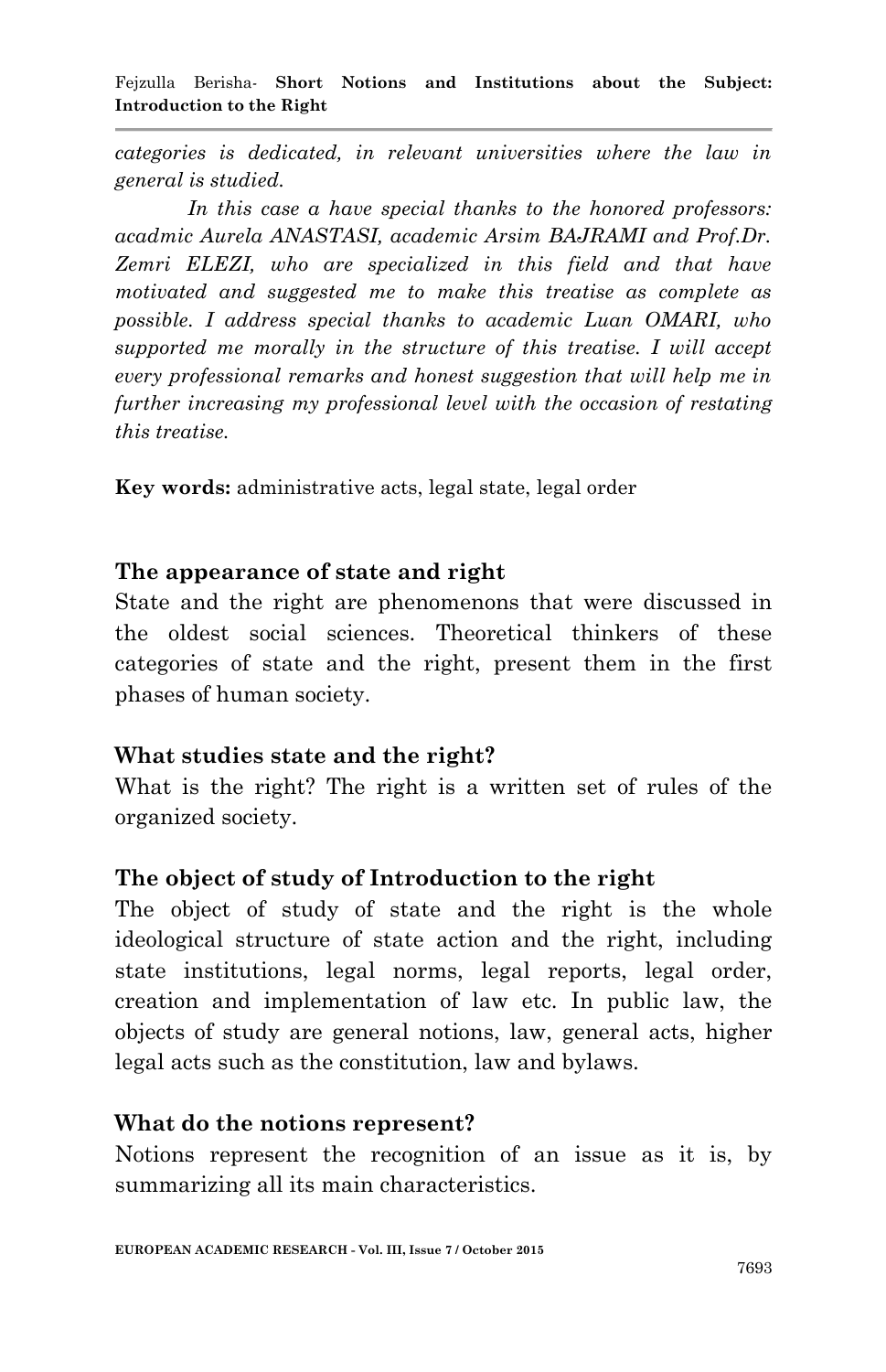*categories is dedicated, in relevant universities where the law in general is studied.*

*In this case a have special thanks to the honored professors: acadmic Aurela ANASTASI, academic Arsim BAJRAMI and Prof.Dr. Zemri ELEZI, who are specialized in this field and that have motivated and suggested me to make this treatise as complete as possible. I address special thanks to academic Luan OMARI, who supported me morally in the structure of this treatise. I will accept every professional remarks and honest suggestion that will help me in further increasing my professional level with the occasion of restating this treatise.*

**Key words:** administrative acts, legal state, legal order

#### **The appearance of state and right**

State and the right are phenomenons that were discussed in the oldest social sciences. Theoretical thinkers of these categories of state and the right, present them in the first phases of human society.

### **What studies state and the right?**

What is the right? The right is a written set of rules of the organized society.

### **The object of study of Introduction to the right**

The object of study of state and the right is the whole ideological structure of state action and the right, including state institutions, legal norms, legal reports, legal order, creation and implementation of law etc. In public law, the objects of study are general notions, law, general acts, higher legal acts such as the constitution, law and bylaws.

#### **What do the notions represent?**

Notions represent the recognition of an issue as it is, by summarizing all its main characteristics.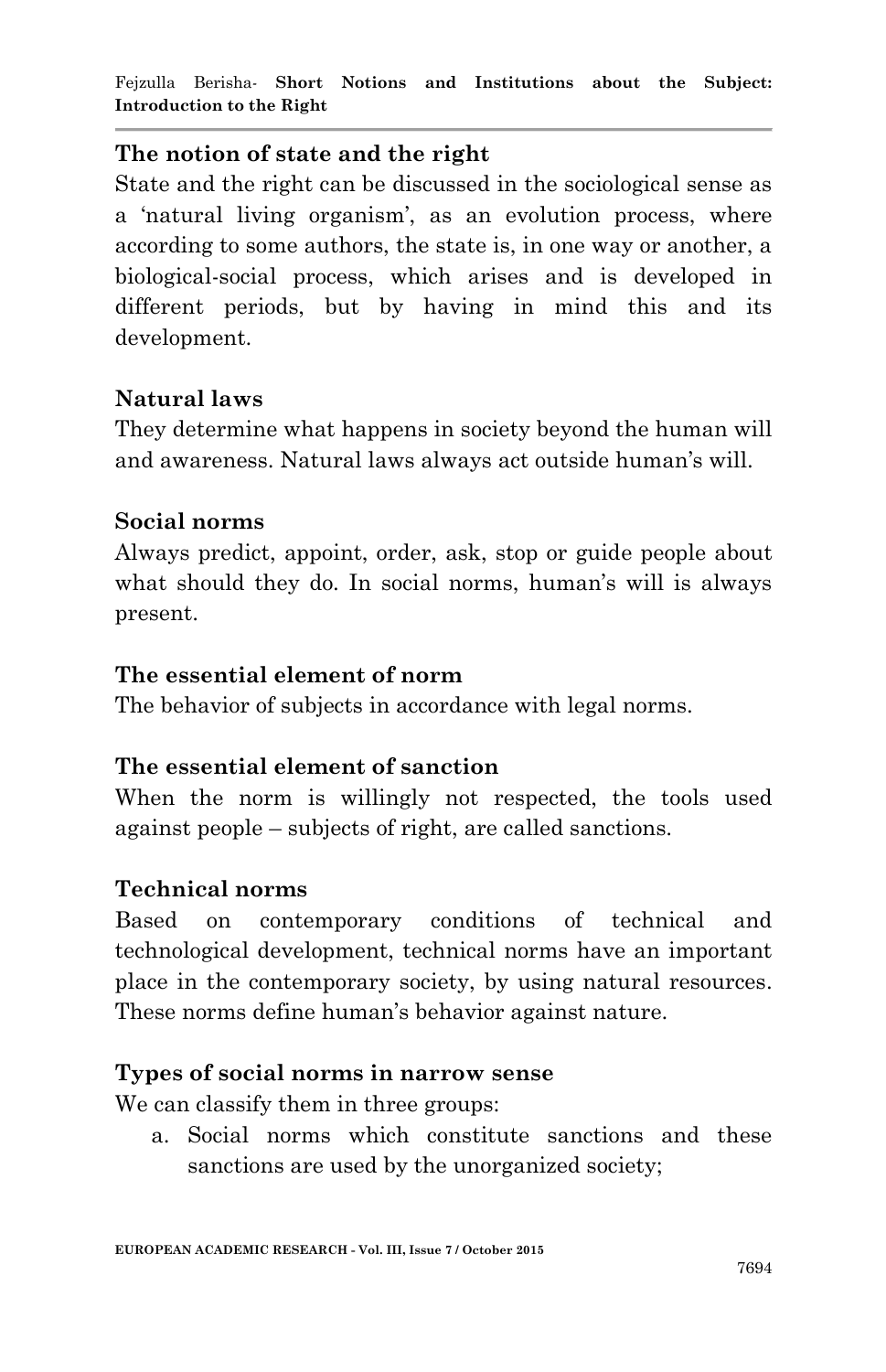Fejzulla Berisha*-* **Short Notions and Institutions about the Subject: Introduction to the Right**

#### **The notion of state and the right**

State and the right can be discussed in the sociological sense as a 'natural living organism', as an evolution process, where according to some authors, the state is, in one way or another, a biological-social process, which arises and is developed in different periods, but by having in mind this and its development.

#### **Natural laws**

They determine what happens in society beyond the human will and awareness. Natural laws always act outside human's will.

#### **Social norms**

Always predict, appoint, order, ask, stop or guide people about what should they do. In social norms, human's will is always present.

#### **The essential element of norm**

The behavior of subjects in accordance with legal norms.

#### **The essential element of sanction**

When the norm is willingly not respected, the tools used against people – subjects of right, are called sanctions.

#### **Technical norms**

Based on contemporary conditions of technical and technological development, technical norms have an important place in the contemporary society, by using natural resources. These norms define human"s behavior against nature.

### **Types of social norms in narrow sense**

We can classify them in three groups:

a. Social norms which constitute sanctions and these sanctions are used by the unorganized society;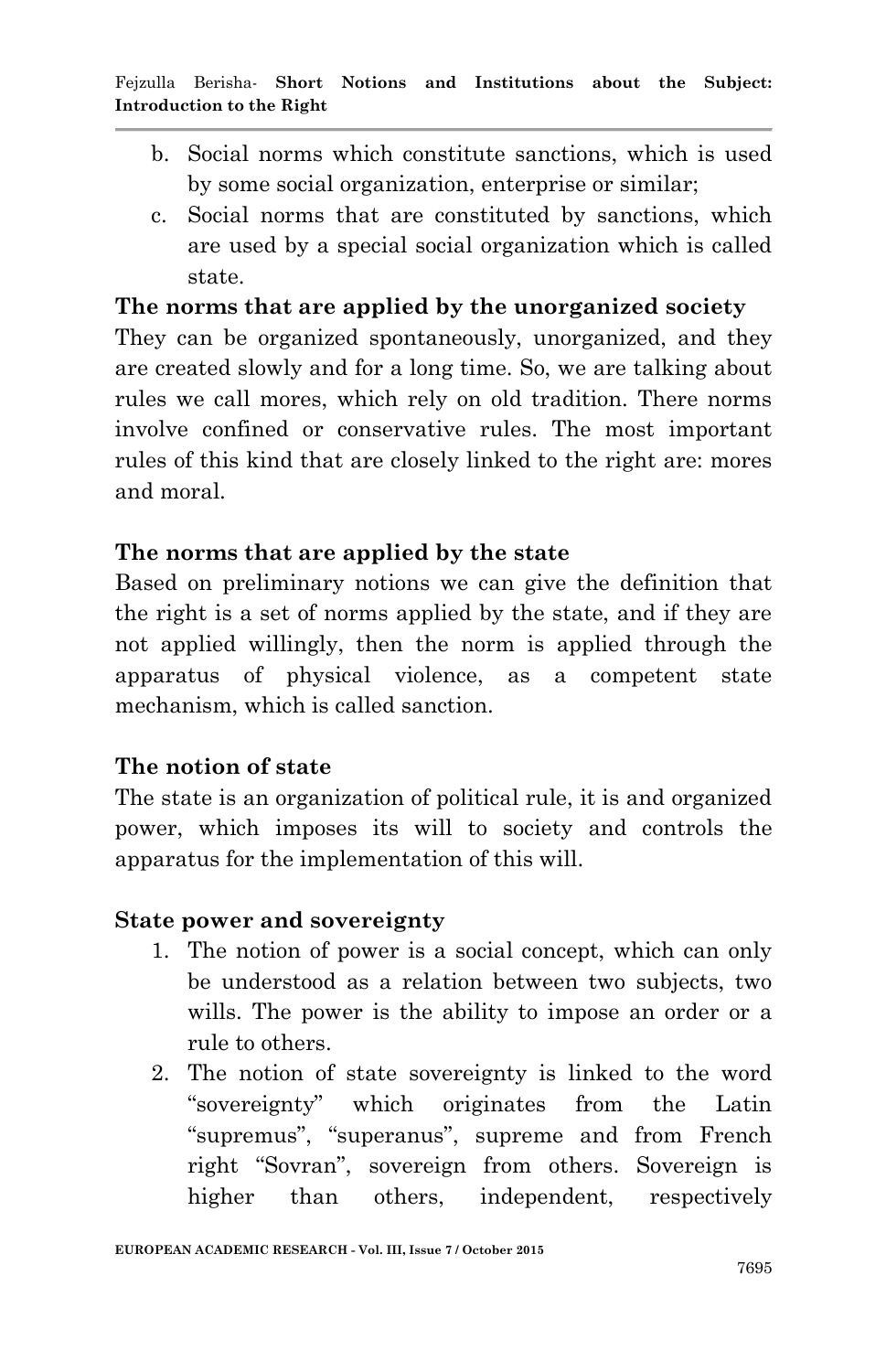- b. Social norms which constitute sanctions, which is used by some social organization, enterprise or similar;
- c. Social norms that are constituted by sanctions, which are used by a special social organization which is called state.

#### **The norms that are applied by the unorganized society**

They can be organized spontaneously, unorganized, and they are created slowly and for a long time. So, we are talking about rules we call mores, which rely on old tradition. There norms involve confined or conservative rules. The most important rules of this kind that are closely linked to the right are: mores and moral.

### **The norms that are applied by the state**

Based on preliminary notions we can give the definition that the right is a set of norms applied by the state, and if they are not applied willingly, then the norm is applied through the apparatus of physical violence, as a competent state mechanism, which is called sanction.

### **The notion of state**

The state is an organization of political rule, it is and organized power, which imposes its will to society and controls the apparatus for the implementation of this will.

#### **State power and sovereignty**

- 1. The notion of power is a social concept, which can only be understood as a relation between two subjects, two wills. The power is the ability to impose an order or a rule to others.
- 2. The notion of state sovereignty is linked to the word "sovereignty" which originates from the Latin "supremus", "superanus", supreme and from French right "Sovran", sovereign from others. Sovereign is higher than others, independent, respectively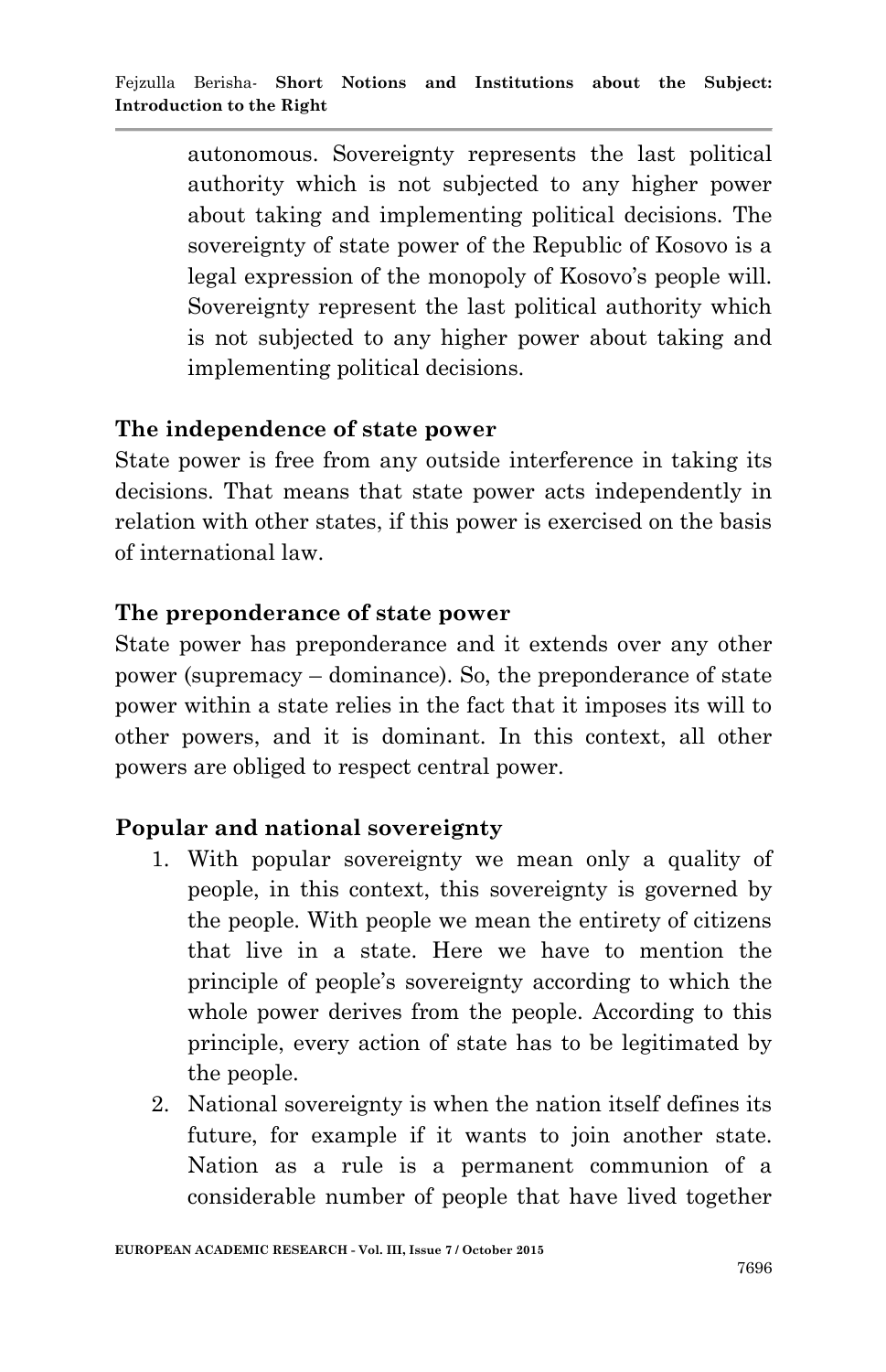autonomous. Sovereignty represents the last political authority which is not subjected to any higher power about taking and implementing political decisions. The sovereignty of state power of the Republic of Kosovo is a legal expression of the monopoly of Kosovo's people will. Sovereignty represent the last political authority which is not subjected to any higher power about taking and implementing political decisions.

### **The independence of state power**

State power is free from any outside interference in taking its decisions. That means that state power acts independently in relation with other states, if this power is exercised on the basis of international law.

## **The preponderance of state power**

State power has preponderance and it extends over any other power (supremacy – dominance). So, the preponderance of state power within a state relies in the fact that it imposes its will to other powers, and it is dominant. In this context, all other powers are obliged to respect central power.

## **Popular and national sovereignty**

- 1. With popular sovereignty we mean only a quality of people, in this context, this sovereignty is governed by the people. With people we mean the entirety of citizens that live in a state. Here we have to mention the principle of people"s sovereignty according to which the whole power derives from the people. According to this principle, every action of state has to be legitimated by the people.
- 2. National sovereignty is when the nation itself defines its future, for example if it wants to join another state. Nation as a rule is a permanent communion of a considerable number of people that have lived together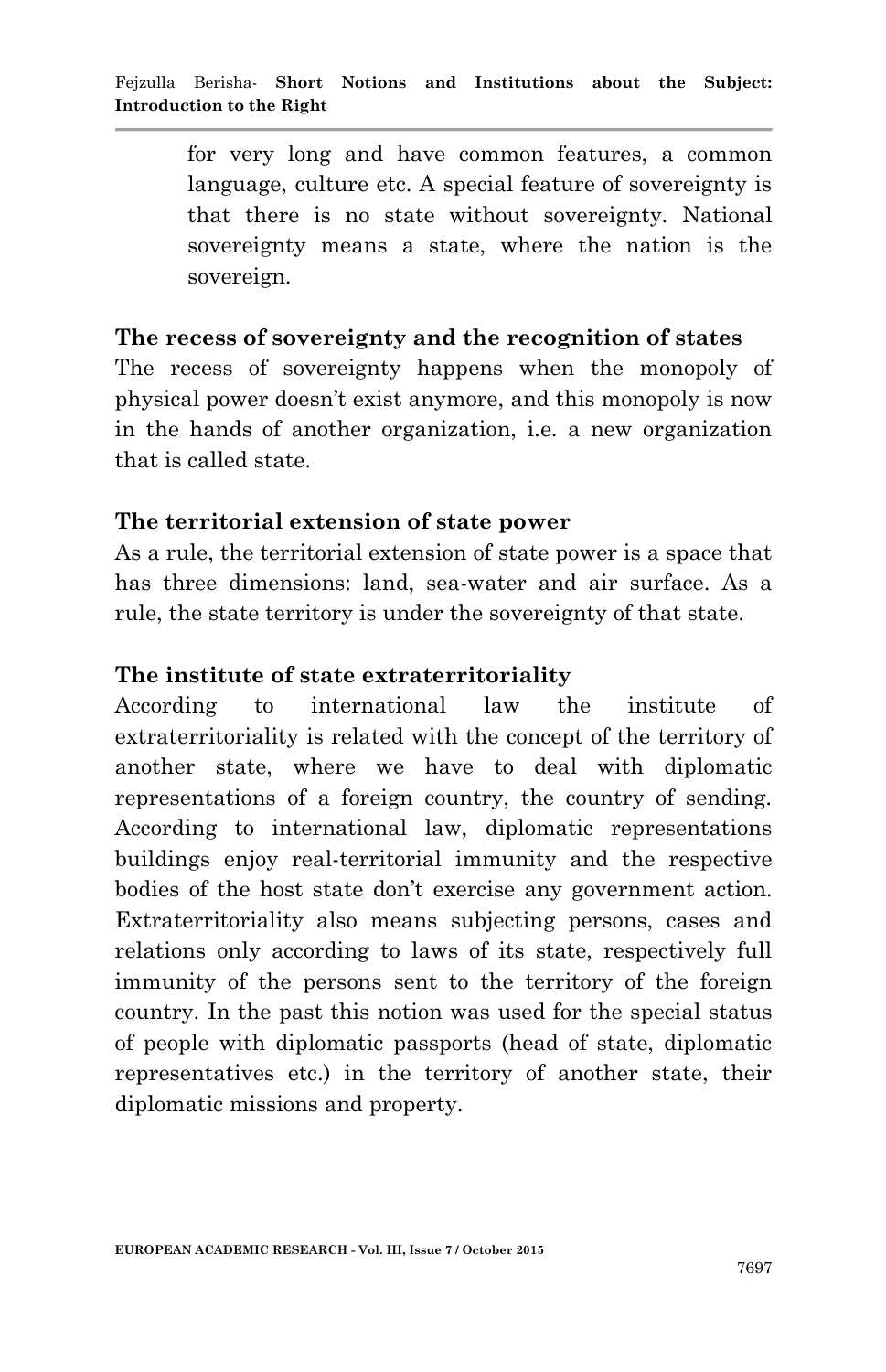for very long and have common features, a common language, culture etc. A special feature of sovereignty is that there is no state without sovereignty. National sovereignty means a state, where the nation is the sovereign.

#### **The recess of sovereignty and the recognition of states**

The recess of sovereignty happens when the monopoly of physical power doesn"t exist anymore, and this monopoly is now in the hands of another organization, i.e. a new organization that is called state.

#### **The territorial extension of state power**

As a rule, the territorial extension of state power is a space that has three dimensions: land, sea-water and air surface. As a rule, the state territory is under the sovereignty of that state.

#### **The institute of state extraterritoriality**

According to international law the institute of extraterritoriality is related with the concept of the territory of another state, where we have to deal with diplomatic representations of a foreign country, the country of sending. According to international law, diplomatic representations buildings enjoy real-territorial immunity and the respective bodies of the host state don"t exercise any government action. Extraterritoriality also means subjecting persons, cases and relations only according to laws of its state, respectively full immunity of the persons sent to the territory of the foreign country. In the past this notion was used for the special status of people with diplomatic passports (head of state, diplomatic representatives etc.) in the territory of another state, their diplomatic missions and property.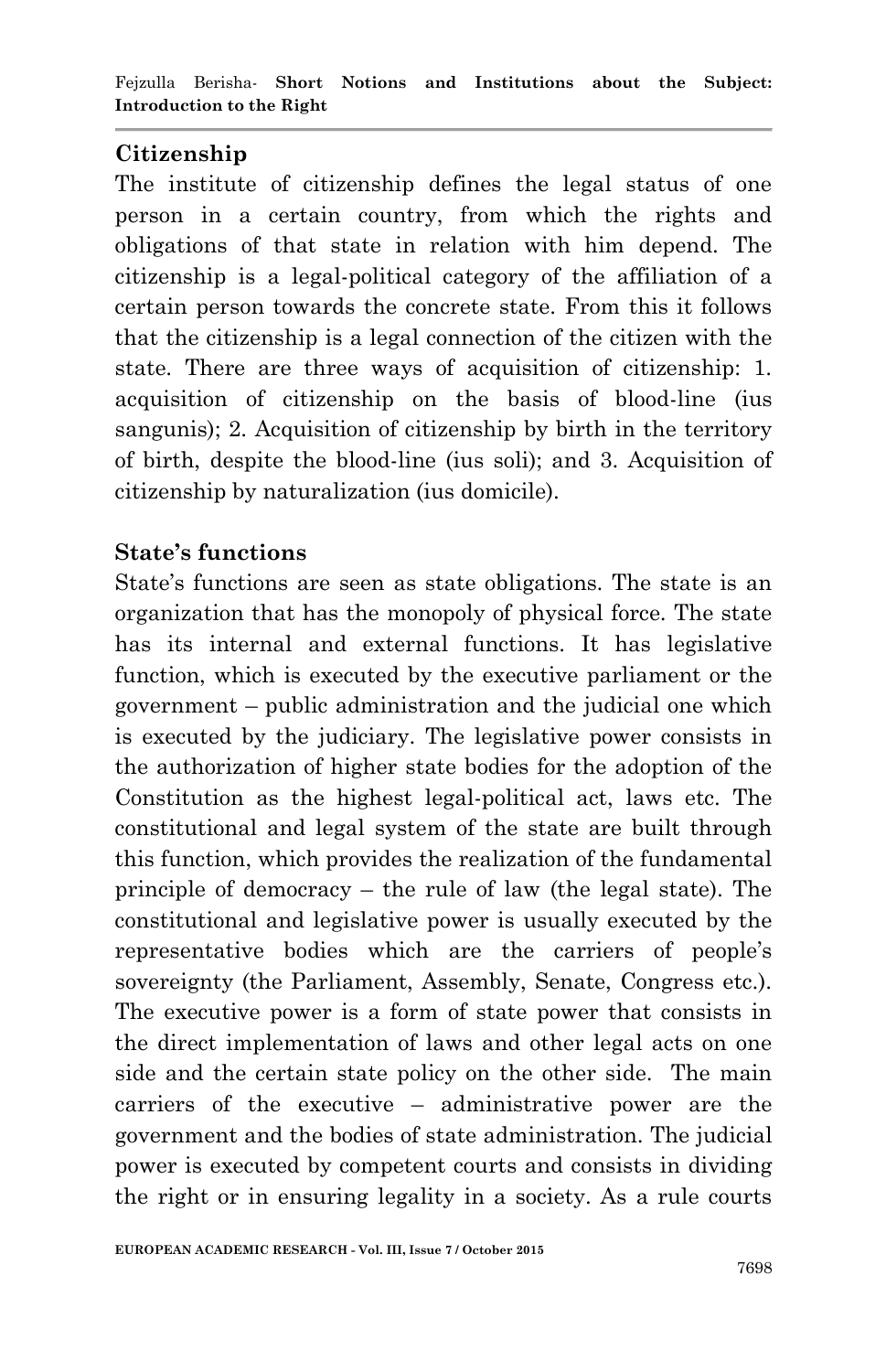## **Citizenship**

The institute of citizenship defines the legal status of one person in a certain country, from which the rights and obligations of that state in relation with him depend. The citizenship is a legal-political category of the affiliation of a certain person towards the concrete state. From this it follows that the citizenship is a legal connection of the citizen with the state. There are three ways of acquisition of citizenship: 1. acquisition of citizenship on the basis of blood-line (ius sangunis); 2. Acquisition of citizenship by birth in the territory of birth, despite the blood-line (ius soli); and 3. Acquisition of citizenship by naturalization (ius domicile).

## **State's functions**

State"s functions are seen as state obligations. The state is an organization that has the monopoly of physical force. The state has its internal and external functions. It has legislative function, which is executed by the executive parliament or the government – public administration and the judicial one which is executed by the judiciary. The legislative power consists in the authorization of higher state bodies for the adoption of the Constitution as the highest legal-political act, laws etc. The constitutional and legal system of the state are built through this function, which provides the realization of the fundamental principle of democracy – the rule of law (the legal state). The constitutional and legislative power is usually executed by the representative bodies which are the carriers of people"s sovereignty (the Parliament, Assembly, Senate, Congress etc.). The executive power is a form of state power that consists in the direct implementation of laws and other legal acts on one side and the certain state policy on the other side. The main carriers of the executive – administrative power are the government and the bodies of state administration. The judicial power is executed by competent courts and consists in dividing the right or in ensuring legality in a society. As a rule courts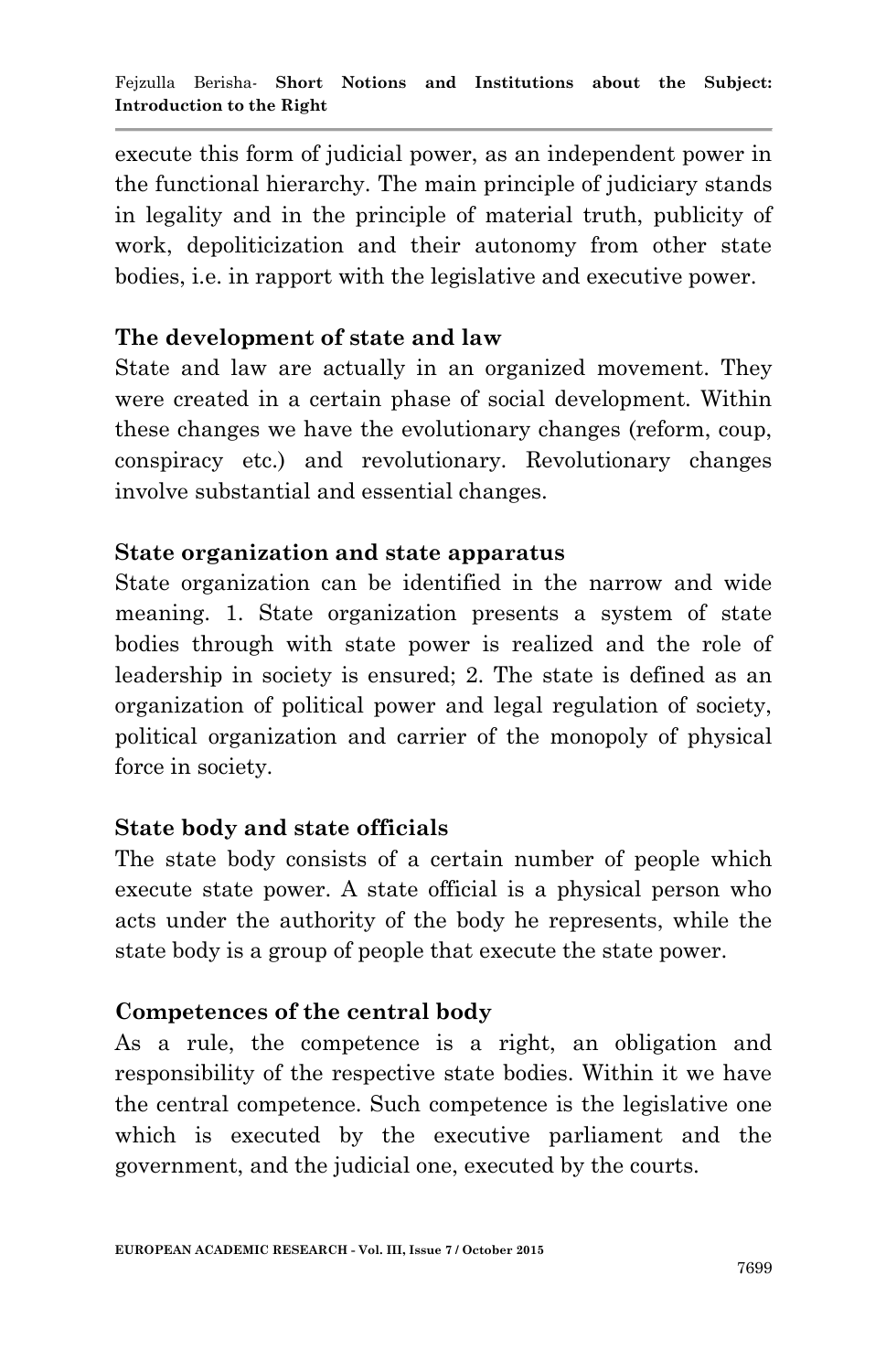execute this form of judicial power, as an independent power in the functional hierarchy. The main principle of judiciary stands in legality and in the principle of material truth, publicity of work, depoliticization and their autonomy from other state bodies, i.e. in rapport with the legislative and executive power.

## **The development of state and law**

State and law are actually in an organized movement. They were created in a certain phase of social development. Within these changes we have the evolutionary changes (reform, coup, conspiracy etc.) and revolutionary. Revolutionary changes involve substantial and essential changes.

## **State organization and state apparatus**

State organization can be identified in the narrow and wide meaning. 1. State organization presents a system of state bodies through with state power is realized and the role of leadership in society is ensured; 2. The state is defined as an organization of political power and legal regulation of society, political organization and carrier of the monopoly of physical force in society.

### **State body and state officials**

The state body consists of a certain number of people which execute state power. A state official is a physical person who acts under the authority of the body he represents, while the state body is a group of people that execute the state power.

## **Competences of the central body**

As a rule, the competence is a right, an obligation and responsibility of the respective state bodies. Within it we have the central competence. Such competence is the legislative one which is executed by the executive parliament and the government, and the judicial one, executed by the courts.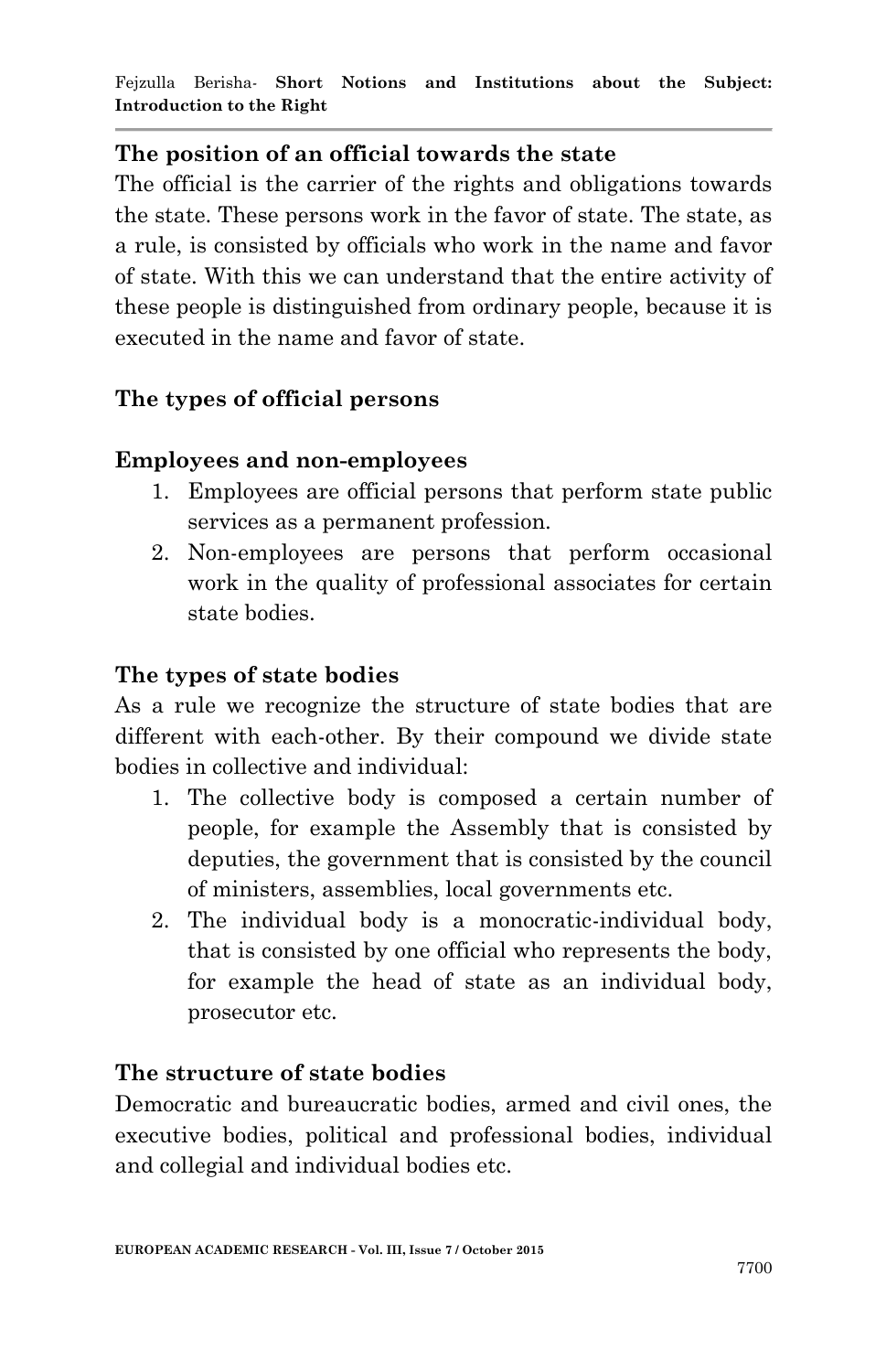## **The position of an official towards the state**

The official is the carrier of the rights and obligations towards the state. These persons work in the favor of state. The state, as a rule, is consisted by officials who work in the name and favor of state. With this we can understand that the entire activity of these people is distinguished from ordinary people, because it is executed in the name and favor of state.

# **The types of official persons**

## **Employees and non-employees**

- 1. Employees are official persons that perform state public services as a permanent profession.
- 2. Non-employees are persons that perform occasional work in the quality of professional associates for certain state bodies.

# **The types of state bodies**

As a rule we recognize the structure of state bodies that are different with each-other. By their compound we divide state bodies in collective and individual:

- 1. The collective body is composed a certain number of people, for example the Assembly that is consisted by deputies, the government that is consisted by the council of ministers, assemblies, local governments etc.
- 2. The individual body is a monocratic-individual body, that is consisted by one official who represents the body, for example the head of state as an individual body, prosecutor etc.

## **The structure of state bodies**

Democratic and bureaucratic bodies, armed and civil ones, the executive bodies, political and professional bodies, individual and collegial and individual bodies etc.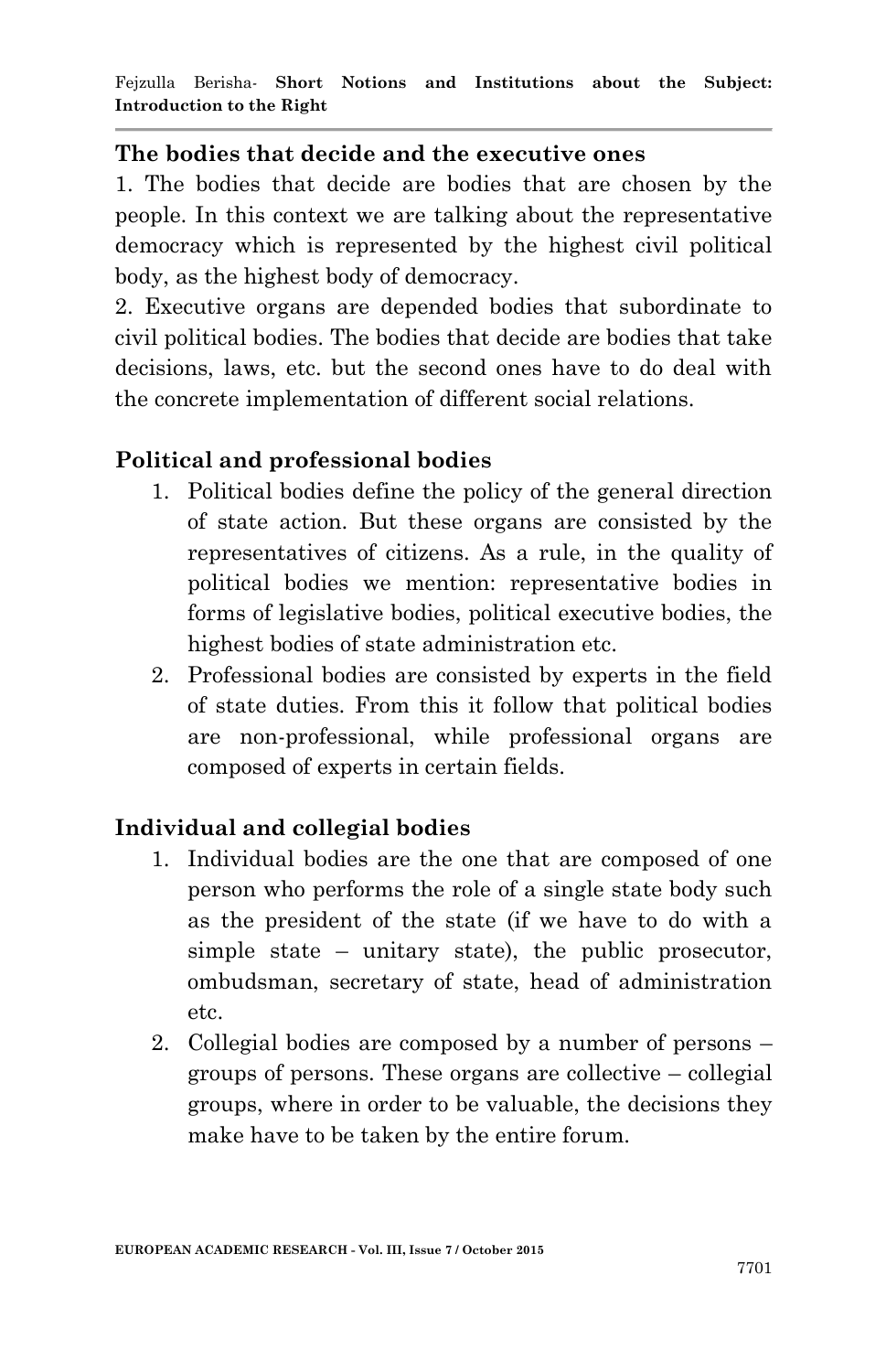#### **The bodies that decide and the executive ones**

1. The bodies that decide are bodies that are chosen by the people. In this context we are talking about the representative democracy which is represented by the highest civil political body, as the highest body of democracy.

2. Executive organs are depended bodies that subordinate to civil political bodies. The bodies that decide are bodies that take decisions, laws, etc. but the second ones have to do deal with the concrete implementation of different social relations.

## **Political and professional bodies**

- 1. Political bodies define the policy of the general direction of state action. But these organs are consisted by the representatives of citizens. As a rule, in the quality of political bodies we mention: representative bodies in forms of legislative bodies, political executive bodies, the highest bodies of state administration etc.
- 2. Professional bodies are consisted by experts in the field of state duties. From this it follow that political bodies are non-professional, while professional organs are composed of experts in certain fields.

## **Individual and collegial bodies**

- 1. Individual bodies are the one that are composed of one person who performs the role of a single state body such as the president of the state (if we have to do with a simple state – unitary state), the public prosecutor, ombudsman, secretary of state, head of administration etc.
- 2. Collegial bodies are composed by a number of persons groups of persons. These organs are collective – collegial groups, where in order to be valuable, the decisions they make have to be taken by the entire forum.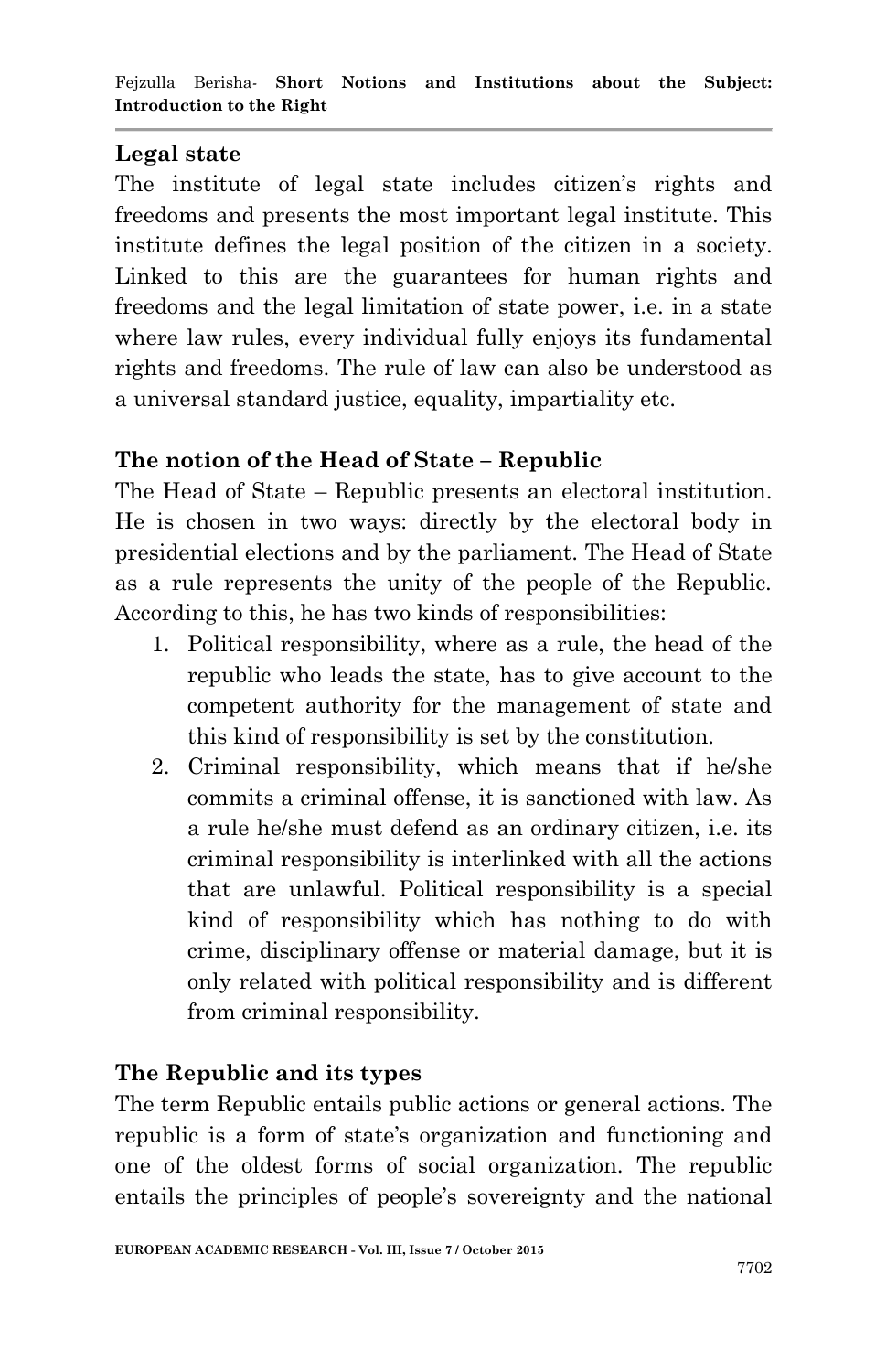# **Legal state**

The institute of legal state includes citizen"s rights and freedoms and presents the most important legal institute. This institute defines the legal position of the citizen in a society. Linked to this are the guarantees for human rights and freedoms and the legal limitation of state power, i.e. in a state where law rules, every individual fully enjoys its fundamental rights and freedoms. The rule of law can also be understood as a universal standard justice, equality, impartiality etc.

# **The notion of the Head of State – Republic**

The Head of State – Republic presents an electoral institution. He is chosen in two ways: directly by the electoral body in presidential elections and by the parliament. The Head of State as a rule represents the unity of the people of the Republic. According to this, he has two kinds of responsibilities:

- 1. Political responsibility, where as a rule, the head of the republic who leads the state, has to give account to the competent authority for the management of state and this kind of responsibility is set by the constitution.
- 2. Criminal responsibility, which means that if he/she commits a criminal offense, it is sanctioned with law. As a rule he/she must defend as an ordinary citizen, i.e. its criminal responsibility is interlinked with all the actions that are unlawful. Political responsibility is a special kind of responsibility which has nothing to do with crime, disciplinary offense or material damage, but it is only related with political responsibility and is different from criminal responsibility.

# **The Republic and its types**

The term Republic entails public actions or general actions. The republic is a form of state's organization and functioning and one of the oldest forms of social organization. The republic entails the principles of people's sovereignty and the national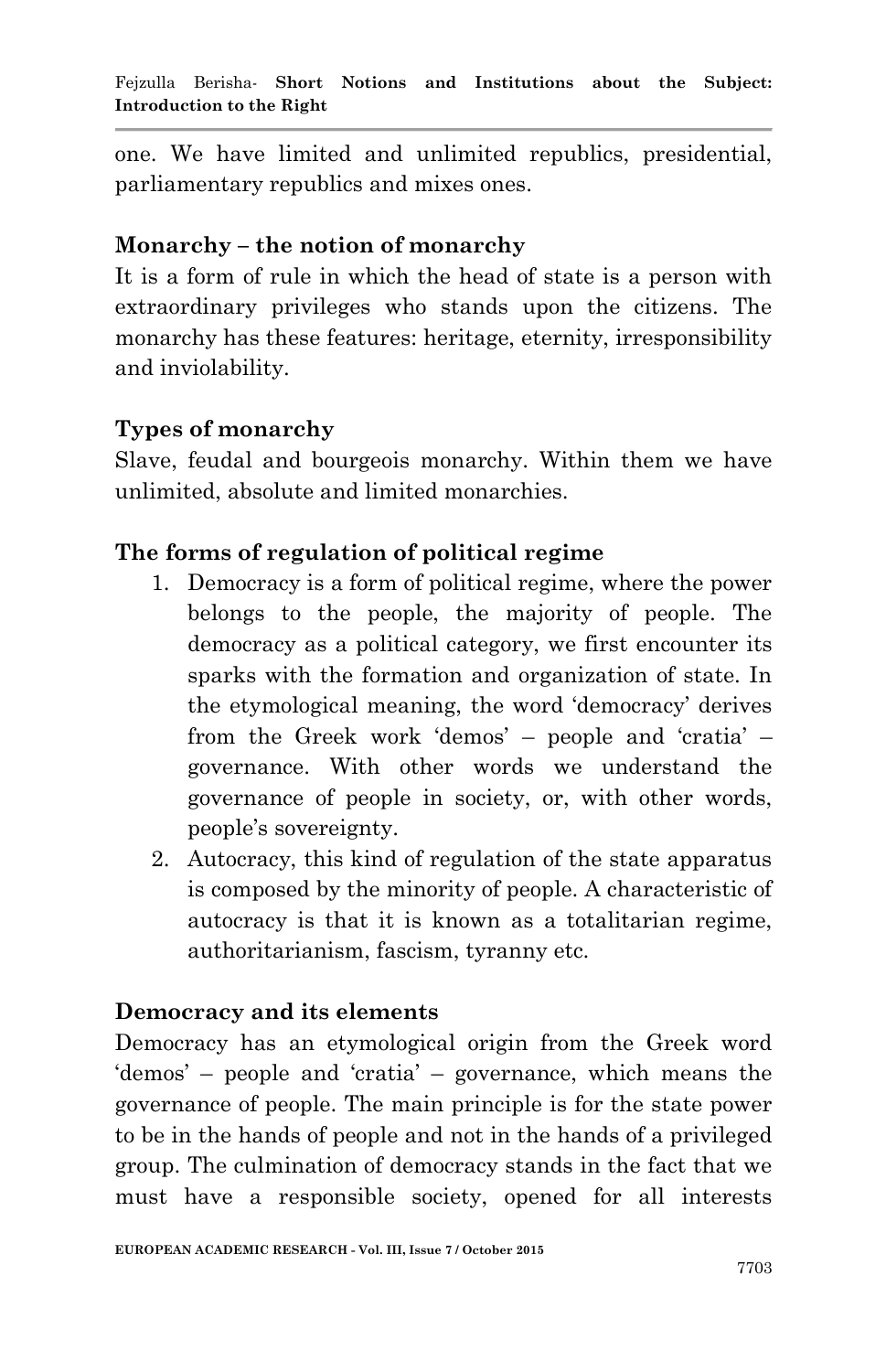one. We have limited and unlimited republics, presidential, parliamentary republics and mixes ones.

### **Monarchy – the notion of monarchy**

It is a form of rule in which the head of state is a person with extraordinary privileges who stands upon the citizens. The monarchy has these features: heritage, eternity, irresponsibility and inviolability.

### **Types of monarchy**

Slave, feudal and bourgeois monarchy. Within them we have unlimited, absolute and limited monarchies.

## **The forms of regulation of political regime**

- 1. Democracy is a form of political regime, where the power belongs to the people, the majority of people. The democracy as a political category, we first encounter its sparks with the formation and organization of state. In the etymological meaning, the word "democracy" derives from the Greek work "demos" – people and "cratia" – governance. With other words we understand the governance of people in society, or, with other words, people"s sovereignty.
- 2. Autocracy, this kind of regulation of the state apparatus is composed by the minority of people. A characteristic of autocracy is that it is known as a totalitarian regime, authoritarianism, fascism, tyranny etc.

## **Democracy and its elements**

Democracy has an etymological origin from the Greek word "demos" – people and "cratia" – governance, which means the governance of people. The main principle is for the state power to be in the hands of people and not in the hands of a privileged group. The culmination of democracy stands in the fact that we must have a responsible society, opened for all interests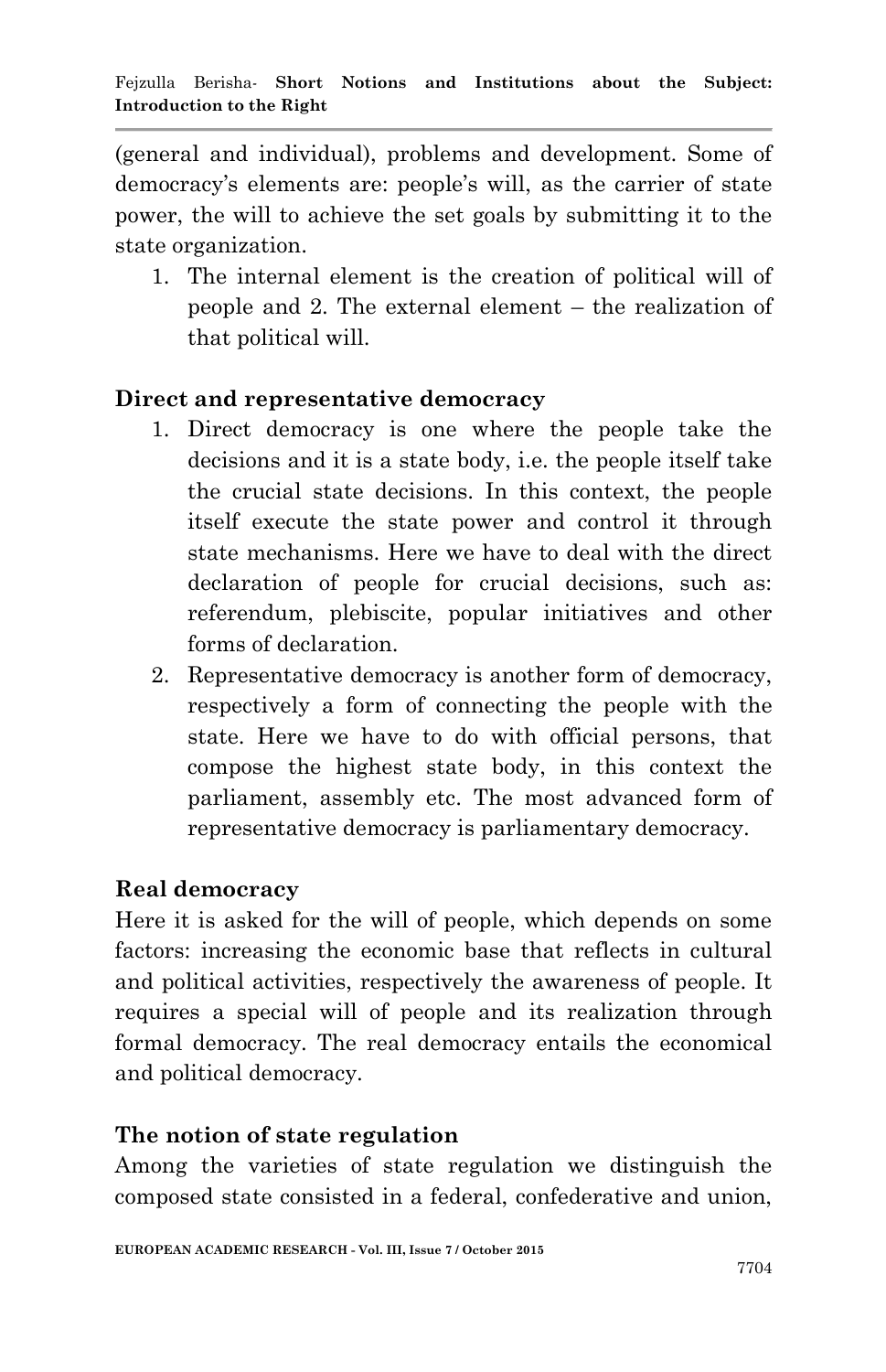(general and individual), problems and development. Some of democracy's elements are: people's will, as the carrier of state power, the will to achieve the set goals by submitting it to the state organization.

1. The internal element is the creation of political will of people and 2. The external element – the realization of that political will.

## **Direct and representative democracy**

- 1. Direct democracy is one where the people take the decisions and it is a state body, i.e. the people itself take the crucial state decisions. In this context, the people itself execute the state power and control it through state mechanisms. Here we have to deal with the direct declaration of people for crucial decisions, such as: referendum, plebiscite, popular initiatives and other forms of declaration.
- 2. Representative democracy is another form of democracy, respectively a form of connecting the people with the state. Here we have to do with official persons, that compose the highest state body, in this context the parliament, assembly etc. The most advanced form of representative democracy is parliamentary democracy.

### **Real democracy**

Here it is asked for the will of people, which depends on some factors: increasing the economic base that reflects in cultural and political activities, respectively the awareness of people. It requires a special will of people and its realization through formal democracy. The real democracy entails the economical and political democracy.

## **The notion of state regulation**

Among the varieties of state regulation we distinguish the composed state consisted in a federal, confederative and union,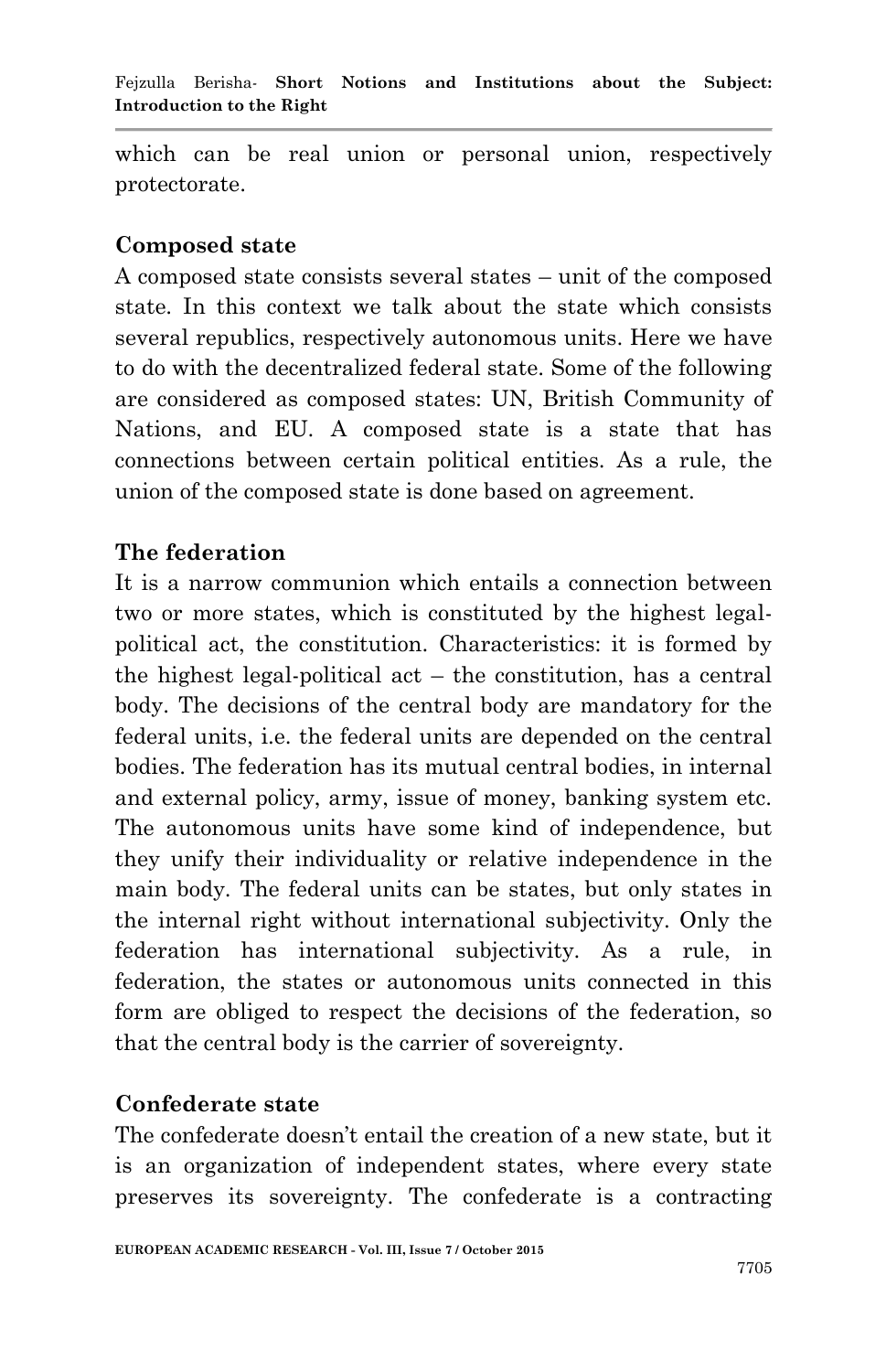which can be real union or personal union, respectively protectorate.

### **Composed state**

A composed state consists several states – unit of the composed state. In this context we talk about the state which consists several republics, respectively autonomous units. Here we have to do with the decentralized federal state. Some of the following are considered as composed states: UN, British Community of Nations, and EU. A composed state is a state that has connections between certain political entities. As a rule, the union of the composed state is done based on agreement.

### **The federation**

It is a narrow communion which entails a connection between two or more states, which is constituted by the highest legalpolitical act, the constitution. Characteristics: it is formed by the highest legal-political act – the constitution, has a central body. The decisions of the central body are mandatory for the federal units, i.e. the federal units are depended on the central bodies. The federation has its mutual central bodies, in internal and external policy, army, issue of money, banking system etc. The autonomous units have some kind of independence, but they unify their individuality or relative independence in the main body. The federal units can be states, but only states in the internal right without international subjectivity. Only the federation has international subjectivity. As a rule, in federation, the states or autonomous units connected in this form are obliged to respect the decisions of the federation, so that the central body is the carrier of sovereignty.

### **Confederate state**

The confederate doesn"t entail the creation of a new state, but it is an organization of independent states, where every state preserves its sovereignty. The confederate is a contracting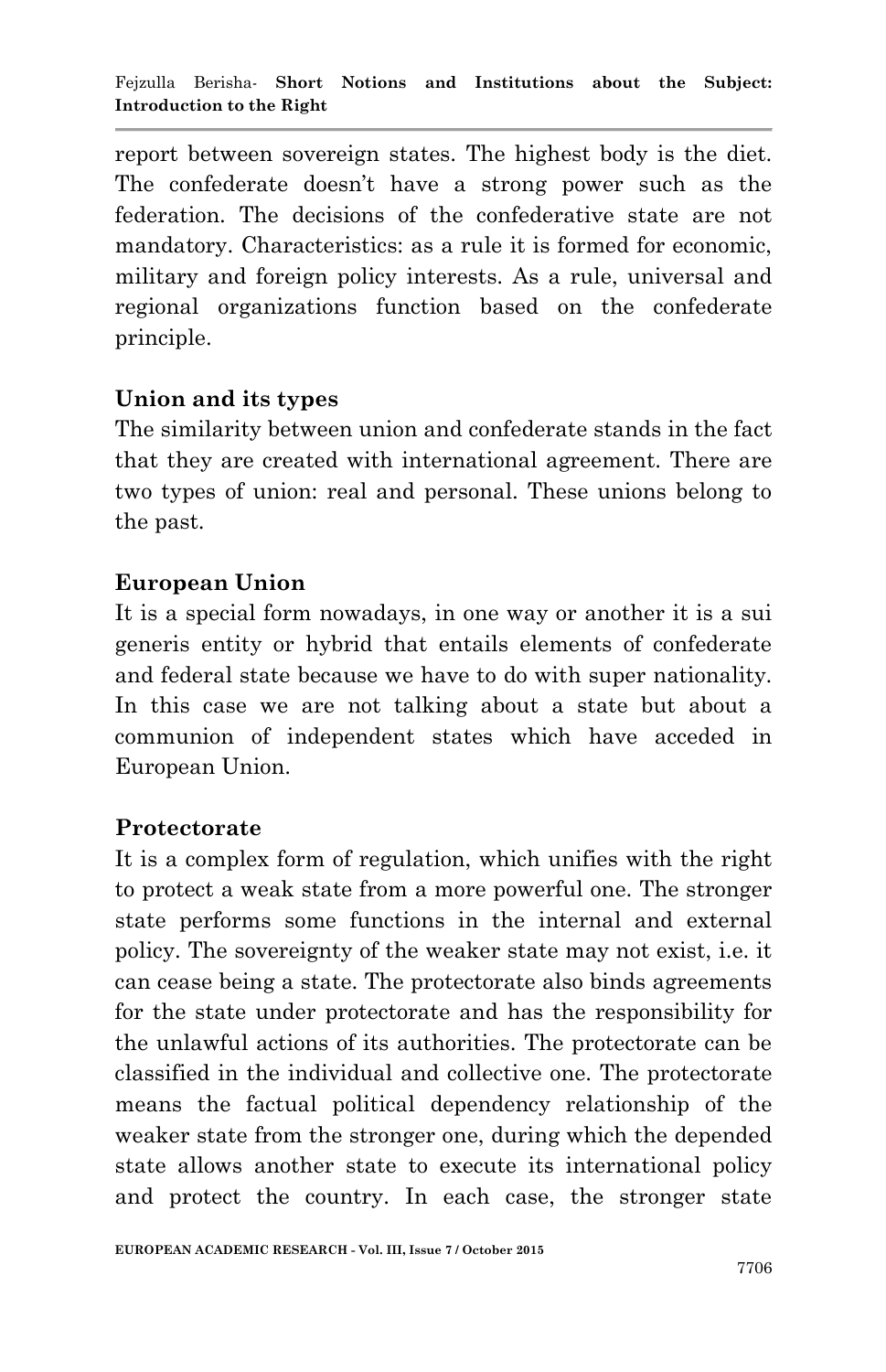report between sovereign states. The highest body is the diet. The confederate doesn't have a strong power such as the federation. The decisions of the confederative state are not mandatory. Characteristics: as a rule it is formed for economic, military and foreign policy interests. As a rule, universal and regional organizations function based on the confederate principle.

## **Union and its types**

The similarity between union and confederate stands in the fact that they are created with international agreement. There are two types of union: real and personal. These unions belong to the past.

## **European Union**

It is a special form nowadays, in one way or another it is a sui generis entity or hybrid that entails elements of confederate and federal state because we have to do with super nationality. In this case we are not talking about a state but about a communion of independent states which have acceded in European Union.

### **Protectorate**

It is a complex form of regulation, which unifies with the right to protect a weak state from a more powerful one. The stronger state performs some functions in the internal and external policy. The sovereignty of the weaker state may not exist, i.e. it can cease being a state. The protectorate also binds agreements for the state under protectorate and has the responsibility for the unlawful actions of its authorities. The protectorate can be classified in the individual and collective one. The protectorate means the factual political dependency relationship of the weaker state from the stronger one, during which the depended state allows another state to execute its international policy and protect the country. In each case, the stronger state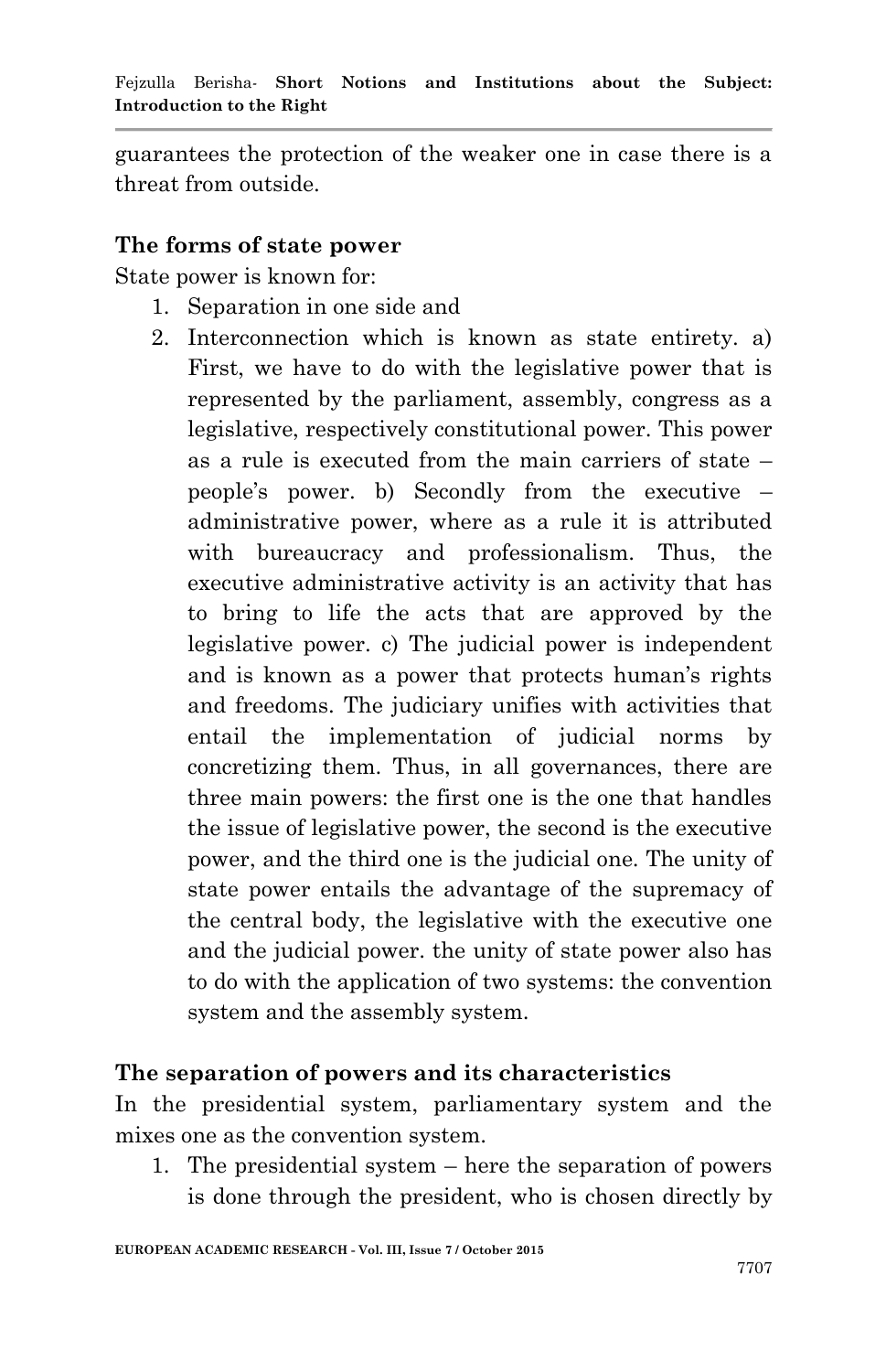guarantees the protection of the weaker one in case there is a threat from outside.

#### **The forms of state power**

State power is known for:

- 1. Separation in one side and
- 2. Interconnection which is known as state entirety. a) First, we have to do with the legislative power that is represented by the parliament, assembly, congress as a legislative, respectively constitutional power. This power as a rule is executed from the main carriers of state – people"s power. b) Secondly from the executive – administrative power, where as a rule it is attributed with bureaucracy and professionalism. Thus, the executive administrative activity is an activity that has to bring to life the acts that are approved by the legislative power. c) The judicial power is independent and is known as a power that protects human's rights and freedoms. The judiciary unifies with activities that entail the implementation of judicial norms by concretizing them. Thus, in all governances, there are three main powers: the first one is the one that handles the issue of legislative power, the second is the executive power, and the third one is the judicial one. The unity of state power entails the advantage of the supremacy of the central body, the legislative with the executive one and the judicial power. the unity of state power also has to do with the application of two systems: the convention system and the assembly system.

### **The separation of powers and its characteristics**

In the presidential system, parliamentary system and the mixes one as the convention system.

1. The presidential system – here the separation of powers is done through the president, who is chosen directly by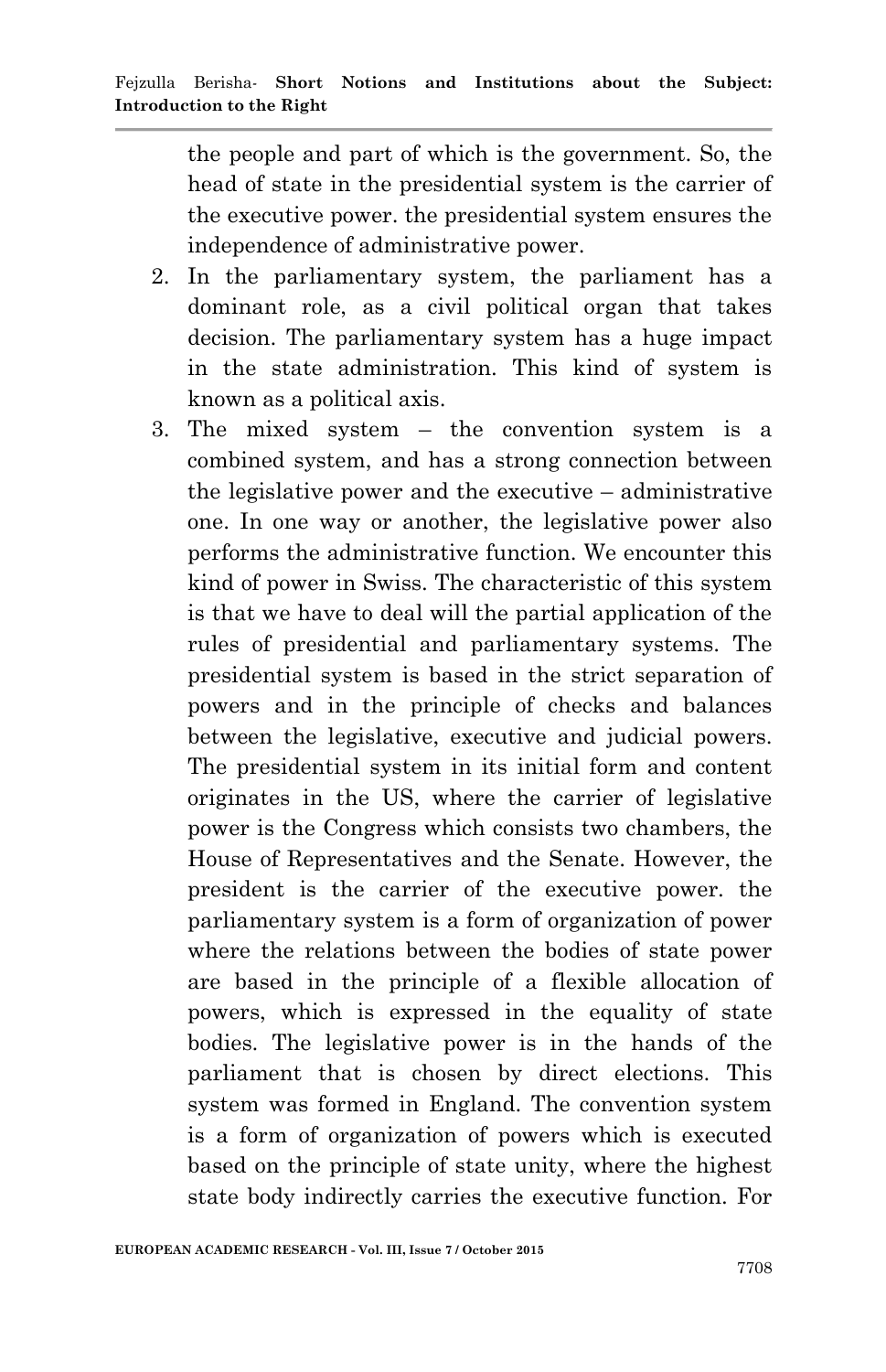the people and part of which is the government. So, the head of state in the presidential system is the carrier of the executive power. the presidential system ensures the independence of administrative power.

- 2. In the parliamentary system, the parliament has a dominant role, as a civil political organ that takes decision. The parliamentary system has a huge impact in the state administration. This kind of system is known as a political axis.
- 3. The mixed system the convention system is a combined system, and has a strong connection between the legislative power and the executive – administrative one. In one way or another, the legislative power also performs the administrative function. We encounter this kind of power in Swiss. The characteristic of this system is that we have to deal will the partial application of the rules of presidential and parliamentary systems. The presidential system is based in the strict separation of powers and in the principle of checks and balances between the legislative, executive and judicial powers. The presidential system in its initial form and content originates in the US, where the carrier of legislative power is the Congress which consists two chambers, the House of Representatives and the Senate. However, the president is the carrier of the executive power. the parliamentary system is a form of organization of power where the relations between the bodies of state power are based in the principle of a flexible allocation of powers, which is expressed in the equality of state bodies. The legislative power is in the hands of the parliament that is chosen by direct elections. This system was formed in England. The convention system is a form of organization of powers which is executed based on the principle of state unity, where the highest state body indirectly carries the executive function. For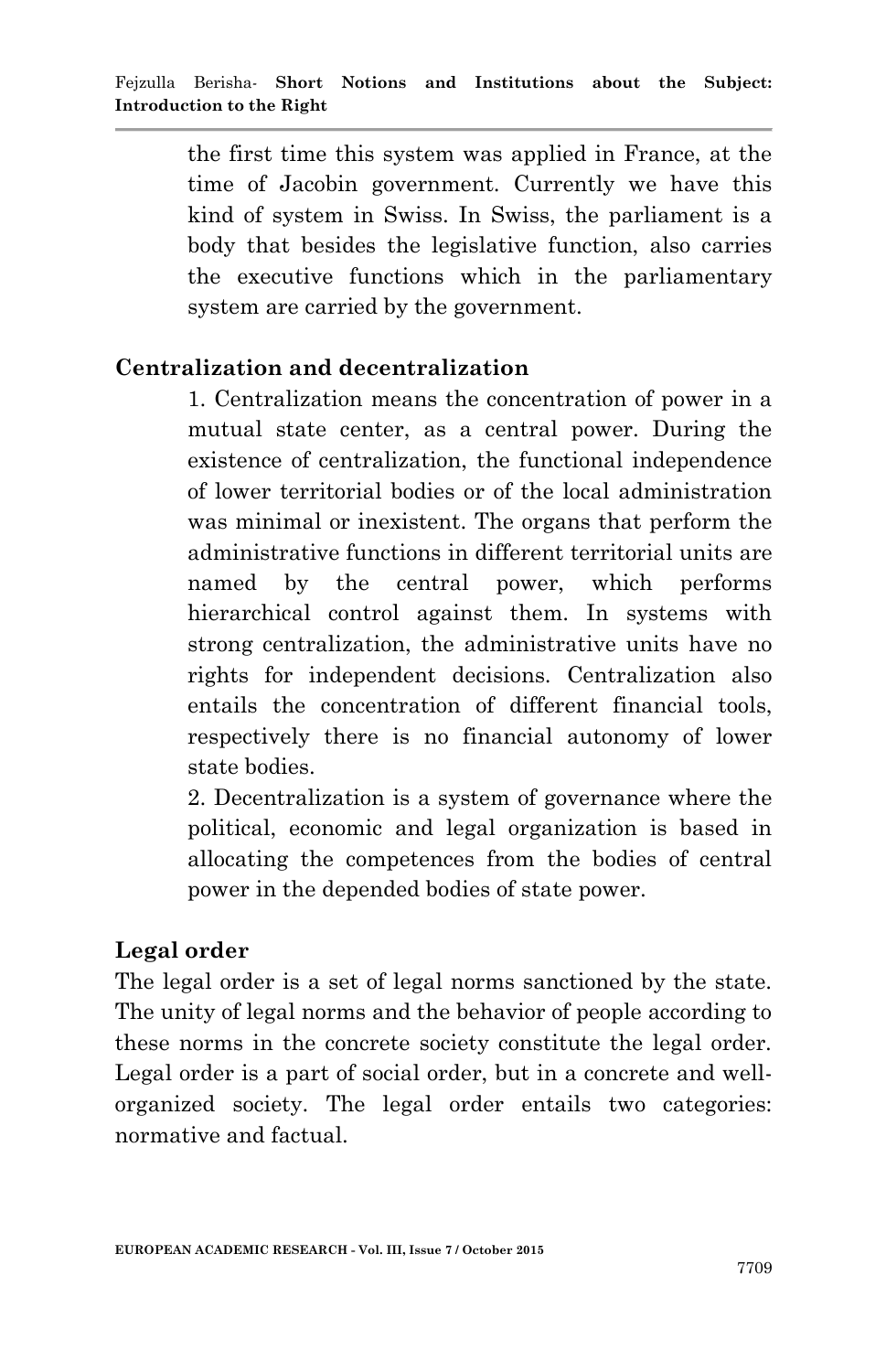the first time this system was applied in France, at the time of Jacobin government. Currently we have this kind of system in Swiss. In Swiss, the parliament is a body that besides the legislative function, also carries the executive functions which in the parliamentary system are carried by the government.

### **Centralization and decentralization**

1. Centralization means the concentration of power in a mutual state center, as a central power. During the existence of centralization, the functional independence of lower territorial bodies or of the local administration was minimal or inexistent. The organs that perform the administrative functions in different territorial units are named by the central power, which performs hierarchical control against them. In systems with strong centralization, the administrative units have no rights for independent decisions. Centralization also entails the concentration of different financial tools, respectively there is no financial autonomy of lower state bodies.

2. Decentralization is a system of governance where the political, economic and legal organization is based in allocating the competences from the bodies of central power in the depended bodies of state power.

#### **Legal order**

The legal order is a set of legal norms sanctioned by the state. The unity of legal norms and the behavior of people according to these norms in the concrete society constitute the legal order. Legal order is a part of social order, but in a concrete and wellorganized society. The legal order entails two categories: normative and factual.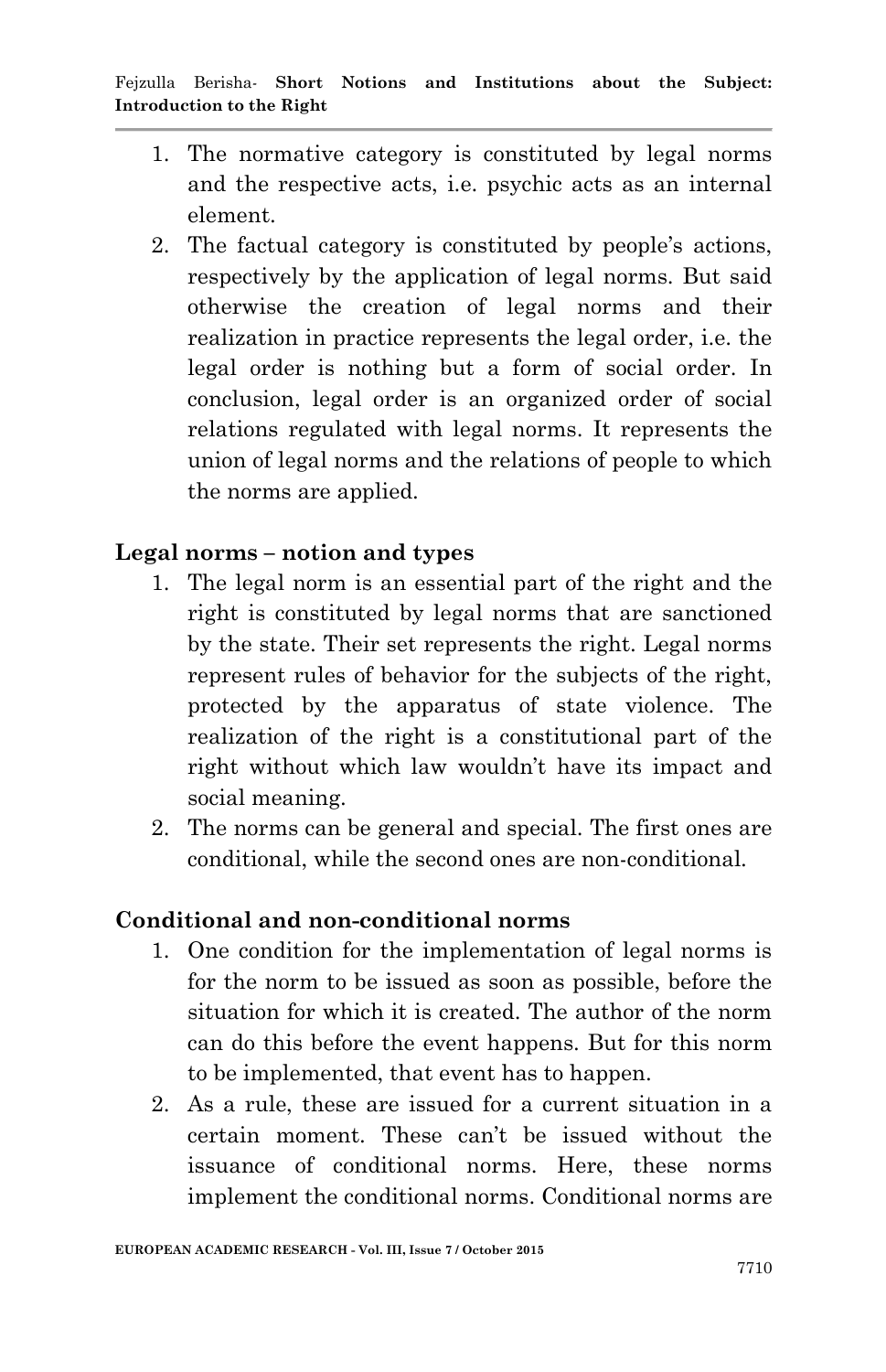- 1. The normative category is constituted by legal norms and the respective acts, i.e. psychic acts as an internal element.
- 2. The factual category is constituted by people's actions, respectively by the application of legal norms. But said otherwise the creation of legal norms and their realization in practice represents the legal order, i.e. the legal order is nothing but a form of social order. In conclusion, legal order is an organized order of social relations regulated with legal norms. It represents the union of legal norms and the relations of people to which the norms are applied.

## **Legal norms – notion and types**

- 1. The legal norm is an essential part of the right and the right is constituted by legal norms that are sanctioned by the state. Their set represents the right. Legal norms represent rules of behavior for the subjects of the right, protected by the apparatus of state violence. The realization of the right is a constitutional part of the right without which law wouldn"t have its impact and social meaning.
- 2. The norms can be general and special. The first ones are conditional, while the second ones are non-conditional.

### **Conditional and non-conditional norms**

- 1. One condition for the implementation of legal norms is for the norm to be issued as soon as possible, before the situation for which it is created. The author of the norm can do this before the event happens. But for this norm to be implemented, that event has to happen.
- 2. As a rule, these are issued for a current situation in a certain moment. These can"t be issued without the issuance of conditional norms. Here, these norms implement the conditional norms. Conditional norms are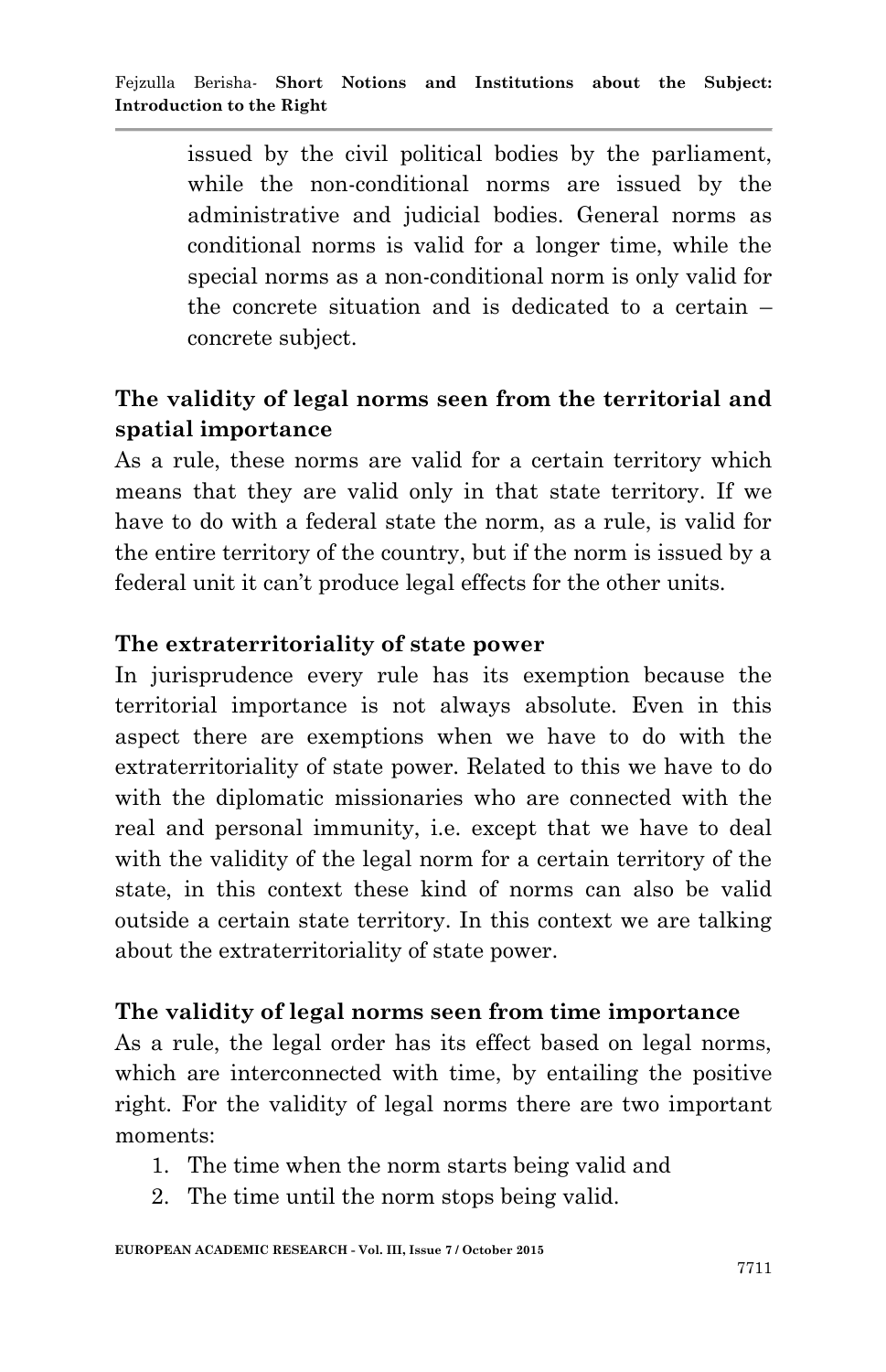issued by the civil political bodies by the parliament, while the non-conditional norms are issued by the administrative and judicial bodies. General norms as conditional norms is valid for a longer time, while the special norms as a non-conditional norm is only valid for the concrete situation and is dedicated to a certain – concrete subject.

# **The validity of legal norms seen from the territorial and spatial importance**

As a rule, these norms are valid for a certain territory which means that they are valid only in that state territory. If we have to do with a federal state the norm, as a rule, is valid for the entire territory of the country, but if the norm is issued by a federal unit it can"t produce legal effects for the other units.

## **The extraterritoriality of state power**

In jurisprudence every rule has its exemption because the territorial importance is not always absolute. Even in this aspect there are exemptions when we have to do with the extraterritoriality of state power. Related to this we have to do with the diplomatic missionaries who are connected with the real and personal immunity, i.e. except that we have to deal with the validity of the legal norm for a certain territory of the state, in this context these kind of norms can also be valid outside a certain state territory. In this context we are talking about the extraterritoriality of state power.

### **The validity of legal norms seen from time importance**

As a rule, the legal order has its effect based on legal norms, which are interconnected with time, by entailing the positive right. For the validity of legal norms there are two important moments:

- 1. The time when the norm starts being valid and
- 2. The time until the norm stops being valid.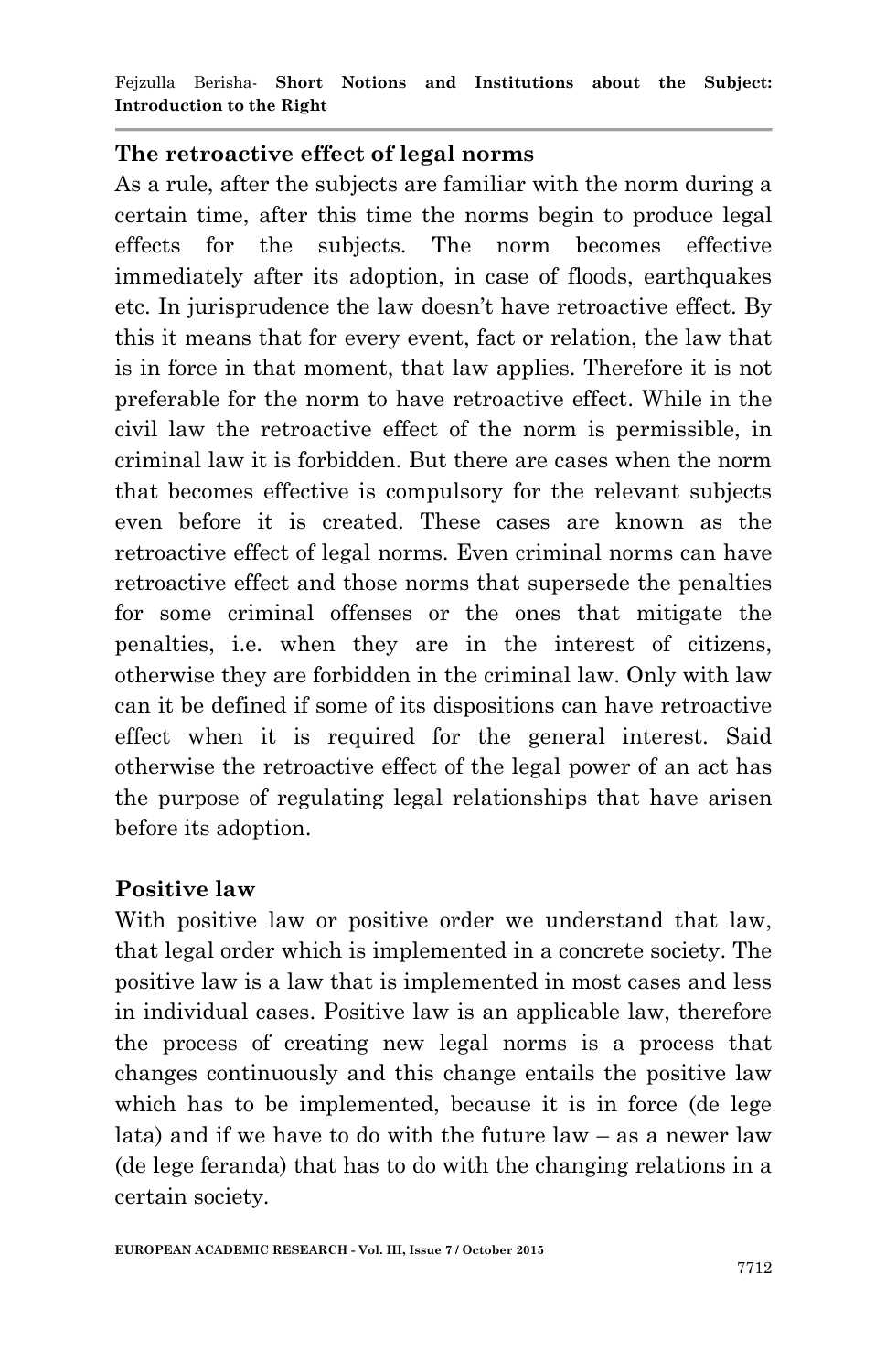Fejzulla Berisha*-* **Short Notions and Institutions about the Subject: Introduction to the Right**

#### **The retroactive effect of legal norms**

As a rule, after the subjects are familiar with the norm during a certain time, after this time the norms begin to produce legal effects for the subjects. The norm becomes effective immediately after its adoption, in case of floods, earthquakes etc. In jurisprudence the law doesn"t have retroactive effect. By this it means that for every event, fact or relation, the law that is in force in that moment, that law applies. Therefore it is not preferable for the norm to have retroactive effect. While in the civil law the retroactive effect of the norm is permissible, in criminal law it is forbidden. But there are cases when the norm that becomes effective is compulsory for the relevant subjects even before it is created. These cases are known as the retroactive effect of legal norms. Even criminal norms can have retroactive effect and those norms that supersede the penalties for some criminal offenses or the ones that mitigate the penalties, i.e. when they are in the interest of citizens, otherwise they are forbidden in the criminal law. Only with law can it be defined if some of its dispositions can have retroactive effect when it is required for the general interest. Said otherwise the retroactive effect of the legal power of an act has the purpose of regulating legal relationships that have arisen before its adoption.

#### **Positive law**

With positive law or positive order we understand that law, that legal order which is implemented in a concrete society. The positive law is a law that is implemented in most cases and less in individual cases. Positive law is an applicable law, therefore the process of creating new legal norms is a process that changes continuously and this change entails the positive law which has to be implemented, because it is in force (de lege lata) and if we have to do with the future law – as a newer law (de lege feranda) that has to do with the changing relations in a certain society.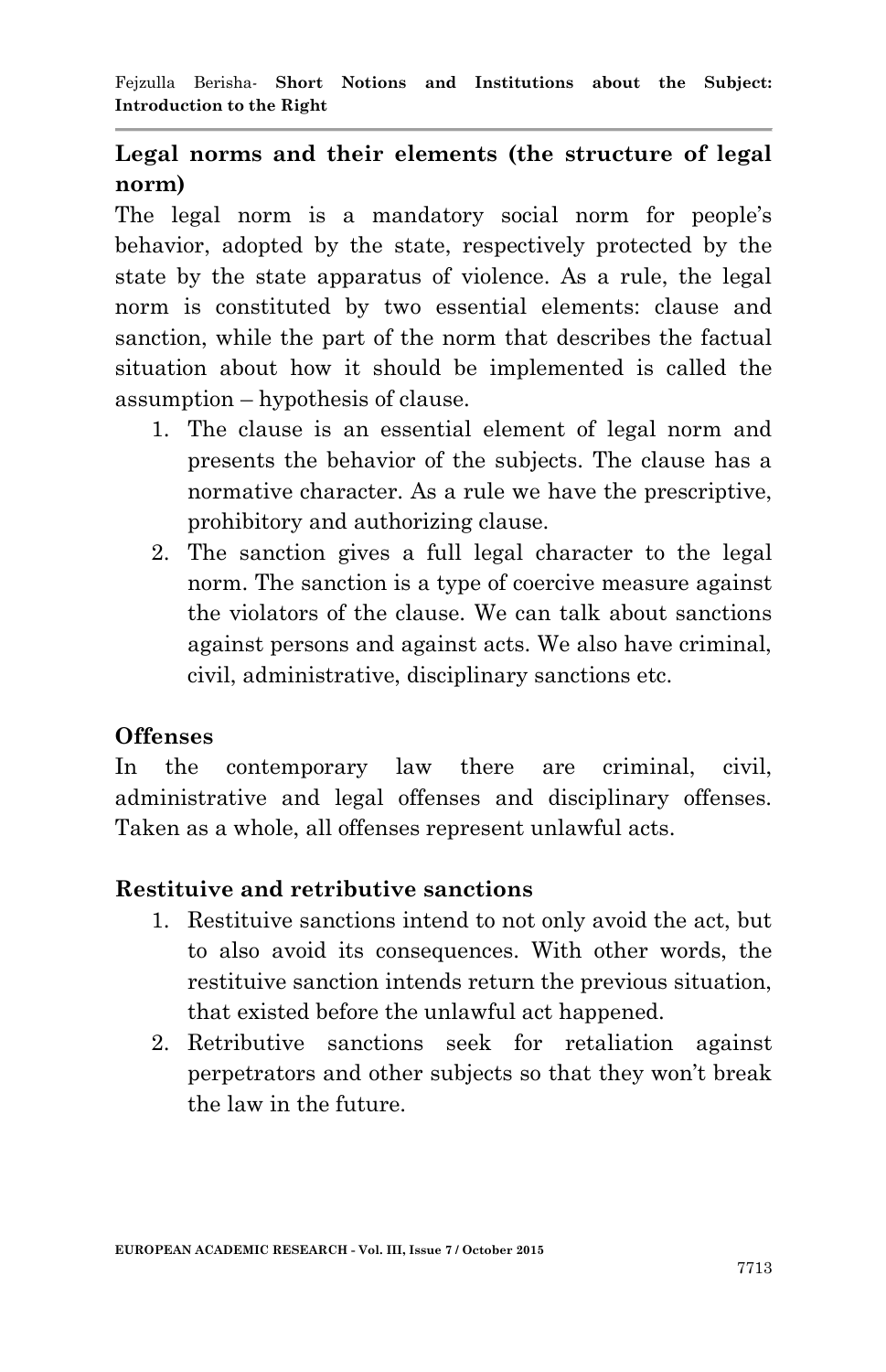# **Legal norms and their elements (the structure of legal norm)**

The legal norm is a mandatory social norm for people's behavior, adopted by the state, respectively protected by the state by the state apparatus of violence. As a rule, the legal norm is constituted by two essential elements: clause and sanction, while the part of the norm that describes the factual situation about how it should be implemented is called the assumption – hypothesis of clause.

- 1. The clause is an essential element of legal norm and presents the behavior of the subjects. The clause has a normative character. As a rule we have the prescriptive, prohibitory and authorizing clause.
- 2. The sanction gives a full legal character to the legal norm. The sanction is a type of coercive measure against the violators of the clause. We can talk about sanctions against persons and against acts. We also have criminal, civil, administrative, disciplinary sanctions etc.

## **Offenses**

In the contemporary law there are criminal, civil, administrative and legal offenses and disciplinary offenses. Taken as a whole, all offenses represent unlawful acts.

### **Restituive and retributive sanctions**

- 1. Restituive sanctions intend to not only avoid the act, but to also avoid its consequences. With other words, the restituive sanction intends return the previous situation, that existed before the unlawful act happened.
- 2. Retributive sanctions seek for retaliation against perpetrators and other subjects so that they won"t break the law in the future.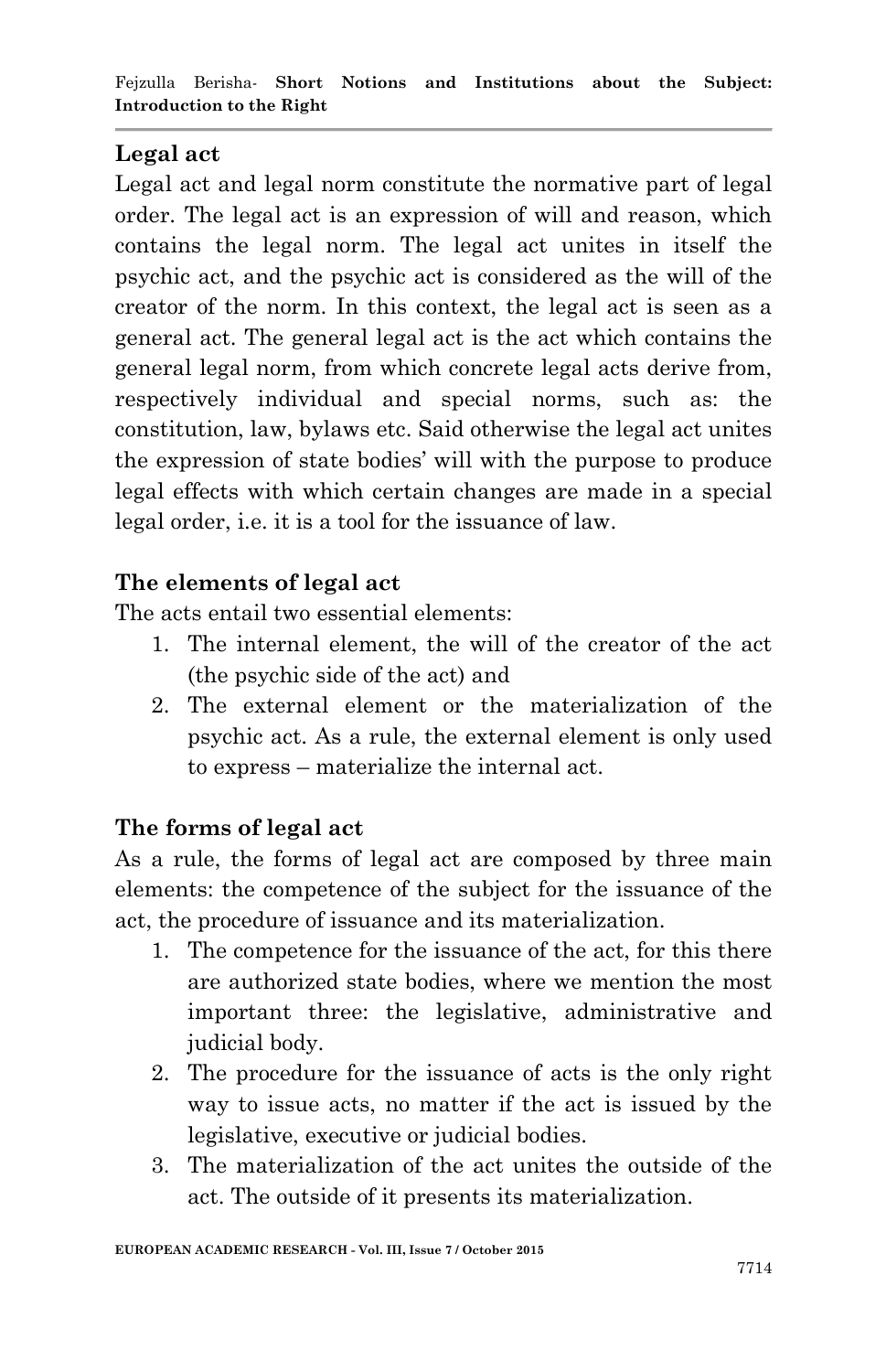Fejzulla Berisha*-* **Short Notions and Institutions about the Subject: Introduction to the Right**

#### **Legal act**

Legal act and legal norm constitute the normative part of legal order. The legal act is an expression of will and reason, which contains the legal norm. The legal act unites in itself the psychic act, and the psychic act is considered as the will of the creator of the norm. In this context, the legal act is seen as a general act. The general legal act is the act which contains the general legal norm, from which concrete legal acts derive from, respectively individual and special norms, such as: the constitution, law, bylaws etc. Said otherwise the legal act unites the expression of state bodies" will with the purpose to produce legal effects with which certain changes are made in a special legal order, i.e. it is a tool for the issuance of law.

## **The elements of legal act**

The acts entail two essential elements:

- 1. The internal element, the will of the creator of the act (the psychic side of the act) and
- 2. The external element or the materialization of the psychic act. As a rule, the external element is only used to express – materialize the internal act.

## **The forms of legal act**

As a rule, the forms of legal act are composed by three main elements: the competence of the subject for the issuance of the act, the procedure of issuance and its materialization.

- 1. The competence for the issuance of the act, for this there are authorized state bodies, where we mention the most important three: the legislative, administrative and judicial body.
- 2. The procedure for the issuance of acts is the only right way to issue acts, no matter if the act is issued by the legislative, executive or judicial bodies.
- 3. The materialization of the act unites the outside of the act. The outside of it presents its materialization.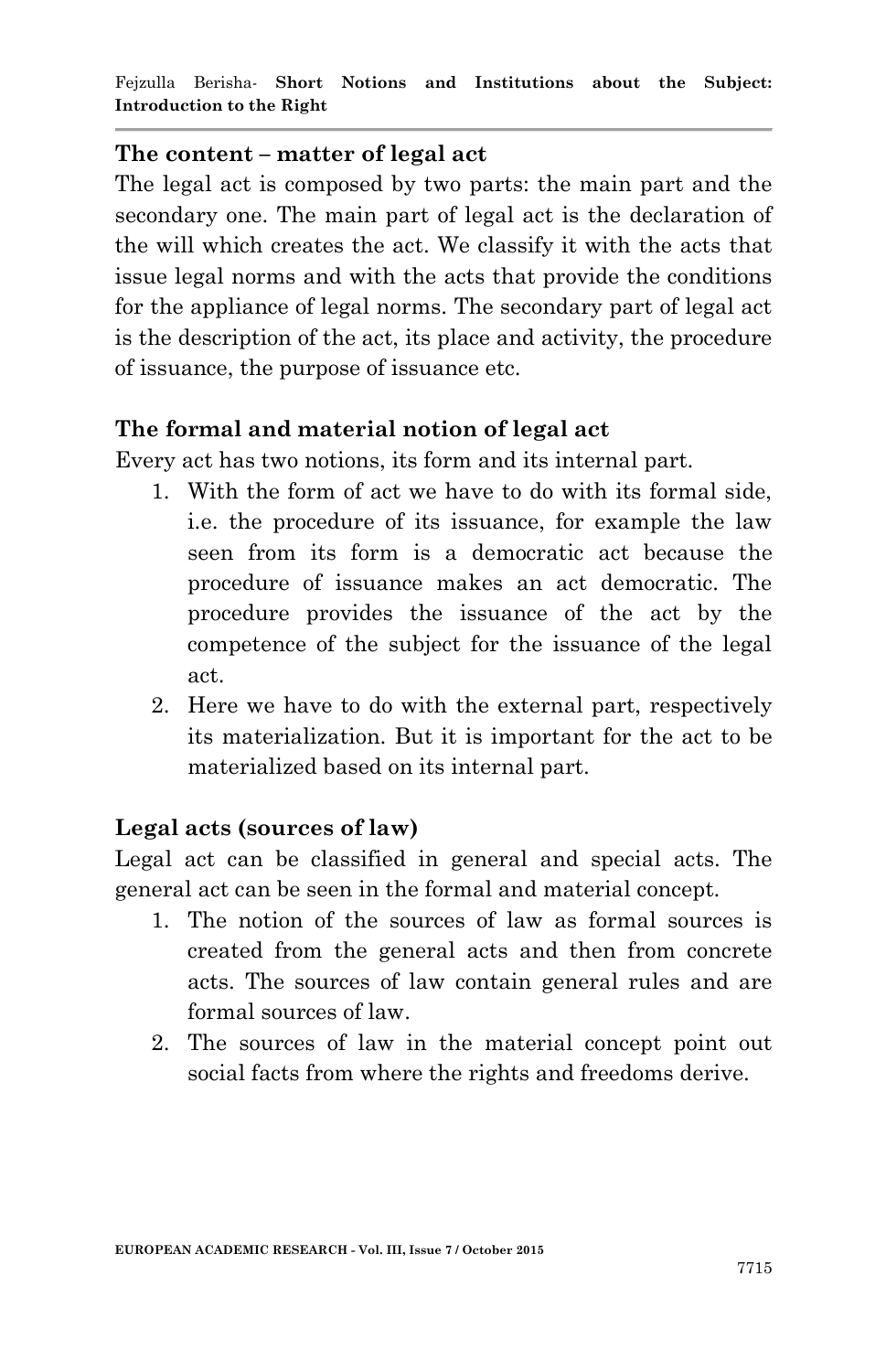Fejzulla Berisha*-* **Short Notions and Institutions about the Subject: Introduction to the Right**

#### **The content – matter of legal act**

The legal act is composed by two parts: the main part and the secondary one. The main part of legal act is the declaration of the will which creates the act. We classify it with the acts that issue legal norms and with the acts that provide the conditions for the appliance of legal norms. The secondary part of legal act is the description of the act, its place and activity, the procedure of issuance, the purpose of issuance etc.

#### **The formal and material notion of legal act**

Every act has two notions, its form and its internal part.

- 1. With the form of act we have to do with its formal side, i.e. the procedure of its issuance, for example the law seen from its form is a democratic act because the procedure of issuance makes an act democratic. The procedure provides the issuance of the act by the competence of the subject for the issuance of the legal act.
- 2. Here we have to do with the external part, respectively its materialization. But it is important for the act to be materialized based on its internal part.

#### **Legal acts (sources of law)**

Legal act can be classified in general and special acts. The general act can be seen in the formal and material concept.

- 1. The notion of the sources of law as formal sources is created from the general acts and then from concrete acts. The sources of law contain general rules and are formal sources of law.
- 2. The sources of law in the material concept point out social facts from where the rights and freedoms derive.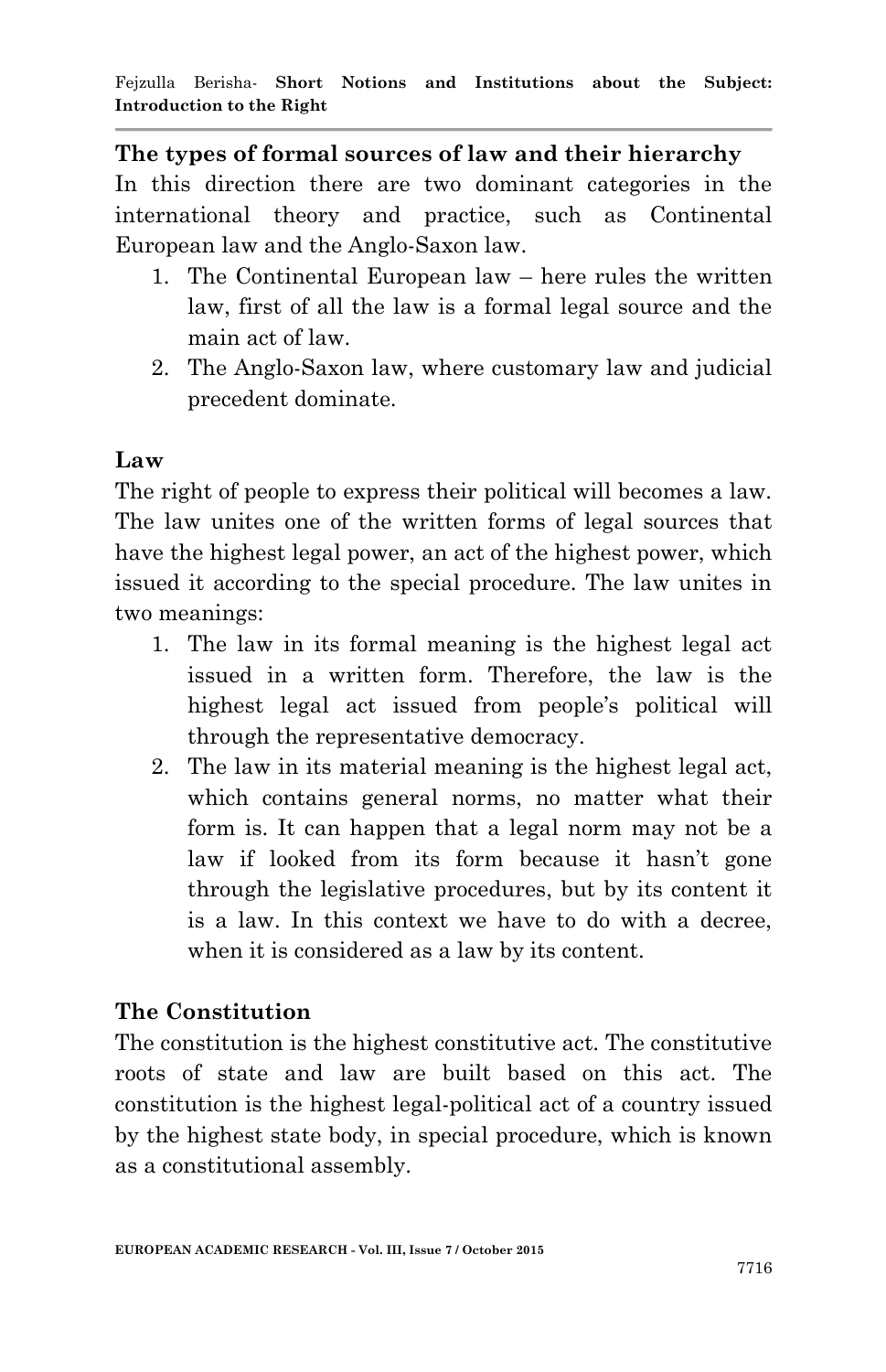#### **The types of formal sources of law and their hierarchy**

In this direction there are two dominant categories in the international theory and practice, such as Continental European law and the Anglo-Saxon law.

- 1. The Continental European law here rules the written law, first of all the law is a formal legal source and the main act of law.
- 2. The Anglo-Saxon law, where customary law and judicial precedent dominate.

### **Law**

The right of people to express their political will becomes a law. The law unites one of the written forms of legal sources that have the highest legal power, an act of the highest power, which issued it according to the special procedure. The law unites in two meanings:

- 1. The law in its formal meaning is the highest legal act issued in a written form. Therefore, the law is the highest legal act issued from people's political will through the representative democracy.
- 2. The law in its material meaning is the highest legal act, which contains general norms, no matter what their form is. It can happen that a legal norm may not be a law if looked from its form because it hasn't gone through the legislative procedures, but by its content it is a law. In this context we have to do with a decree, when it is considered as a law by its content.

## **The Constitution**

The constitution is the highest constitutive act. The constitutive roots of state and law are built based on this act. The constitution is the highest legal-political act of a country issued by the highest state body, in special procedure, which is known as a constitutional assembly.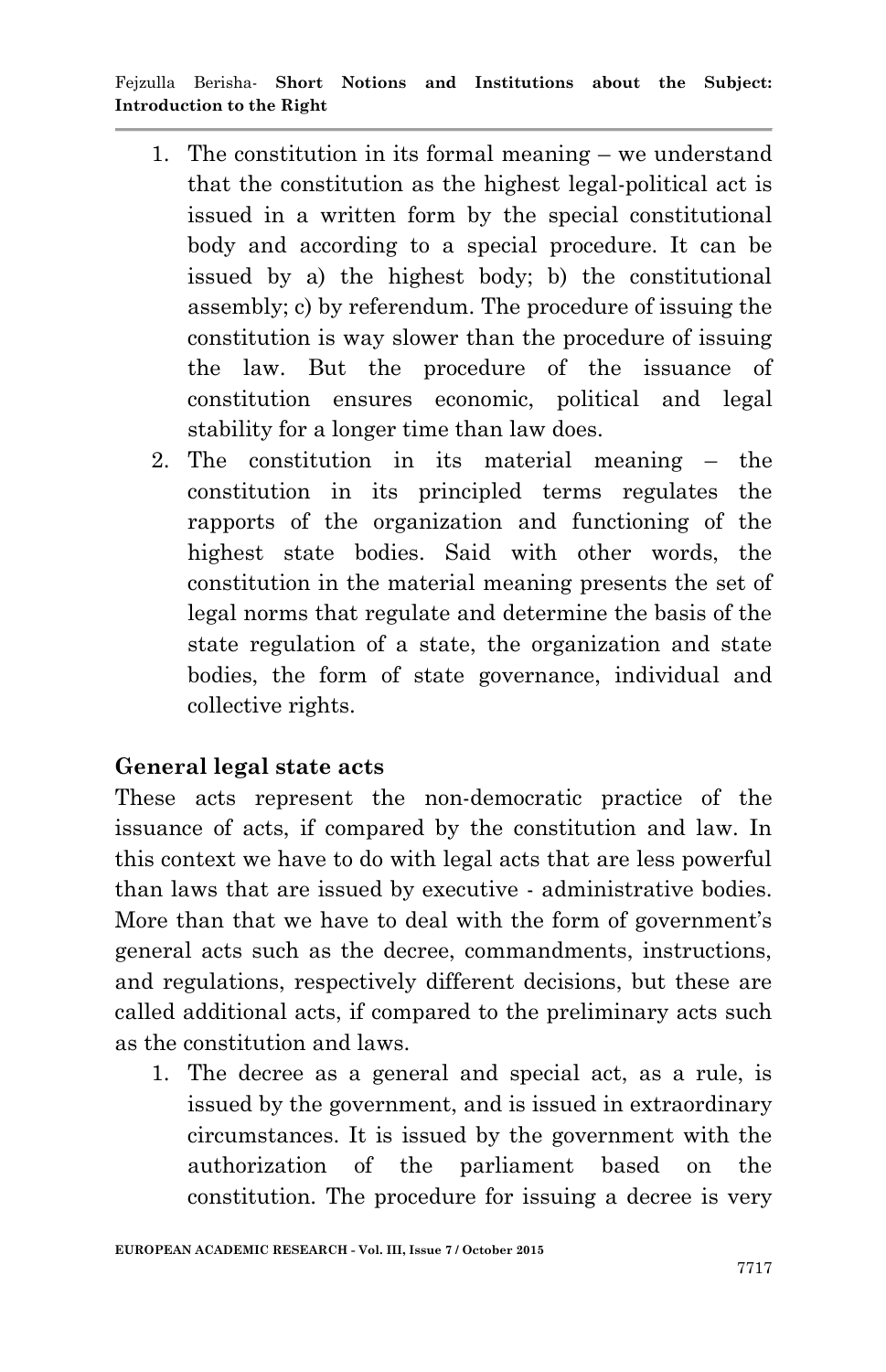- 1. The constitution in its formal meaning we understand that the constitution as the highest legal-political act is issued in a written form by the special constitutional body and according to a special procedure. It can be issued by a) the highest body; b) the constitutional assembly; c) by referendum. The procedure of issuing the constitution is way slower than the procedure of issuing the law. But the procedure of the issuance of constitution ensures economic, political and legal stability for a longer time than law does.
- 2. The constitution in its material meaning the constitution in its principled terms regulates the rapports of the organization and functioning of the highest state bodies. Said with other words, the constitution in the material meaning presents the set of legal norms that regulate and determine the basis of the state regulation of a state, the organization and state bodies, the form of state governance, individual and collective rights.

## **General legal state acts**

These acts represent the non-democratic practice of the issuance of acts, if compared by the constitution and law. In this context we have to do with legal acts that are less powerful than laws that are issued by executive - administrative bodies. More than that we have to deal with the form of government's general acts such as the decree, commandments, instructions, and regulations, respectively different decisions, but these are called additional acts, if compared to the preliminary acts such as the constitution and laws.

1. The decree as a general and special act, as a rule, is issued by the government, and is issued in extraordinary circumstances. It is issued by the government with the authorization of the parliament based on the constitution. The procedure for issuing a decree is very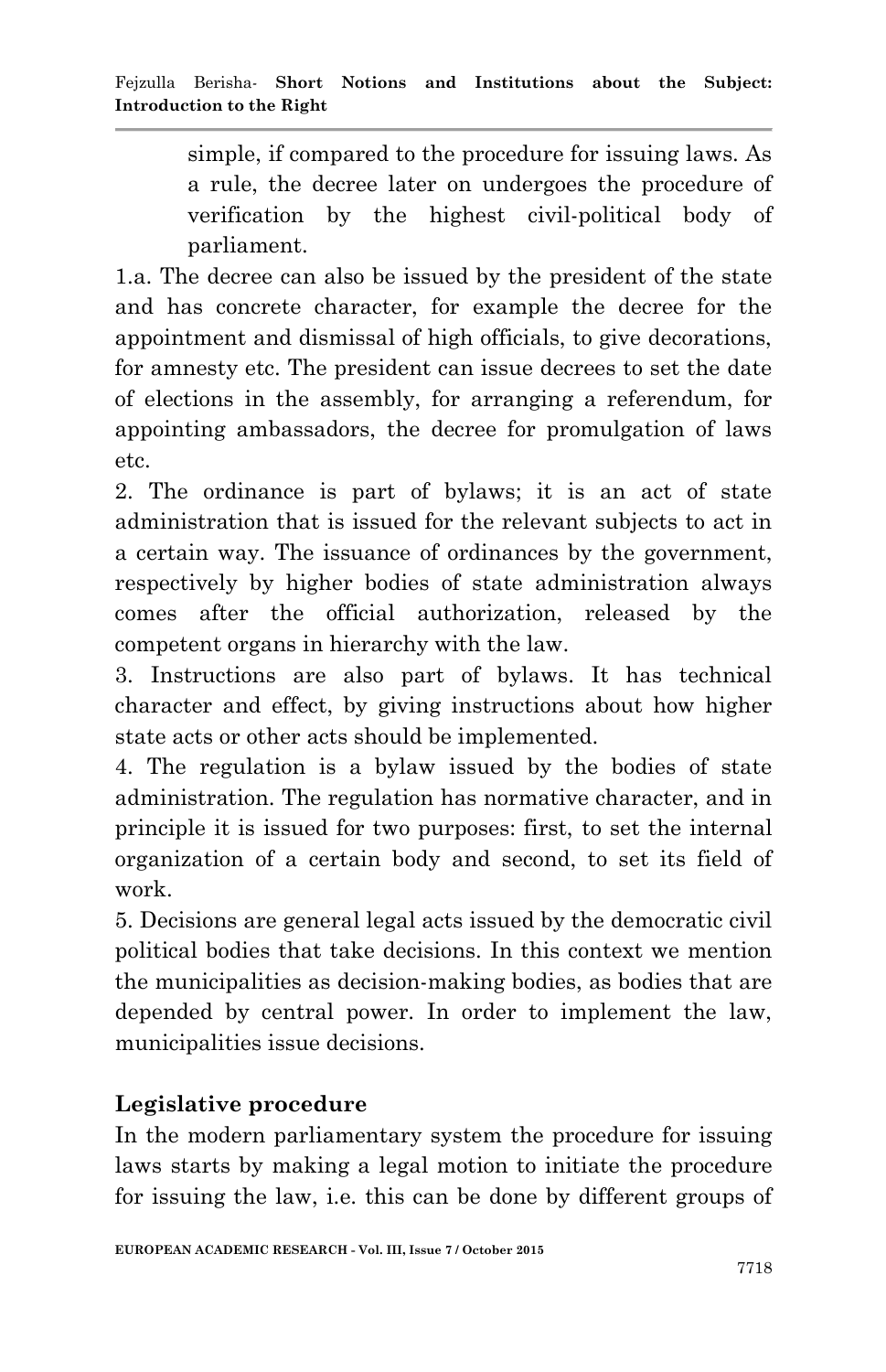simple, if compared to the procedure for issuing laws. As a rule, the decree later on undergoes the procedure of verification by the highest civil-political body of parliament.

1.a. The decree can also be issued by the president of the state and has concrete character, for example the decree for the appointment and dismissal of high officials, to give decorations, for amnesty etc. The president can issue decrees to set the date of elections in the assembly, for arranging a referendum, for appointing ambassadors, the decree for promulgation of laws etc.

2. The ordinance is part of bylaws; it is an act of state administration that is issued for the relevant subjects to act in a certain way. The issuance of ordinances by the government, respectively by higher bodies of state administration always comes after the official authorization, released by the competent organs in hierarchy with the law.

3. Instructions are also part of bylaws. It has technical character and effect, by giving instructions about how higher state acts or other acts should be implemented.

4. The regulation is a bylaw issued by the bodies of state administration. The regulation has normative character, and in principle it is issued for two purposes: first, to set the internal organization of a certain body and second, to set its field of work.

5. Decisions are general legal acts issued by the democratic civil political bodies that take decisions. In this context we mention the municipalities as decision-making bodies, as bodies that are depended by central power. In order to implement the law, municipalities issue decisions.

## **Legislative procedure**

In the modern parliamentary system the procedure for issuing laws starts by making a legal motion to initiate the procedure for issuing the law, i.e. this can be done by different groups of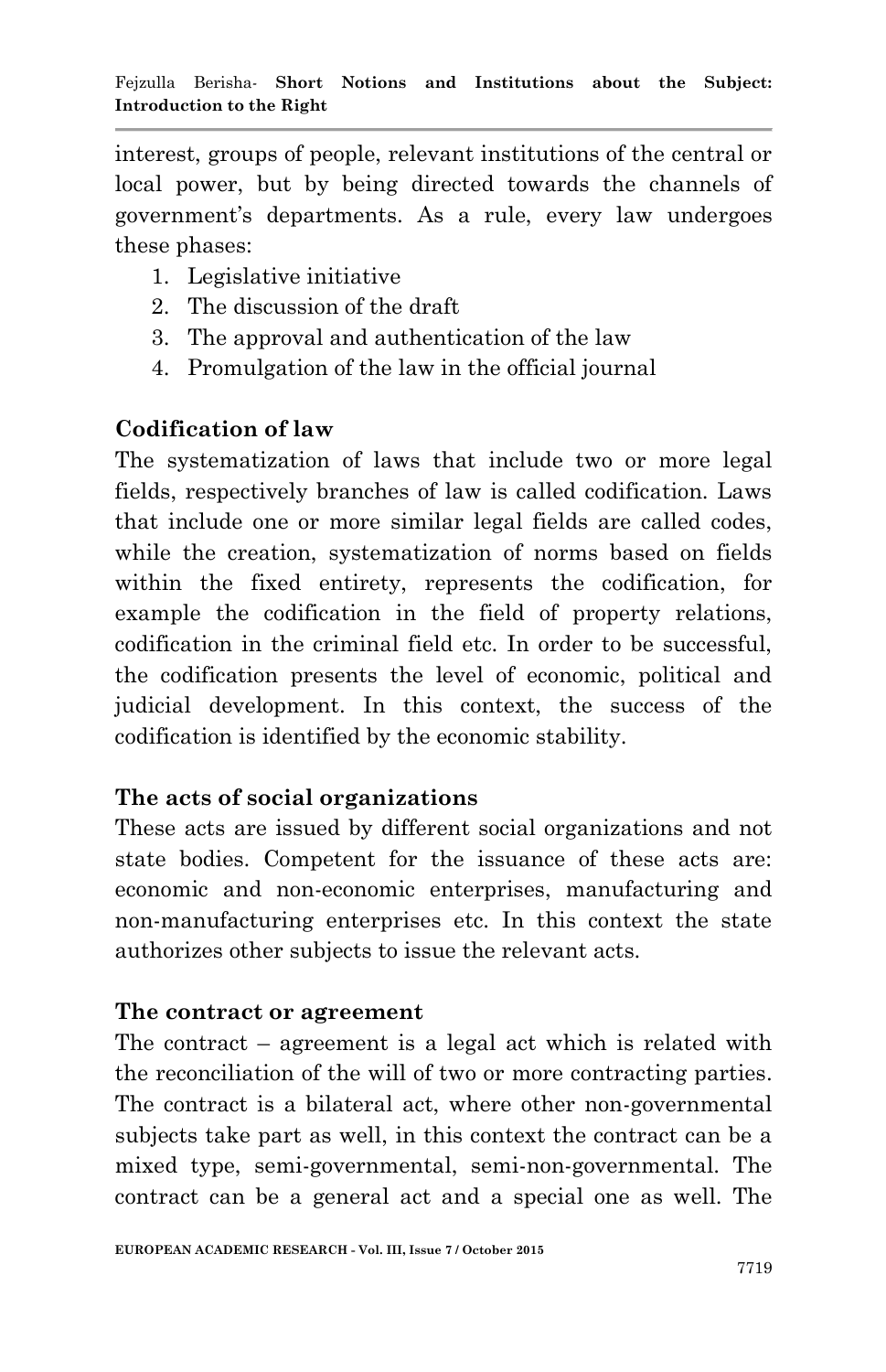interest, groups of people, relevant institutions of the central or local power, but by being directed towards the channels of government"s departments. As a rule, every law undergoes these phases:

- 1. Legislative initiative
- 2. The discussion of the draft
- 3. The approval and authentication of the law
- 4. Promulgation of the law in the official journal

# **Codification of law**

The systematization of laws that include two or more legal fields, respectively branches of law is called codification. Laws that include one or more similar legal fields are called codes, while the creation, systematization of norms based on fields within the fixed entirety, represents the codification, for example the codification in the field of property relations, codification in the criminal field etc. In order to be successful, the codification presents the level of economic, political and judicial development. In this context, the success of the codification is identified by the economic stability.

## **The acts of social organizations**

These acts are issued by different social organizations and not state bodies. Competent for the issuance of these acts are: economic and non-economic enterprises, manufacturing and non-manufacturing enterprises etc. In this context the state authorizes other subjects to issue the relevant acts.

### **The contract or agreement**

The contract – agreement is a legal act which is related with the reconciliation of the will of two or more contracting parties. The contract is a bilateral act, where other non-governmental subjects take part as well, in this context the contract can be a mixed type, semi-governmental, semi-non-governmental. The contract can be a general act and a special one as well. The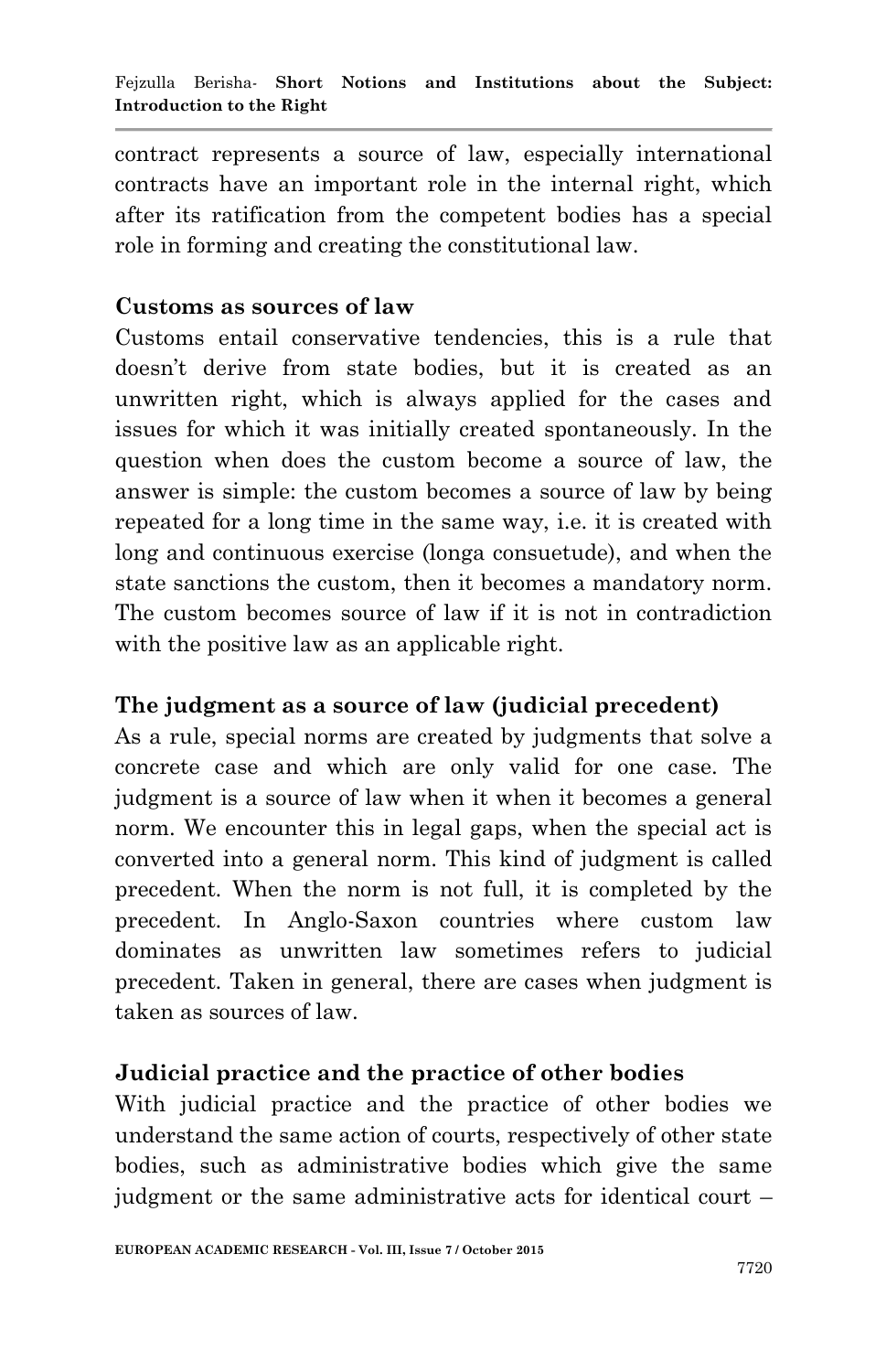contract represents a source of law, especially international contracts have an important role in the internal right, which after its ratification from the competent bodies has a special role in forming and creating the constitutional law.

## **Customs as sources of law**

Customs entail conservative tendencies, this is a rule that doesn"t derive from state bodies, but it is created as an unwritten right, which is always applied for the cases and issues for which it was initially created spontaneously. In the question when does the custom become a source of law, the answer is simple: the custom becomes a source of law by being repeated for a long time in the same way, i.e. it is created with long and continuous exercise (longa consuetude), and when the state sanctions the custom, then it becomes a mandatory norm. The custom becomes source of law if it is not in contradiction with the positive law as an applicable right.

## **The judgment as a source of law (judicial precedent)**

As a rule, special norms are created by judgments that solve a concrete case and which are only valid for one case. The judgment is a source of law when it when it becomes a general norm. We encounter this in legal gaps, when the special act is converted into a general norm. This kind of judgment is called precedent. When the norm is not full, it is completed by the precedent. In Anglo-Saxon countries where custom law dominates as unwritten law sometimes refers to judicial precedent. Taken in general, there are cases when judgment is taken as sources of law.

### **Judicial practice and the practice of other bodies**

With judicial practice and the practice of other bodies we understand the same action of courts, respectively of other state bodies, such as administrative bodies which give the same judgment or the same administrative acts for identical court –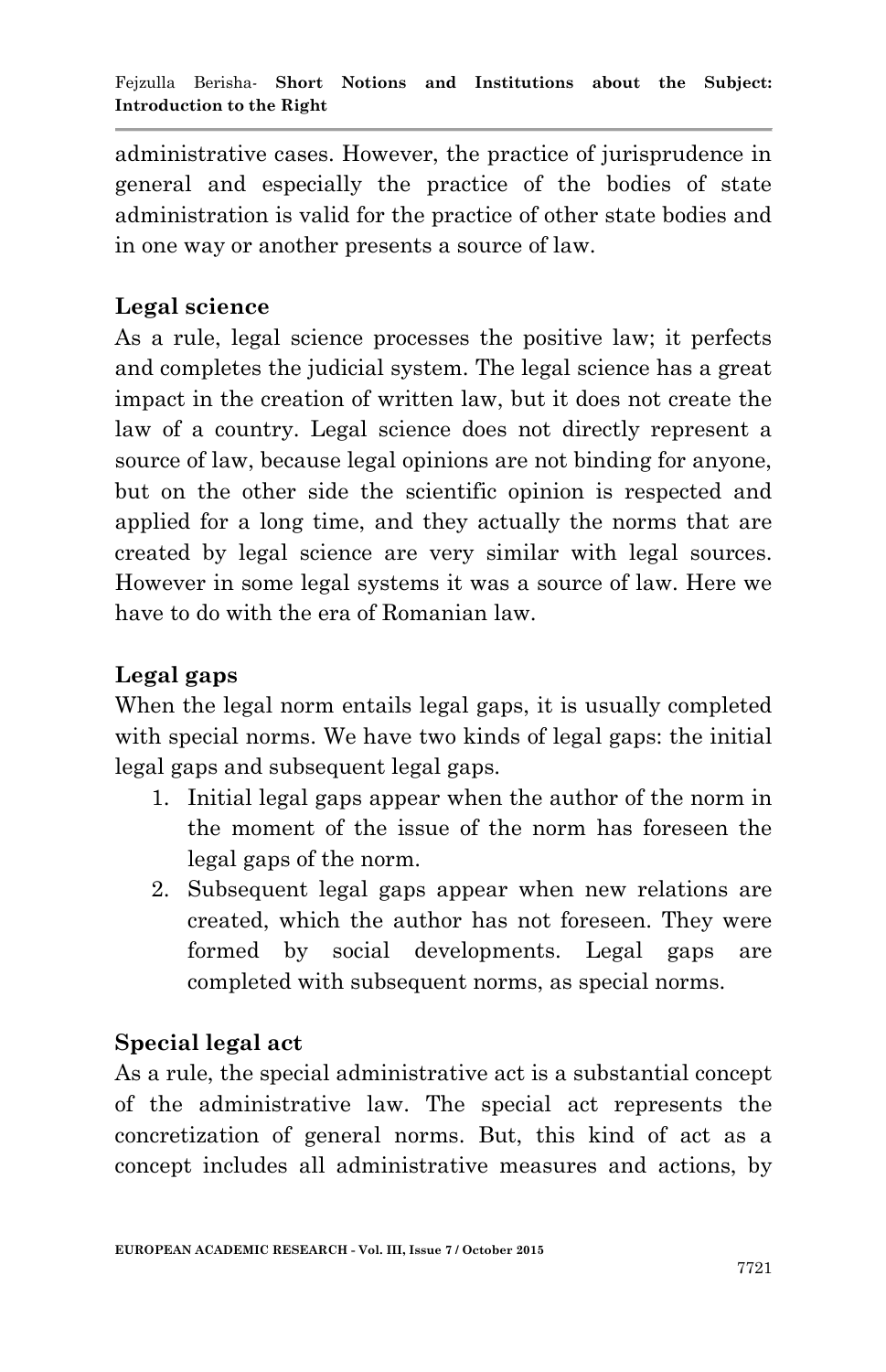administrative cases. However, the practice of jurisprudence in general and especially the practice of the bodies of state administration is valid for the practice of other state bodies and in one way or another presents a source of law.

# **Legal science**

As a rule, legal science processes the positive law; it perfects and completes the judicial system. The legal science has a great impact in the creation of written law, but it does not create the law of a country. Legal science does not directly represent a source of law, because legal opinions are not binding for anyone, but on the other side the scientific opinion is respected and applied for a long time, and they actually the norms that are created by legal science are very similar with legal sources. However in some legal systems it was a source of law. Here we have to do with the era of Romanian law.

# **Legal gaps**

When the legal norm entails legal gaps, it is usually completed with special norms. We have two kinds of legal gaps: the initial legal gaps and subsequent legal gaps.

- 1. Initial legal gaps appear when the author of the norm in the moment of the issue of the norm has foreseen the legal gaps of the norm.
- 2. Subsequent legal gaps appear when new relations are created, which the author has not foreseen. They were formed by social developments. Legal gaps are completed with subsequent norms, as special norms.

# **Special legal act**

As a rule, the special administrative act is a substantial concept of the administrative law. The special act represents the concretization of general norms. But, this kind of act as a concept includes all administrative measures and actions, by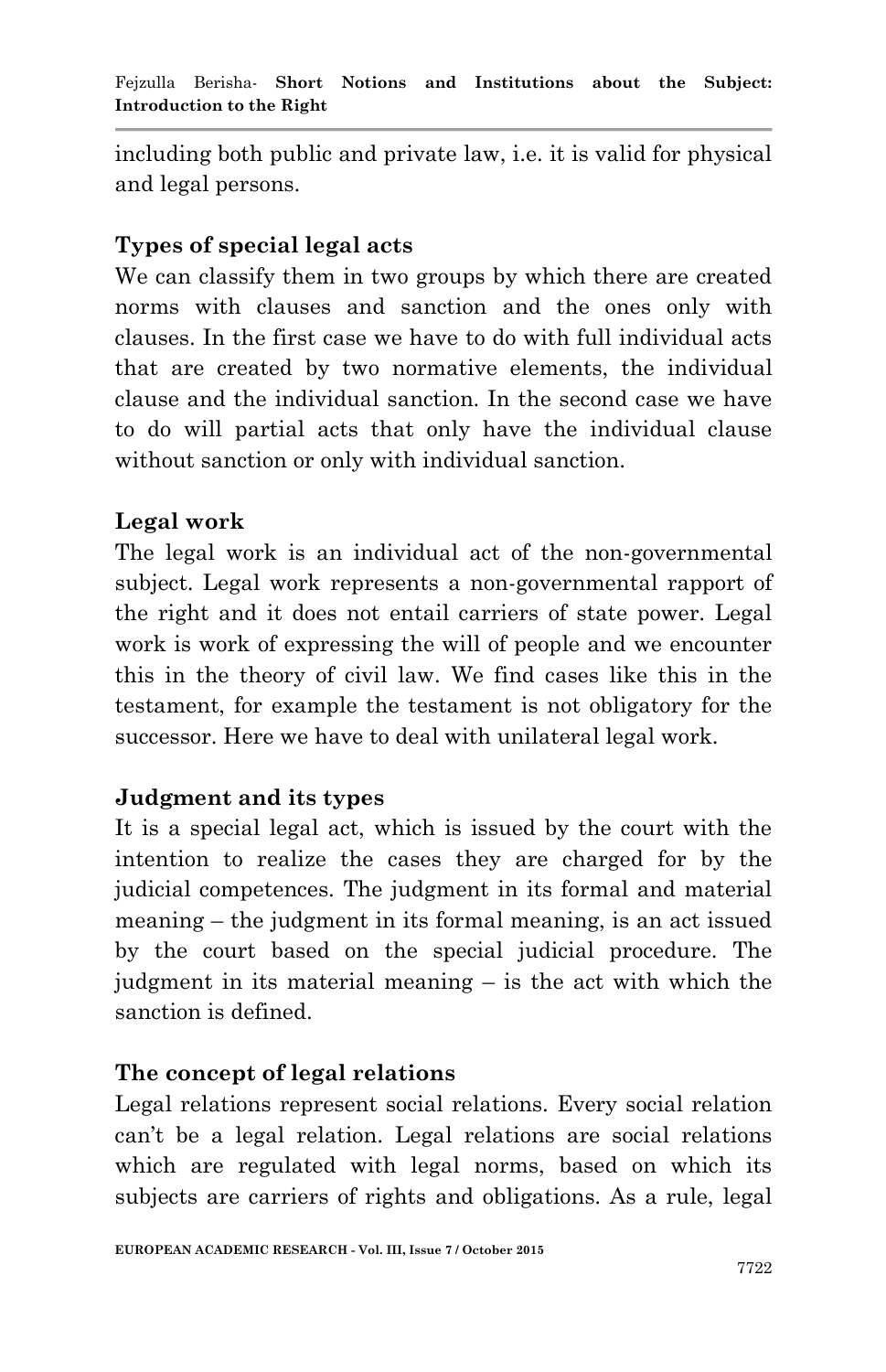including both public and private law, i.e. it is valid for physical and legal persons.

# **Types of special legal acts**

We can classify them in two groups by which there are created norms with clauses and sanction and the ones only with clauses. In the first case we have to do with full individual acts that are created by two normative elements, the individual clause and the individual sanction. In the second case we have to do will partial acts that only have the individual clause without sanction or only with individual sanction.

## **Legal work**

The legal work is an individual act of the non-governmental subject. Legal work represents a non-governmental rapport of the right and it does not entail carriers of state power. Legal work is work of expressing the will of people and we encounter this in the theory of civil law. We find cases like this in the testament, for example the testament is not obligatory for the successor. Here we have to deal with unilateral legal work.

## **Judgment and its types**

It is a special legal act, which is issued by the court with the intention to realize the cases they are charged for by the judicial competences. The judgment in its formal and material meaning – the judgment in its formal meaning, is an act issued by the court based on the special judicial procedure. The judgment in its material meaning – is the act with which the sanction is defined.

## **The concept of legal relations**

Legal relations represent social relations. Every social relation can"t be a legal relation. Legal relations are social relations which are regulated with legal norms, based on which its subjects are carriers of rights and obligations. As a rule, legal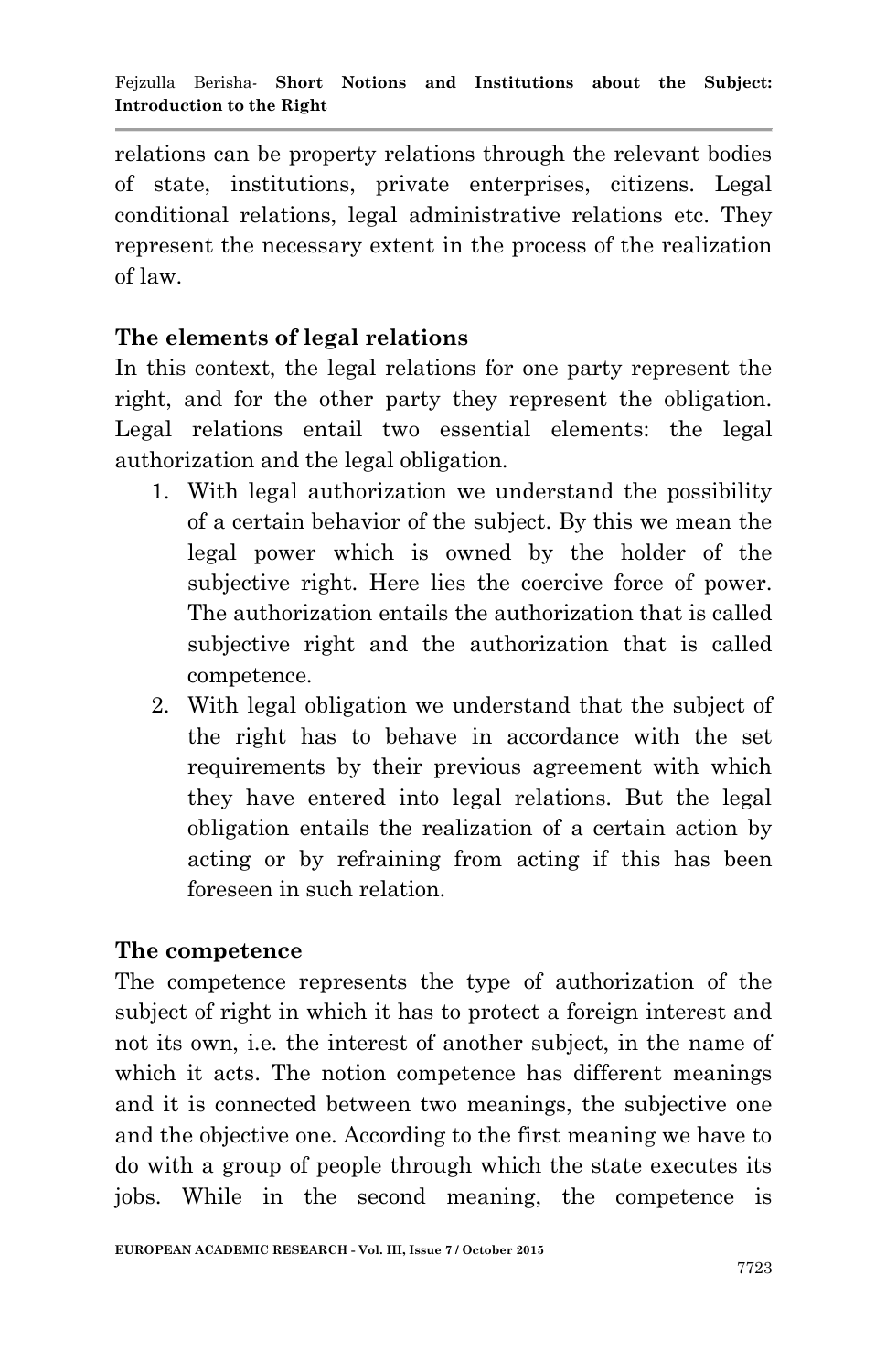relations can be property relations through the relevant bodies of state, institutions, private enterprises, citizens. Legal conditional relations, legal administrative relations etc. They represent the necessary extent in the process of the realization of law.

## **The elements of legal relations**

In this context, the legal relations for one party represent the right, and for the other party they represent the obligation. Legal relations entail two essential elements: the legal authorization and the legal obligation.

- 1. With legal authorization we understand the possibility of a certain behavior of the subject. By this we mean the legal power which is owned by the holder of the subjective right. Here lies the coercive force of power. The authorization entails the authorization that is called subjective right and the authorization that is called competence.
- 2. With legal obligation we understand that the subject of the right has to behave in accordance with the set requirements by their previous agreement with which they have entered into legal relations. But the legal obligation entails the realization of a certain action by acting or by refraining from acting if this has been foreseen in such relation.

### **The competence**

The competence represents the type of authorization of the subject of right in which it has to protect a foreign interest and not its own, i.e. the interest of another subject, in the name of which it acts. The notion competence has different meanings and it is connected between two meanings, the subjective one and the objective one. According to the first meaning we have to do with a group of people through which the state executes its jobs. While in the second meaning, the competence is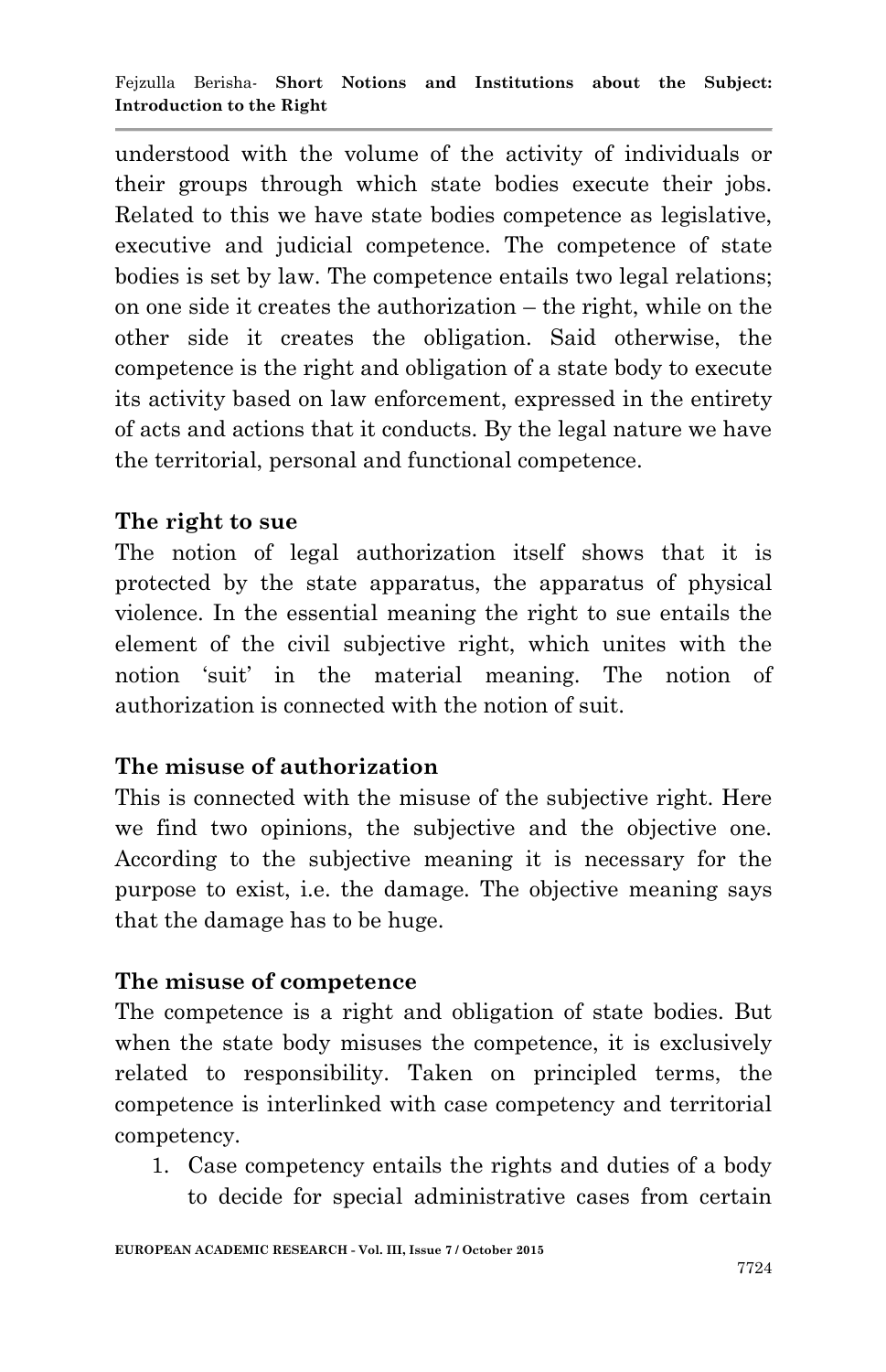understood with the volume of the activity of individuals or their groups through which state bodies execute their jobs. Related to this we have state bodies competence as legislative, executive and judicial competence. The competence of state bodies is set by law. The competence entails two legal relations; on one side it creates the authorization – the right, while on the other side it creates the obligation. Said otherwise, the competence is the right and obligation of a state body to execute its activity based on law enforcement, expressed in the entirety of acts and actions that it conducts. By the legal nature we have the territorial, personal and functional competence.

### **The right to sue**

The notion of legal authorization itself shows that it is protected by the state apparatus, the apparatus of physical violence. In the essential meaning the right to sue entails the element of the civil subjective right, which unites with the notion "suit" in the material meaning. The notion of authorization is connected with the notion of suit.

# **The misuse of authorization**

This is connected with the misuse of the subjective right. Here we find two opinions, the subjective and the objective one. According to the subjective meaning it is necessary for the purpose to exist, i.e. the damage. The objective meaning says that the damage has to be huge.

## **The misuse of competence**

The competence is a right and obligation of state bodies. But when the state body misuses the competence, it is exclusively related to responsibility. Taken on principled terms, the competence is interlinked with case competency and territorial competency.

1. Case competency entails the rights and duties of a body to decide for special administrative cases from certain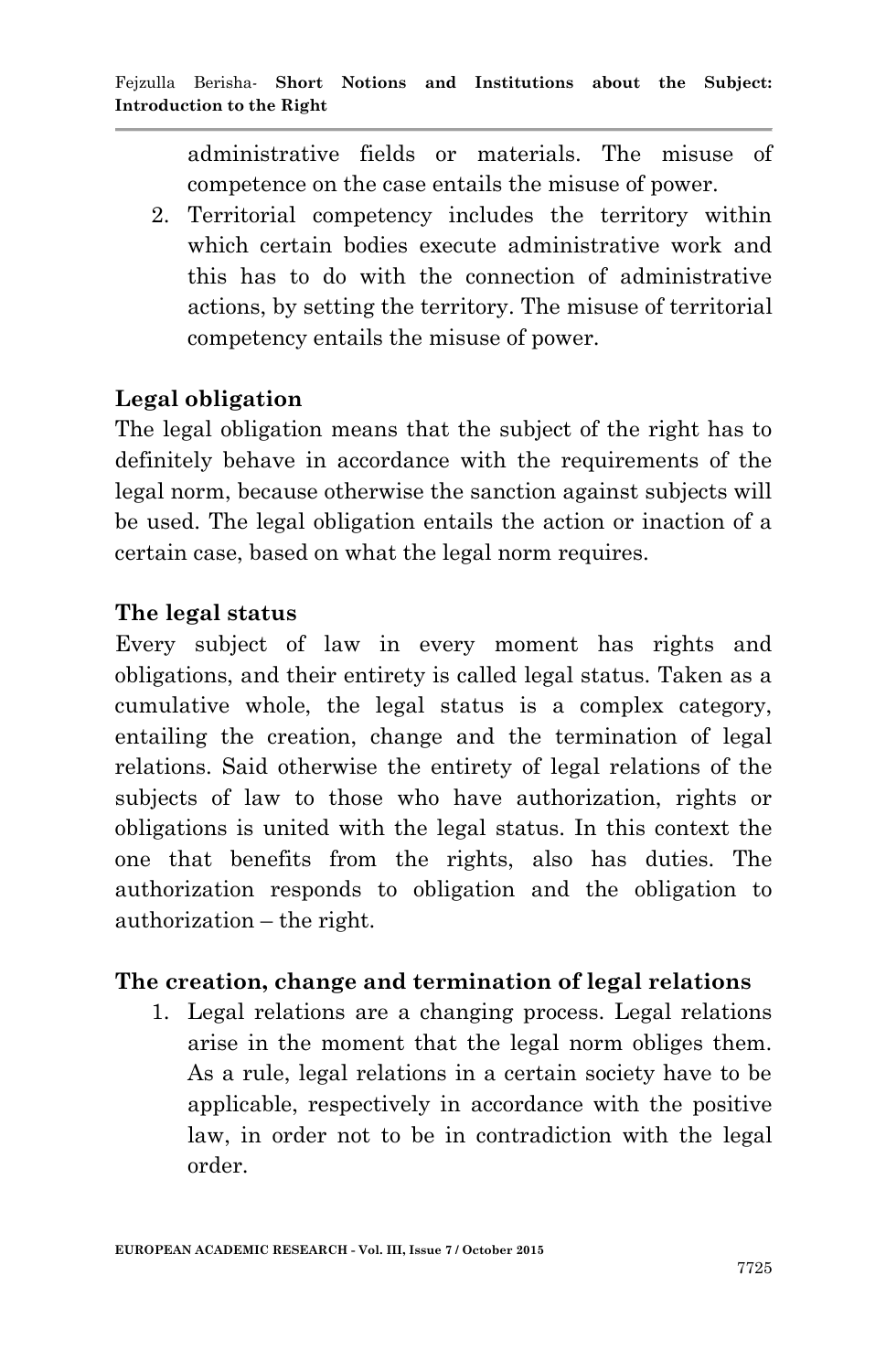administrative fields or materials. The misuse of competence on the case entails the misuse of power.

2. Territorial competency includes the territory within which certain bodies execute administrative work and this has to do with the connection of administrative actions, by setting the territory. The misuse of territorial competency entails the misuse of power.

## **Legal obligation**

The legal obligation means that the subject of the right has to definitely behave in accordance with the requirements of the legal norm, because otherwise the sanction against subjects will be used. The legal obligation entails the action or inaction of a certain case, based on what the legal norm requires.

## **The legal status**

Every subject of law in every moment has rights and obligations, and their entirety is called legal status. Taken as a cumulative whole, the legal status is a complex category, entailing the creation, change and the termination of legal relations. Said otherwise the entirety of legal relations of the subjects of law to those who have authorization, rights or obligations is united with the legal status. In this context the one that benefits from the rights, also has duties. The authorization responds to obligation and the obligation to authorization – the right.

### **The creation, change and termination of legal relations**

1. Legal relations are a changing process. Legal relations arise in the moment that the legal norm obliges them. As a rule, legal relations in a certain society have to be applicable, respectively in accordance with the positive law, in order not to be in contradiction with the legal order.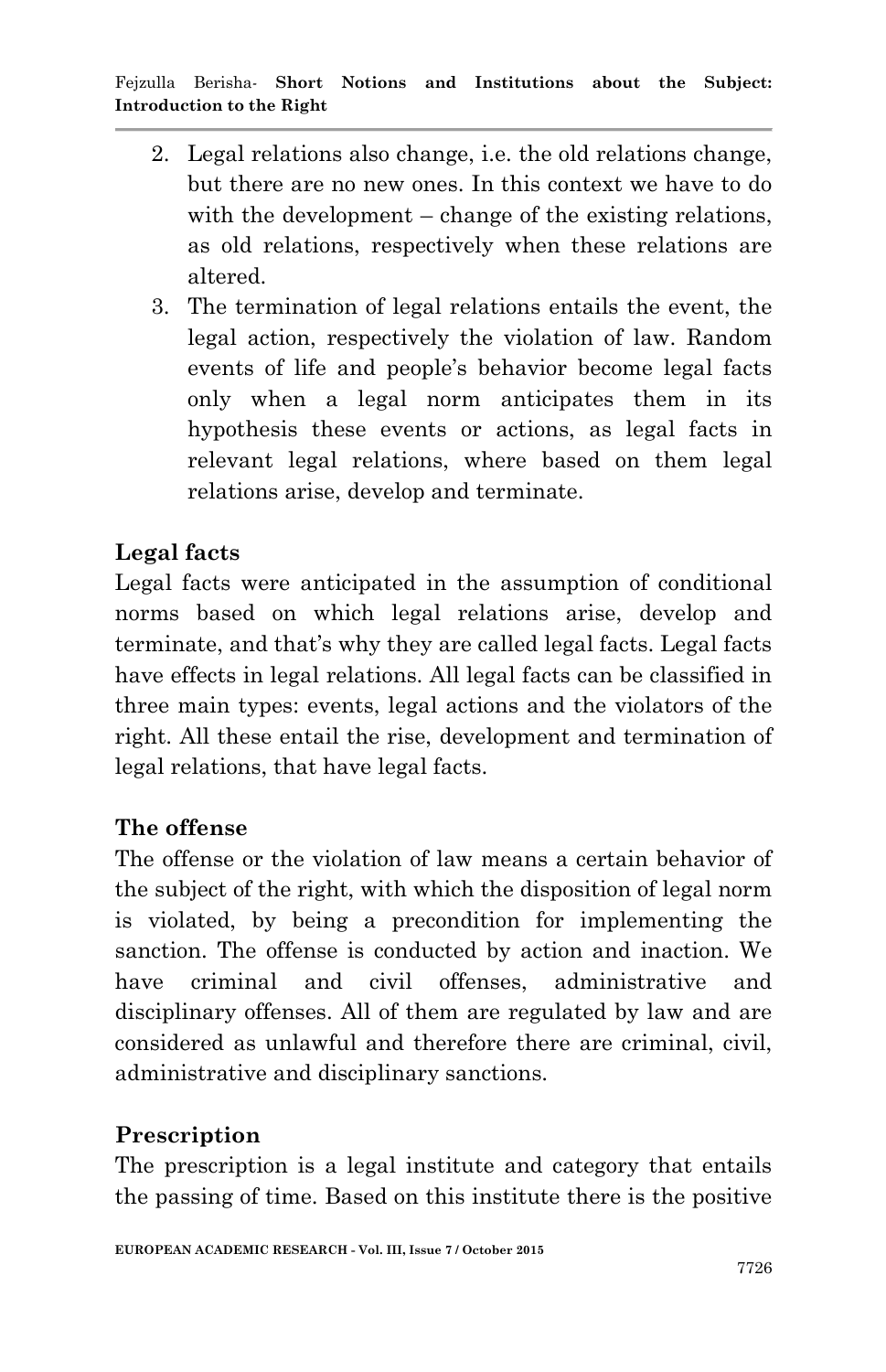- 2. Legal relations also change, i.e. the old relations change, but there are no new ones. In this context we have to do with the development – change of the existing relations, as old relations, respectively when these relations are altered.
- 3. The termination of legal relations entails the event, the legal action, respectively the violation of law. Random events of life and people"s behavior become legal facts only when a legal norm anticipates them in its hypothesis these events or actions, as legal facts in relevant legal relations, where based on them legal relations arise, develop and terminate.

# **Legal facts**

Legal facts were anticipated in the assumption of conditional norms based on which legal relations arise, develop and terminate, and that's why they are called legal facts. Legal facts have effects in legal relations. All legal facts can be classified in three main types: events, legal actions and the violators of the right. All these entail the rise, development and termination of legal relations, that have legal facts.

## **The offense**

The offense or the violation of law means a certain behavior of the subject of the right, with which the disposition of legal norm is violated, by being a precondition for implementing the sanction. The offense is conducted by action and inaction. We have criminal and civil offenses, administrative and disciplinary offenses. All of them are regulated by law and are considered as unlawful and therefore there are criminal, civil, administrative and disciplinary sanctions.

## **Prescription**

The prescription is a legal institute and category that entails the passing of time. Based on this institute there is the positive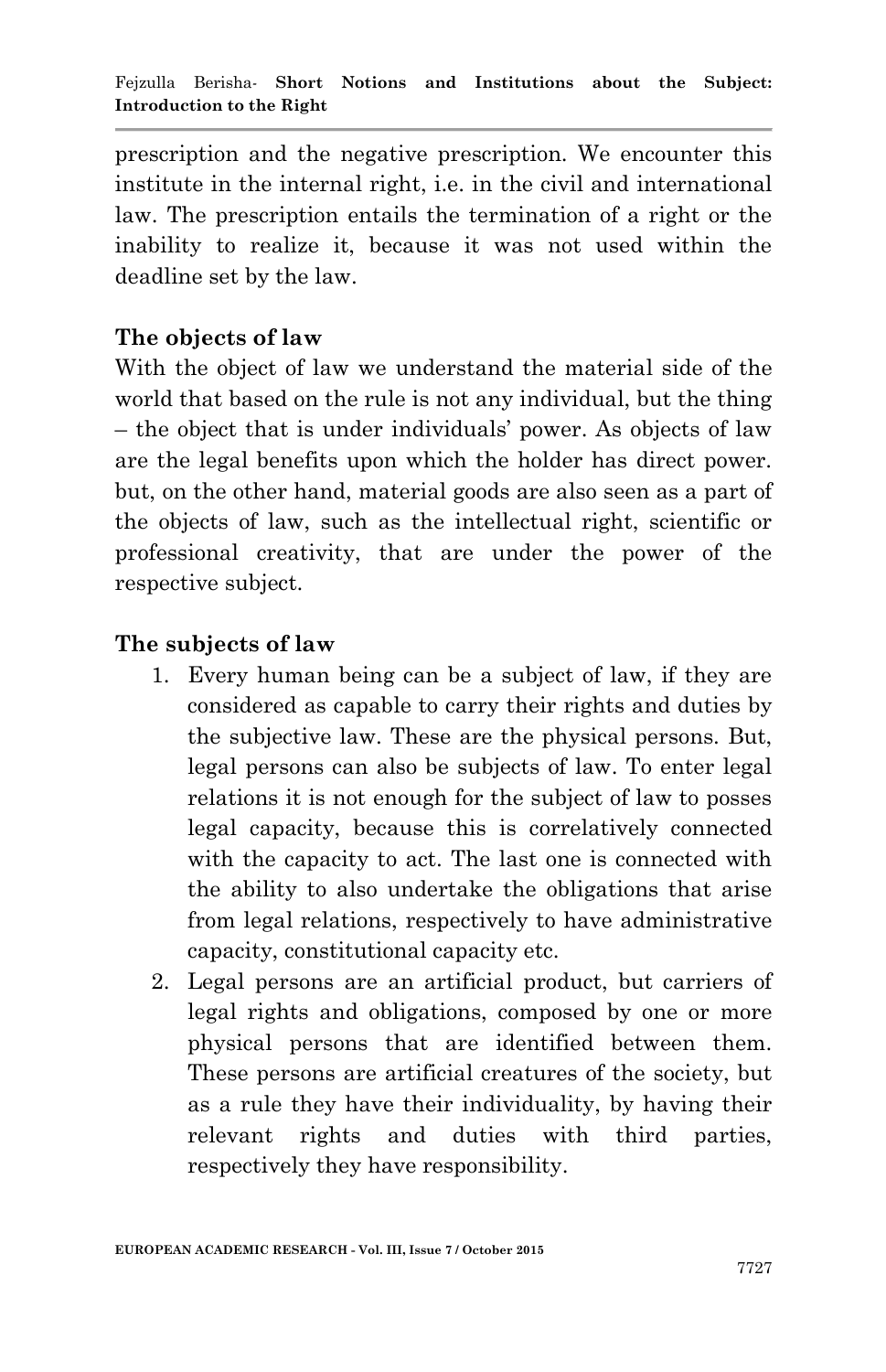prescription and the negative prescription. We encounter this institute in the internal right, i.e. in the civil and international law. The prescription entails the termination of a right or the inability to realize it, because it was not used within the deadline set by the law.

## **The objects of law**

With the object of law we understand the material side of the world that based on the rule is not any individual, but the thing – the object that is under individuals" power. As objects of law are the legal benefits upon which the holder has direct power. but, on the other hand, material goods are also seen as a part of the objects of law, such as the intellectual right, scientific or professional creativity, that are under the power of the respective subject.

## **The subjects of law**

- 1. Every human being can be a subject of law, if they are considered as capable to carry their rights and duties by the subjective law. These are the physical persons. But, legal persons can also be subjects of law. To enter legal relations it is not enough for the subject of law to posses legal capacity, because this is correlatively connected with the capacity to act. The last one is connected with the ability to also undertake the obligations that arise from legal relations, respectively to have administrative capacity, constitutional capacity etc.
- 2. Legal persons are an artificial product, but carriers of legal rights and obligations, composed by one or more physical persons that are identified between them. These persons are artificial creatures of the society, but as a rule they have their individuality, by having their relevant rights and duties with third parties, respectively they have responsibility.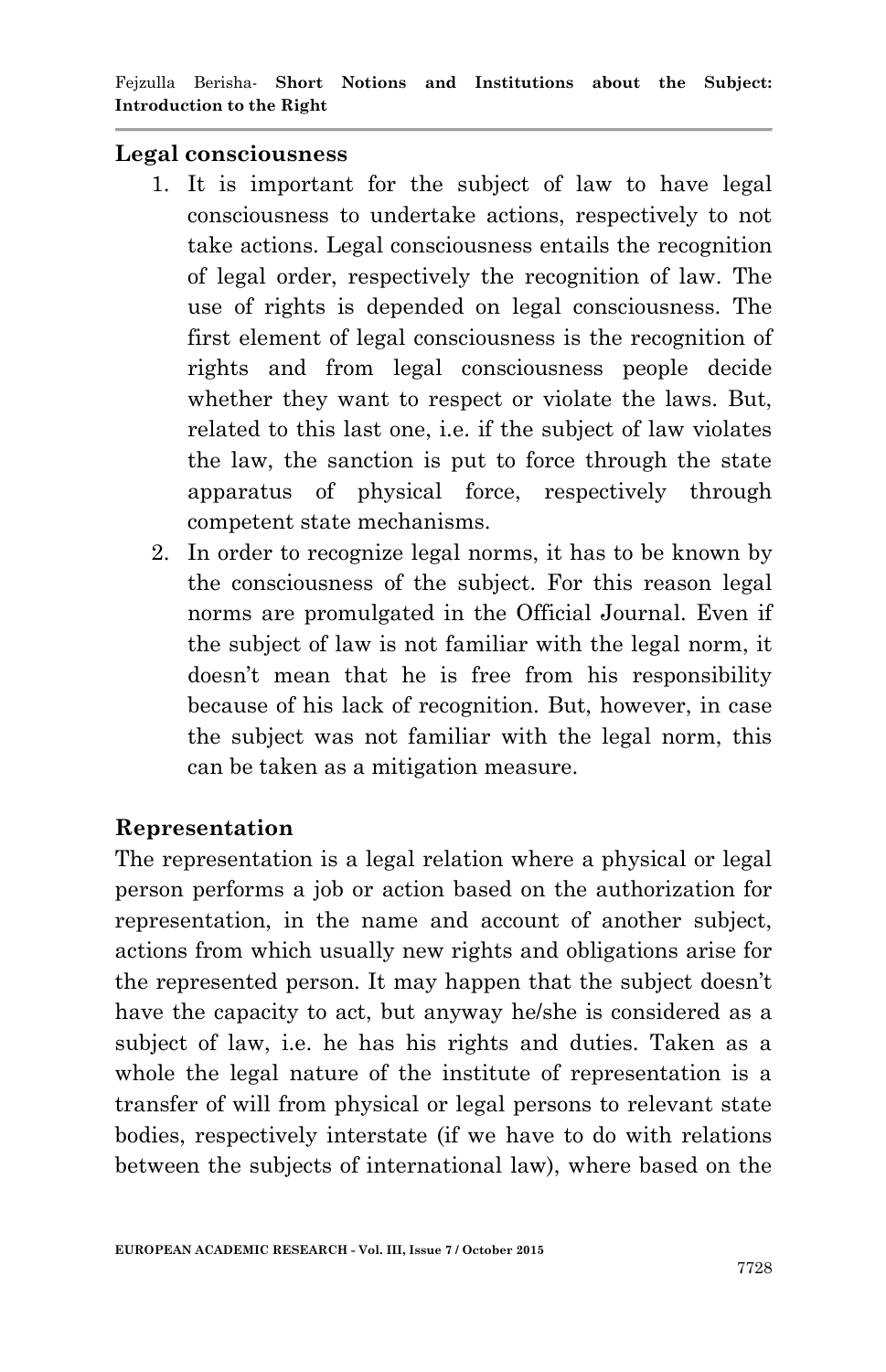#### **Legal consciousness**

- 1. It is important for the subject of law to have legal consciousness to undertake actions, respectively to not take actions. Legal consciousness entails the recognition of legal order, respectively the recognition of law. The use of rights is depended on legal consciousness. The first element of legal consciousness is the recognition of rights and from legal consciousness people decide whether they want to respect or violate the laws. But, related to this last one, i.e. if the subject of law violates the law, the sanction is put to force through the state apparatus of physical force, respectively through competent state mechanisms.
- 2. In order to recognize legal norms, it has to be known by the consciousness of the subject. For this reason legal norms are promulgated in the Official Journal. Even if the subject of law is not familiar with the legal norm, it doesn"t mean that he is free from his responsibility because of his lack of recognition. But, however, in case the subject was not familiar with the legal norm, this can be taken as a mitigation measure.

### **Representation**

The representation is a legal relation where a physical or legal person performs a job or action based on the authorization for representation, in the name and account of another subject, actions from which usually new rights and obligations arise for the represented person. It may happen that the subject doesn"t have the capacity to act, but anyway he/she is considered as a subject of law, i.e. he has his rights and duties. Taken as a whole the legal nature of the institute of representation is a transfer of will from physical or legal persons to relevant state bodies, respectively interstate (if we have to do with relations between the subjects of international law), where based on the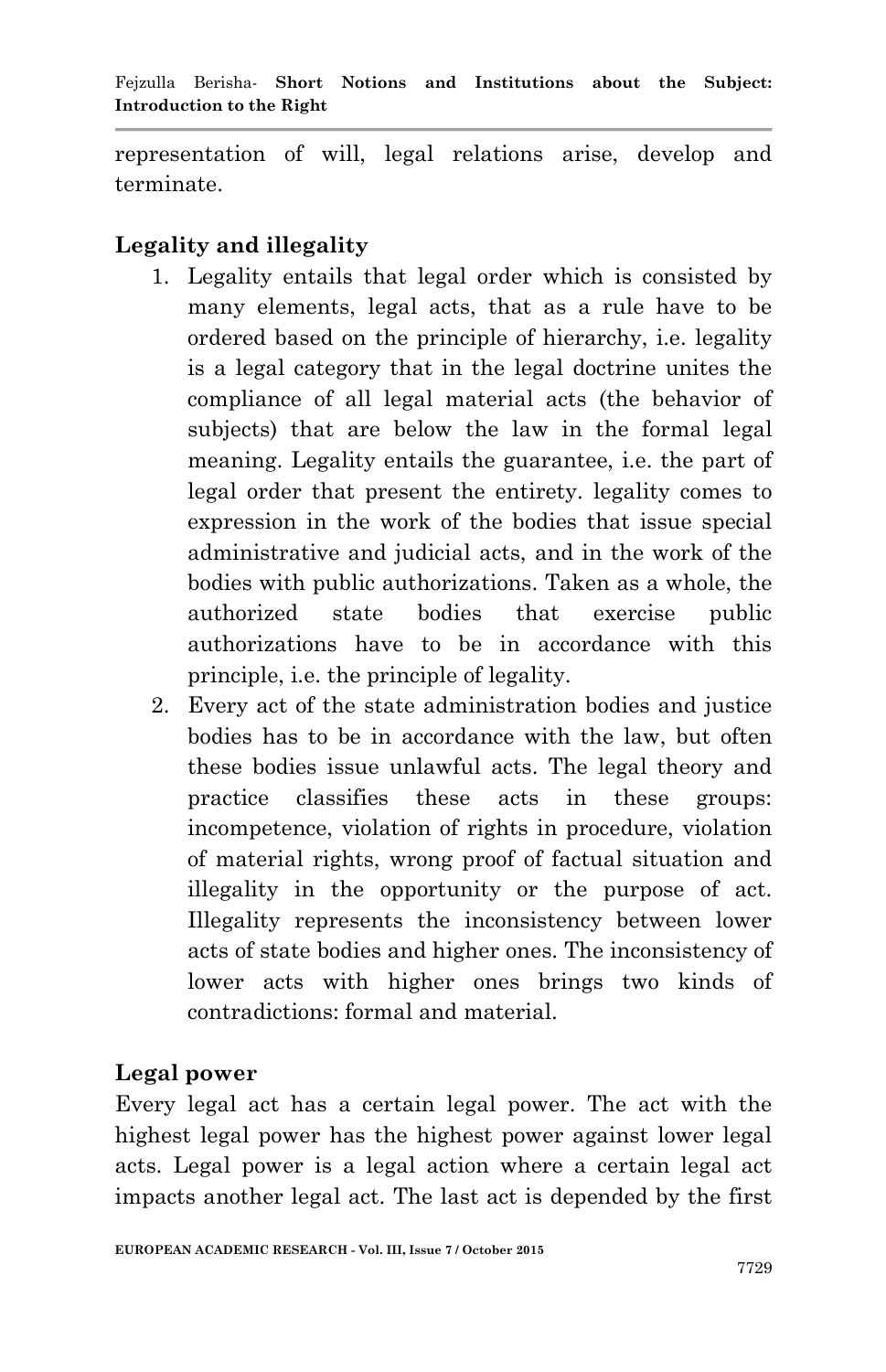representation of will, legal relations arise, develop and terminate.

# **Legality and illegality**

- 1. Legality entails that legal order which is consisted by many elements, legal acts, that as a rule have to be ordered based on the principle of hierarchy, i.e. legality is a legal category that in the legal doctrine unites the compliance of all legal material acts (the behavior of subjects) that are below the law in the formal legal meaning. Legality entails the guarantee, i.e. the part of legal order that present the entirety. legality comes to expression in the work of the bodies that issue special administrative and judicial acts, and in the work of the bodies with public authorizations. Taken as a whole, the authorized state bodies that exercise public authorizations have to be in accordance with this principle, i.e. the principle of legality.
- 2. Every act of the state administration bodies and justice bodies has to be in accordance with the law, but often these bodies issue unlawful acts. The legal theory and practice classifies these acts in these groups: incompetence, violation of rights in procedure, violation of material rights, wrong proof of factual situation and illegality in the opportunity or the purpose of act. Illegality represents the inconsistency between lower acts of state bodies and higher ones. The inconsistency of lower acts with higher ones brings two kinds of contradictions: formal and material.

## **Legal power**

Every legal act has a certain legal power. The act with the highest legal power has the highest power against lower legal acts. Legal power is a legal action where a certain legal act impacts another legal act. The last act is depended by the first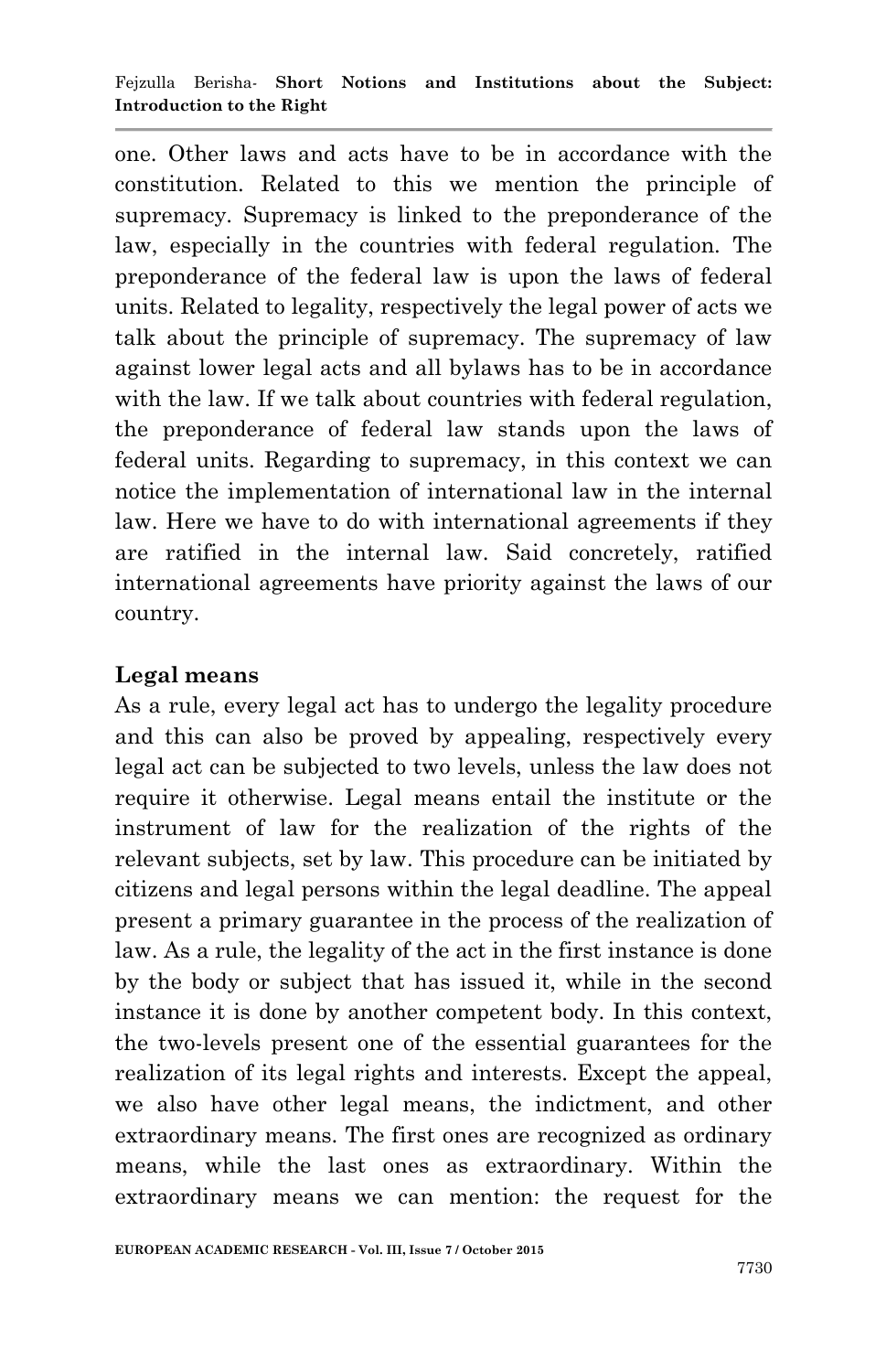one. Other laws and acts have to be in accordance with the constitution. Related to this we mention the principle of supremacy. Supremacy is linked to the preponderance of the law, especially in the countries with federal regulation. The preponderance of the federal law is upon the laws of federal units. Related to legality, respectively the legal power of acts we talk about the principle of supremacy. The supremacy of law against lower legal acts and all bylaws has to be in accordance with the law. If we talk about countries with federal regulation, the preponderance of federal law stands upon the laws of federal units. Regarding to supremacy, in this context we can notice the implementation of international law in the internal law. Here we have to do with international agreements if they are ratified in the internal law. Said concretely, ratified international agreements have priority against the laws of our country.

## **Legal means**

As a rule, every legal act has to undergo the legality procedure and this can also be proved by appealing, respectively every legal act can be subjected to two levels, unless the law does not require it otherwise. Legal means entail the institute or the instrument of law for the realization of the rights of the relevant subjects, set by law. This procedure can be initiated by citizens and legal persons within the legal deadline. The appeal present a primary guarantee in the process of the realization of law. As a rule, the legality of the act in the first instance is done by the body or subject that has issued it, while in the second instance it is done by another competent body. In this context, the two-levels present one of the essential guarantees for the realization of its legal rights and interests. Except the appeal, we also have other legal means, the indictment, and other extraordinary means. The first ones are recognized as ordinary means, while the last ones as extraordinary. Within the extraordinary means we can mention: the request for the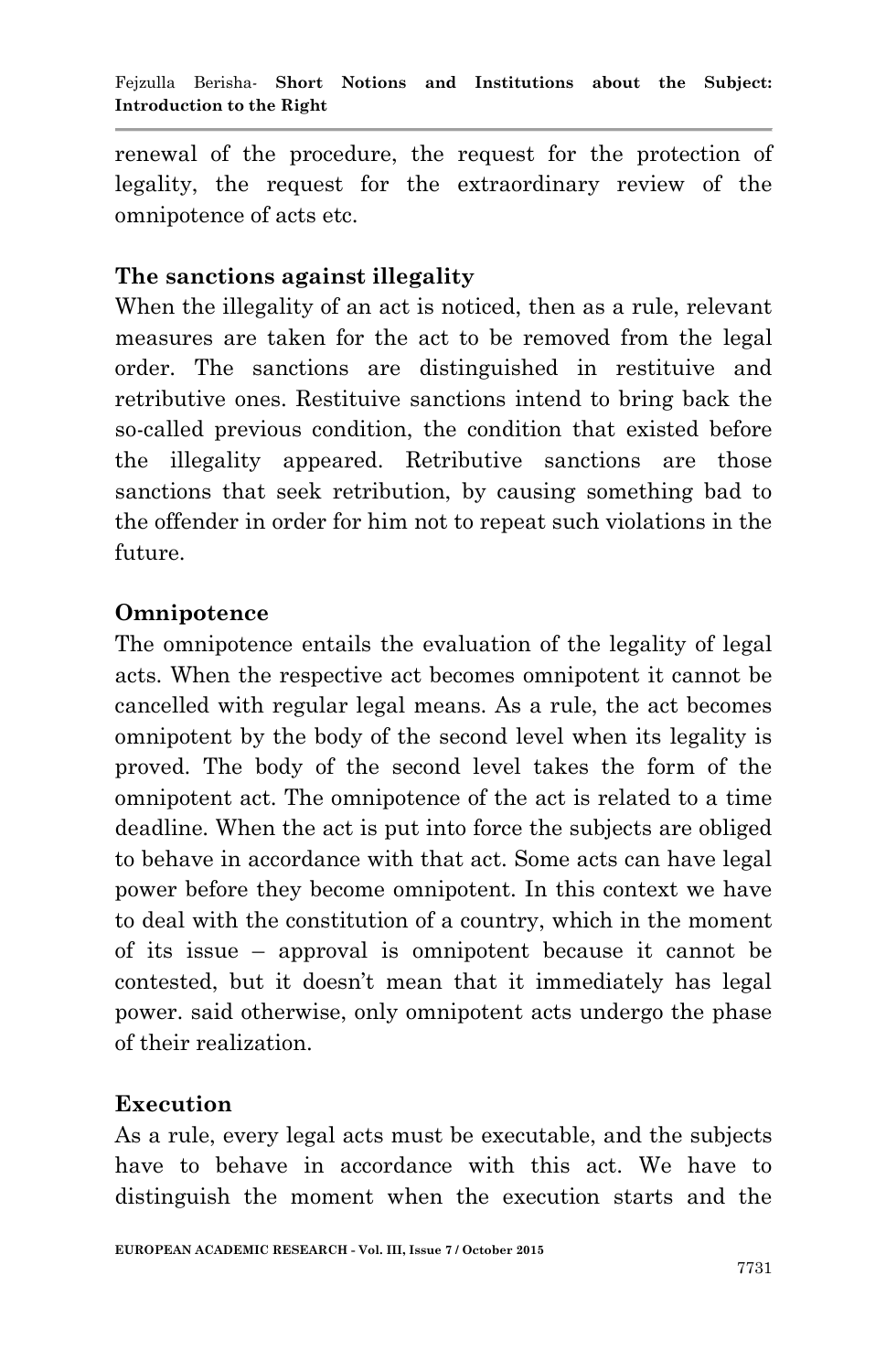renewal of the procedure, the request for the protection of legality, the request for the extraordinary review of the omnipotence of acts etc.

### **The sanctions against illegality**

When the illegality of an act is noticed, then as a rule, relevant measures are taken for the act to be removed from the legal order. The sanctions are distinguished in restituive and retributive ones. Restituive sanctions intend to bring back the so-called previous condition, the condition that existed before the illegality appeared. Retributive sanctions are those sanctions that seek retribution, by causing something bad to the offender in order for him not to repeat such violations in the future.

## **Omnipotence**

The omnipotence entails the evaluation of the legality of legal acts. When the respective act becomes omnipotent it cannot be cancelled with regular legal means. As a rule, the act becomes omnipotent by the body of the second level when its legality is proved. The body of the second level takes the form of the omnipotent act. The omnipotence of the act is related to a time deadline. When the act is put into force the subjects are obliged to behave in accordance with that act. Some acts can have legal power before they become omnipotent. In this context we have to deal with the constitution of a country, which in the moment of its issue – approval is omnipotent because it cannot be contested, but it doesn"t mean that it immediately has legal power. said otherwise, only omnipotent acts undergo the phase of their realization.

### **Execution**

As a rule, every legal acts must be executable, and the subjects have to behave in accordance with this act. We have to distinguish the moment when the execution starts and the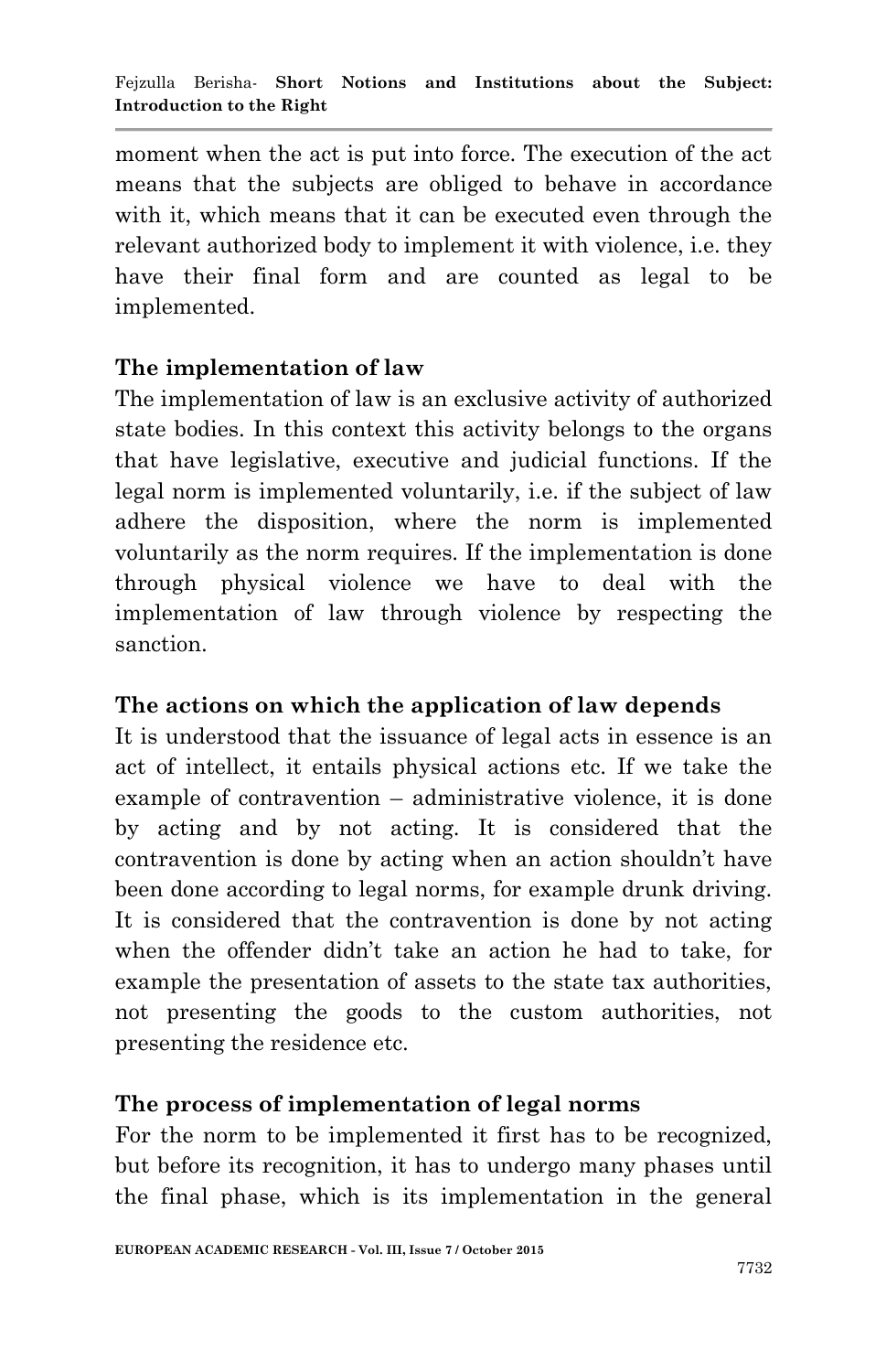moment when the act is put into force. The execution of the act means that the subjects are obliged to behave in accordance with it, which means that it can be executed even through the relevant authorized body to implement it with violence, i.e. they have their final form and are counted as legal to be implemented.

## **The implementation of law**

The implementation of law is an exclusive activity of authorized state bodies. In this context this activity belongs to the organs that have legislative, executive and judicial functions. If the legal norm is implemented voluntarily, i.e. if the subject of law adhere the disposition, where the norm is implemented voluntarily as the norm requires. If the implementation is done through physical violence we have to deal with the implementation of law through violence by respecting the sanction.

### **The actions on which the application of law depends**

It is understood that the issuance of legal acts in essence is an act of intellect, it entails physical actions etc. If we take the example of contravention – administrative violence, it is done by acting and by not acting. It is considered that the contravention is done by acting when an action shouldn"t have been done according to legal norms, for example drunk driving. It is considered that the contravention is done by not acting when the offender didn"t take an action he had to take, for example the presentation of assets to the state tax authorities, not presenting the goods to the custom authorities, not presenting the residence etc.

### **The process of implementation of legal norms**

For the norm to be implemented it first has to be recognized, but before its recognition, it has to undergo many phases until the final phase, which is its implementation in the general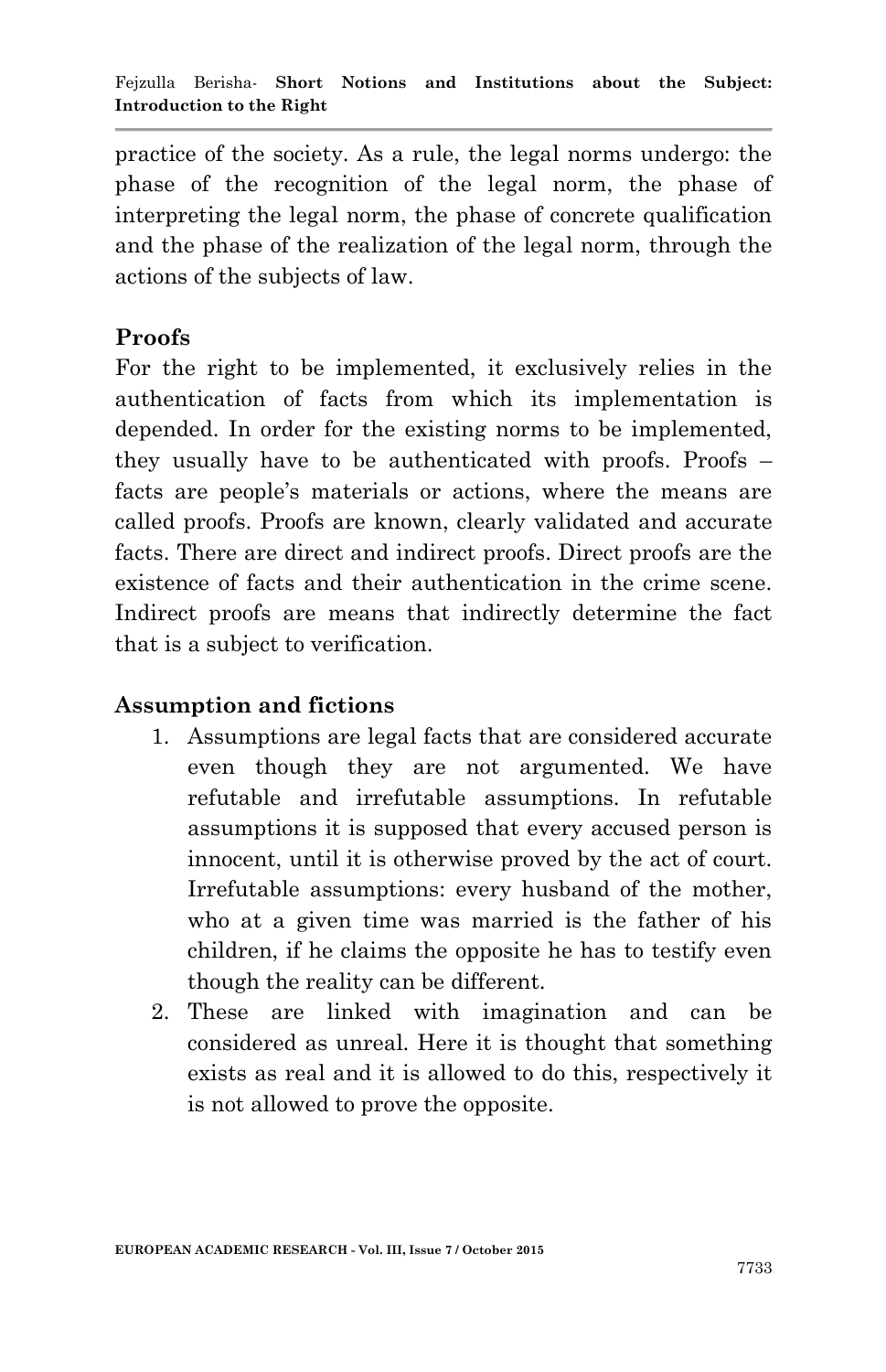practice of the society. As a rule, the legal norms undergo: the phase of the recognition of the legal norm, the phase of interpreting the legal norm, the phase of concrete qualification and the phase of the realization of the legal norm, through the actions of the subjects of law.

# **Proofs**

For the right to be implemented, it exclusively relies in the authentication of facts from which its implementation is depended. In order for the existing norms to be implemented, they usually have to be authenticated with proofs. Proofs – facts are people"s materials or actions, where the means are called proofs. Proofs are known, clearly validated and accurate facts. There are direct and indirect proofs. Direct proofs are the existence of facts and their authentication in the crime scene. Indirect proofs are means that indirectly determine the fact that is a subject to verification.

## **Assumption and fictions**

- 1. Assumptions are legal facts that are considered accurate even though they are not argumented. We have refutable and irrefutable assumptions. In refutable assumptions it is supposed that every accused person is innocent, until it is otherwise proved by the act of court. Irrefutable assumptions: every husband of the mother, who at a given time was married is the father of his children, if he claims the opposite he has to testify even though the reality can be different.
- 2. These are linked with imagination and can be considered as unreal. Here it is thought that something exists as real and it is allowed to do this, respectively it is not allowed to prove the opposite.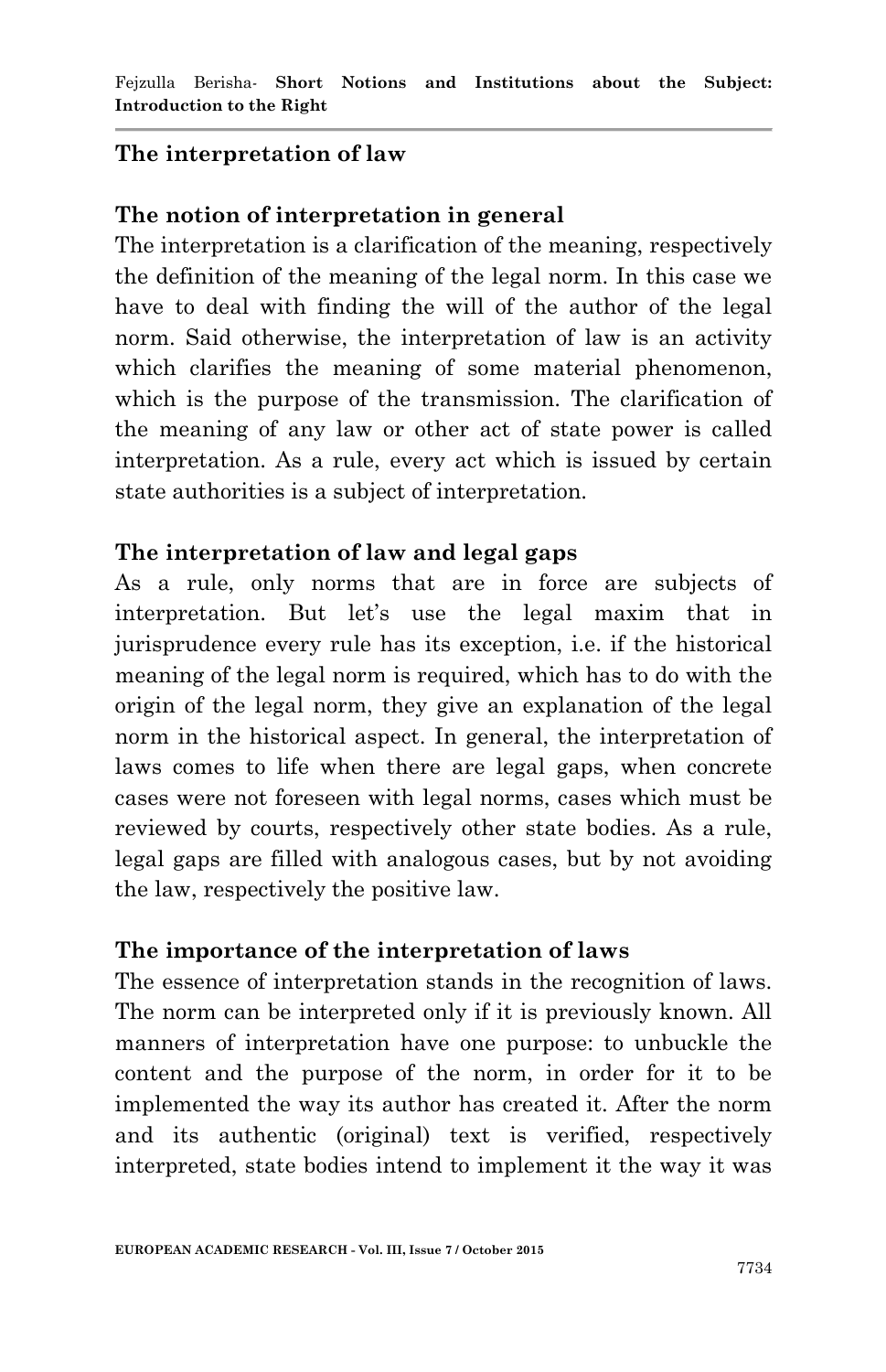## **The interpretation of law**

#### **The notion of interpretation in general**

The interpretation is a clarification of the meaning, respectively the definition of the meaning of the legal norm. In this case we have to deal with finding the will of the author of the legal norm. Said otherwise, the interpretation of law is an activity which clarifies the meaning of some material phenomenon, which is the purpose of the transmission. The clarification of the meaning of any law or other act of state power is called interpretation. As a rule, every act which is issued by certain state authorities is a subject of interpretation.

#### **The interpretation of law and legal gaps**

As a rule, only norms that are in force are subjects of interpretation. But let's use the legal maxim that in jurisprudence every rule has its exception, i.e. if the historical meaning of the legal norm is required, which has to do with the origin of the legal norm, they give an explanation of the legal norm in the historical aspect. In general, the interpretation of laws comes to life when there are legal gaps, when concrete cases were not foreseen with legal norms, cases which must be reviewed by courts, respectively other state bodies. As a rule, legal gaps are filled with analogous cases, but by not avoiding the law, respectively the positive law.

#### **The importance of the interpretation of laws**

The essence of interpretation stands in the recognition of laws. The norm can be interpreted only if it is previously known. All manners of interpretation have one purpose: to unbuckle the content and the purpose of the norm, in order for it to be implemented the way its author has created it. After the norm and its authentic (original) text is verified, respectively interpreted, state bodies intend to implement it the way it was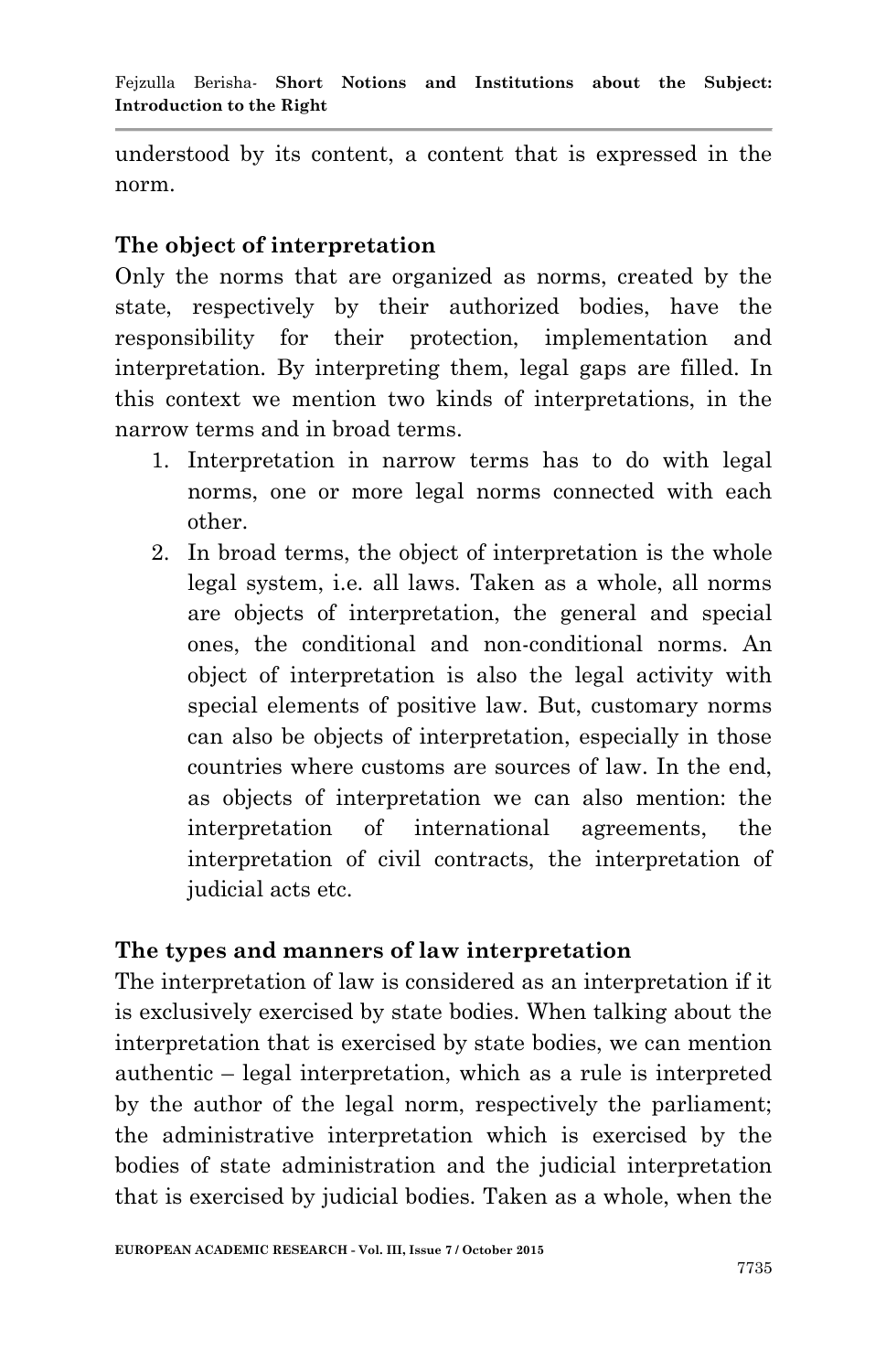understood by its content, a content that is expressed in the norm.

## **The object of interpretation**

Only the norms that are organized as norms, created by the state, respectively by their authorized bodies, have the responsibility for their protection, implementation and interpretation. By interpreting them, legal gaps are filled. In this context we mention two kinds of interpretations, in the narrow terms and in broad terms.

- 1. Interpretation in narrow terms has to do with legal norms, one or more legal norms connected with each other.
- 2. In broad terms, the object of interpretation is the whole legal system, i.e. all laws. Taken as a whole, all norms are objects of interpretation, the general and special ones, the conditional and non-conditional norms. An object of interpretation is also the legal activity with special elements of positive law. But, customary norms can also be objects of interpretation, especially in those countries where customs are sources of law. In the end, as objects of interpretation we can also mention: the interpretation of international agreements, the interpretation of civil contracts, the interpretation of judicial acts etc.

## **The types and manners of law interpretation**

The interpretation of law is considered as an interpretation if it is exclusively exercised by state bodies. When talking about the interpretation that is exercised by state bodies, we can mention authentic – legal interpretation, which as a rule is interpreted by the author of the legal norm, respectively the parliament; the administrative interpretation which is exercised by the bodies of state administration and the judicial interpretation that is exercised by judicial bodies. Taken as a whole, when the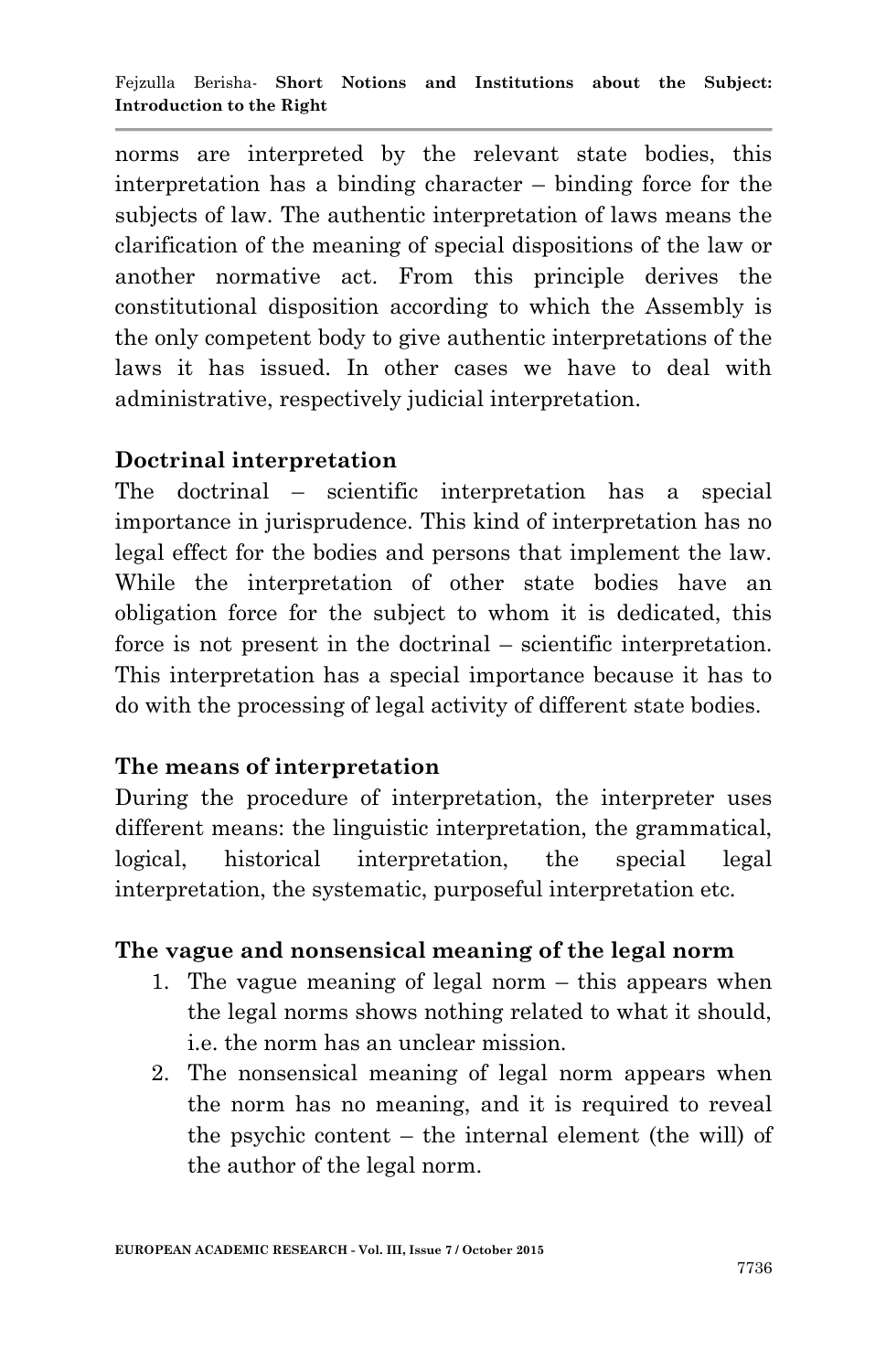norms are interpreted by the relevant state bodies, this interpretation has a binding character – binding force for the subjects of law. The authentic interpretation of laws means the clarification of the meaning of special dispositions of the law or another normative act. From this principle derives the constitutional disposition according to which the Assembly is the only competent body to give authentic interpretations of the laws it has issued. In other cases we have to deal with administrative, respectively judicial interpretation.

### **Doctrinal interpretation**

The doctrinal – scientific interpretation has a special importance in jurisprudence. This kind of interpretation has no legal effect for the bodies and persons that implement the law. While the interpretation of other state bodies have an obligation force for the subject to whom it is dedicated, this force is not present in the doctrinal – scientific interpretation. This interpretation has a special importance because it has to do with the processing of legal activity of different state bodies.

## **The means of interpretation**

During the procedure of interpretation, the interpreter uses different means: the linguistic interpretation, the grammatical, logical, historical interpretation, the special legal interpretation, the systematic, purposeful interpretation etc.

## **The vague and nonsensical meaning of the legal norm**

- 1. The vague meaning of legal norm this appears when the legal norms shows nothing related to what it should, i.e. the norm has an unclear mission.
- 2. The nonsensical meaning of legal norm appears when the norm has no meaning, and it is required to reveal the psychic content – the internal element (the will) of the author of the legal norm.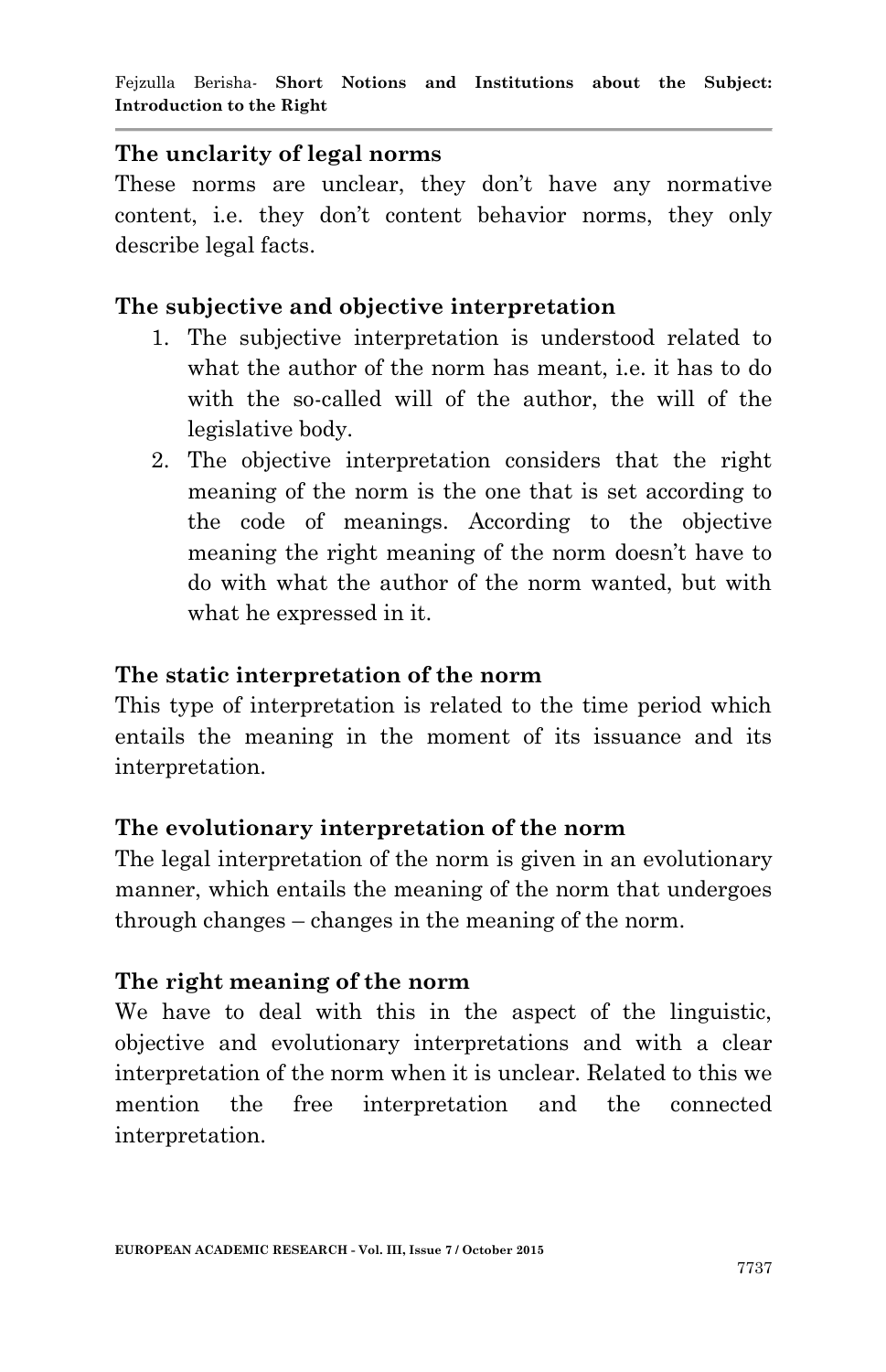#### **The unclarity of legal norms**

These norms are unclear, they don't have any normative content, i.e. they don"t content behavior norms, they only describe legal facts.

#### **The subjective and objective interpretation**

- 1. The subjective interpretation is understood related to what the author of the norm has meant, i.e. it has to do with the so-called will of the author, the will of the legislative body.
- 2. The objective interpretation considers that the right meaning of the norm is the one that is set according to the code of meanings. According to the objective meaning the right meaning of the norm doesn"t have to do with what the author of the norm wanted, but with what he expressed in it.

#### **The static interpretation of the norm**

This type of interpretation is related to the time period which entails the meaning in the moment of its issuance and its interpretation.

#### **The evolutionary interpretation of the norm**

The legal interpretation of the norm is given in an evolutionary manner, which entails the meaning of the norm that undergoes through changes – changes in the meaning of the norm.

#### **The right meaning of the norm**

We have to deal with this in the aspect of the linguistic, objective and evolutionary interpretations and with a clear interpretation of the norm when it is unclear. Related to this we mention the free interpretation and the connected interpretation.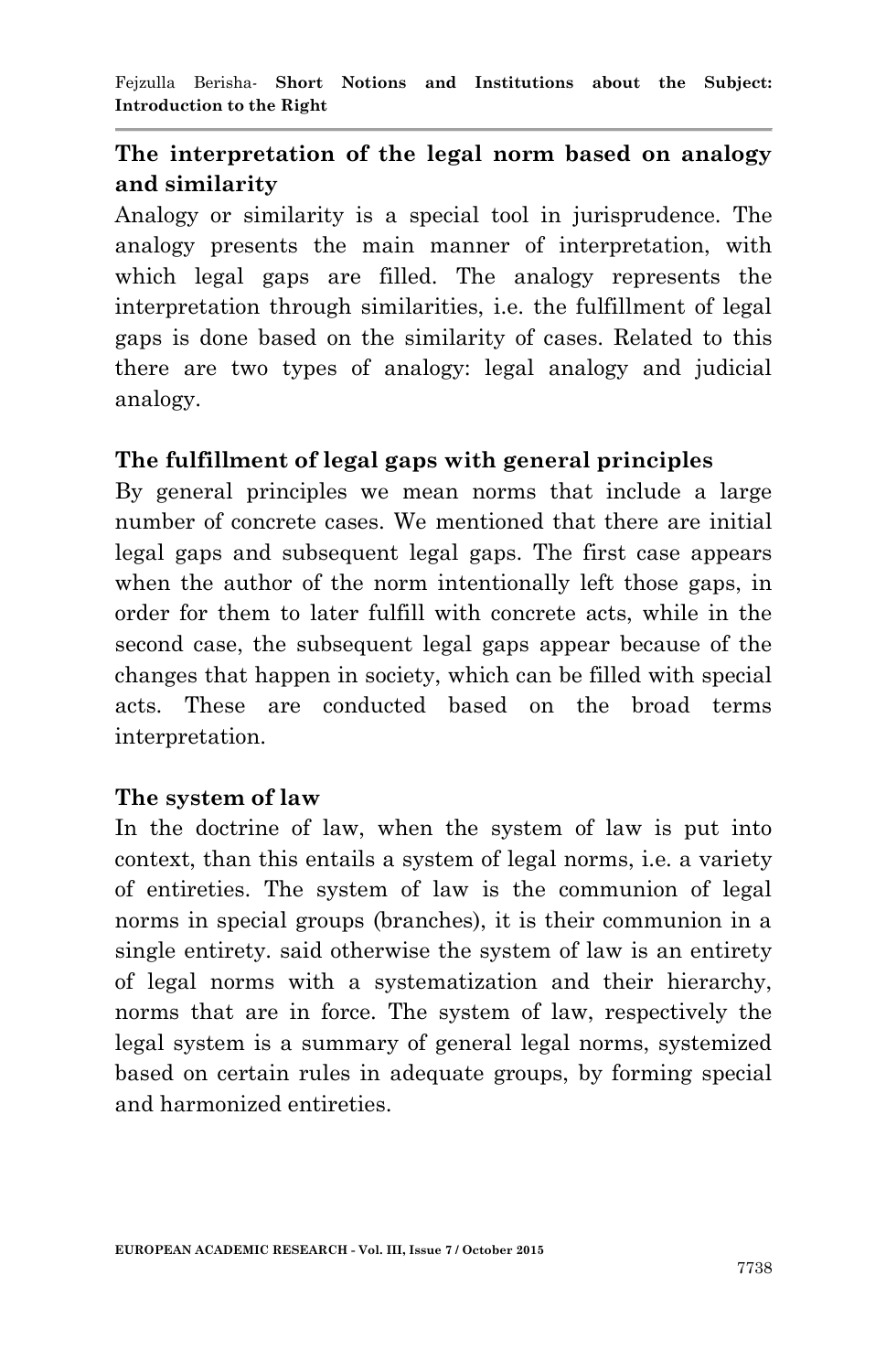# **The interpretation of the legal norm based on analogy and similarity**

Analogy or similarity is a special tool in jurisprudence. The analogy presents the main manner of interpretation, with which legal gaps are filled. The analogy represents the interpretation through similarities, i.e. the fulfillment of legal gaps is done based on the similarity of cases. Related to this there are two types of analogy: legal analogy and judicial analogy.

### **The fulfillment of legal gaps with general principles**

By general principles we mean norms that include a large number of concrete cases. We mentioned that there are initial legal gaps and subsequent legal gaps. The first case appears when the author of the norm intentionally left those gaps, in order for them to later fulfill with concrete acts, while in the second case, the subsequent legal gaps appear because of the changes that happen in society, which can be filled with special acts. These are conducted based on the broad terms interpretation.

### **The system of law**

In the doctrine of law, when the system of law is put into context, than this entails a system of legal norms, i.e. a variety of entireties. The system of law is the communion of legal norms in special groups (branches), it is their communion in a single entirety. said otherwise the system of law is an entirety of legal norms with a systematization and their hierarchy, norms that are in force. The system of law, respectively the legal system is a summary of general legal norms, systemized based on certain rules in adequate groups, by forming special and harmonized entireties.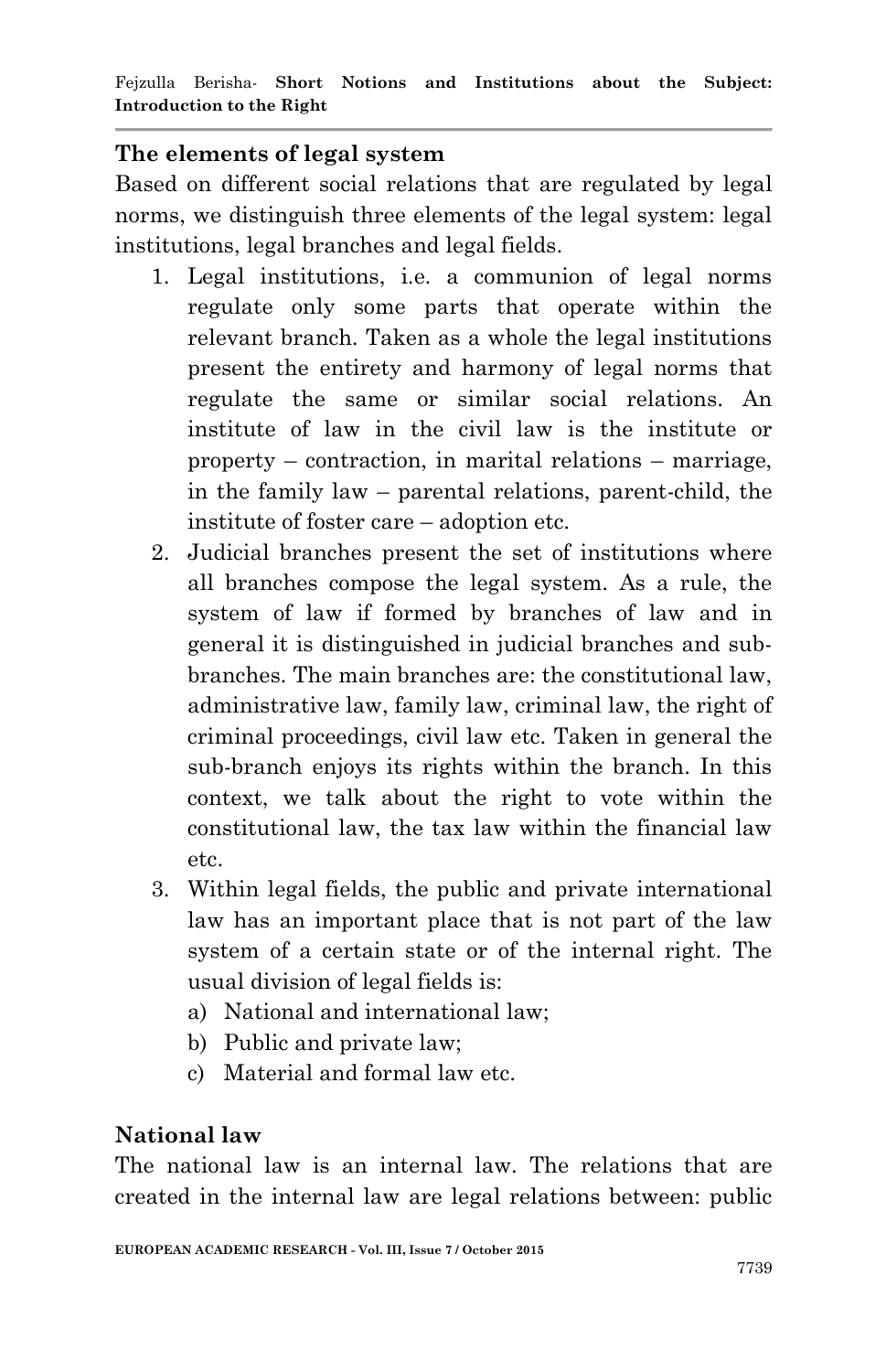## **The elements of legal system**

Based on different social relations that are regulated by legal norms, we distinguish three elements of the legal system: legal institutions, legal branches and legal fields.

- 1. Legal institutions, i.e. a communion of legal norms regulate only some parts that operate within the relevant branch. Taken as a whole the legal institutions present the entirety and harmony of legal norms that regulate the same or similar social relations. An institute of law in the civil law is the institute or property – contraction, in marital relations – marriage, in the family law – parental relations, parent-child, the institute of foster care – adoption etc.
- 2. Judicial branches present the set of institutions where all branches compose the legal system. As a rule, the system of law if formed by branches of law and in general it is distinguished in judicial branches and subbranches. The main branches are: the constitutional law, administrative law, family law, criminal law, the right of criminal proceedings, civil law etc. Taken in general the sub-branch enjoys its rights within the branch. In this context, we talk about the right to vote within the constitutional law, the tax law within the financial law etc.
- 3. Within legal fields, the public and private international law has an important place that is not part of the law system of a certain state or of the internal right. The usual division of legal fields is:
	- a) National and international law;
	- b) Public and private law;
	- c) Material and formal law etc.

## **National law**

The national law is an internal law. The relations that are created in the internal law are legal relations between: public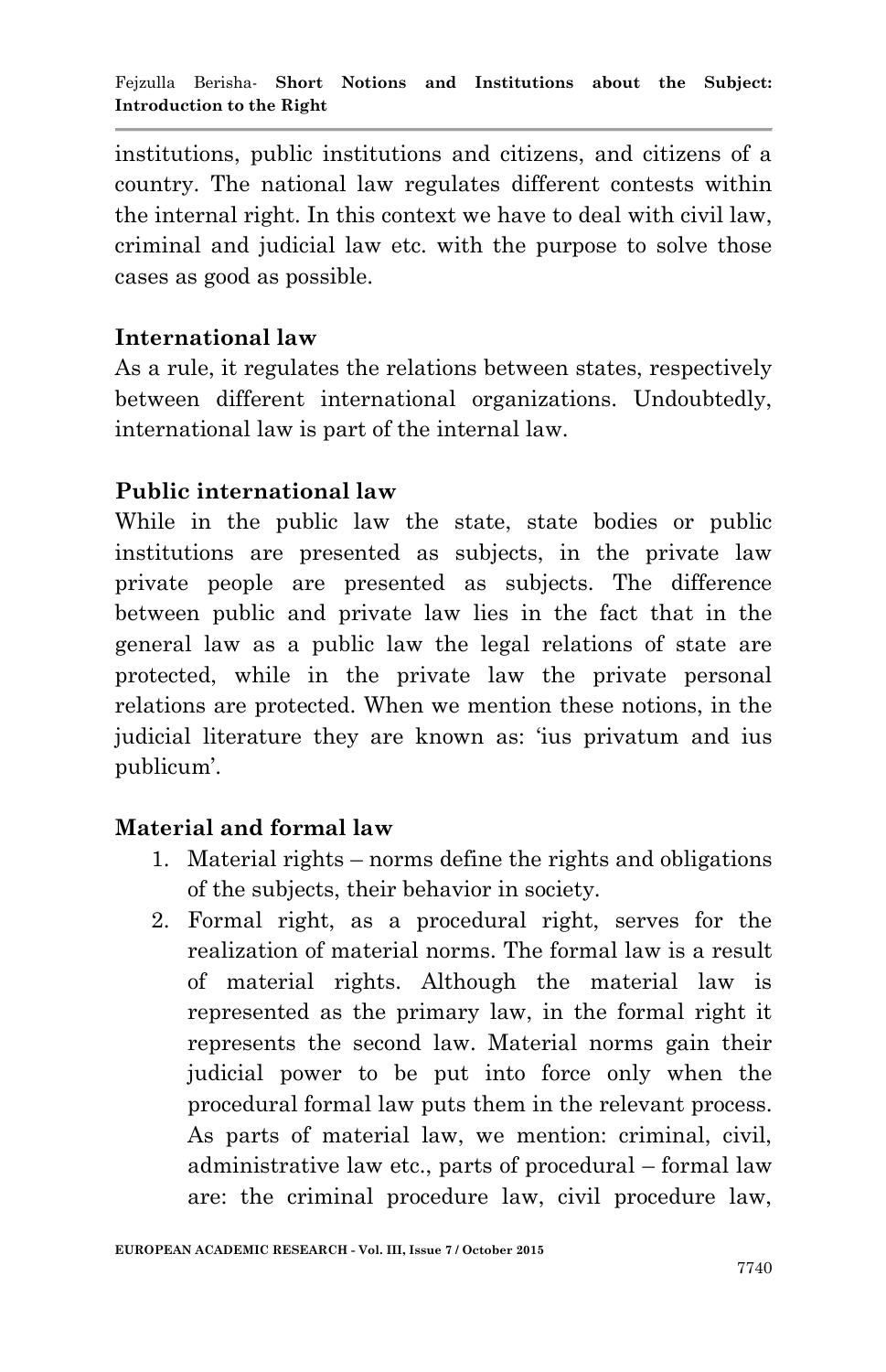institutions, public institutions and citizens, and citizens of a country. The national law regulates different contests within the internal right. In this context we have to deal with civil law, criminal and judicial law etc. with the purpose to solve those cases as good as possible.

## **International law**

As a rule, it regulates the relations between states, respectively between different international organizations. Undoubtedly, international law is part of the internal law.

## **Public international law**

While in the public law the state, state bodies or public institutions are presented as subjects, in the private law private people are presented as subjects. The difference between public and private law lies in the fact that in the general law as a public law the legal relations of state are protected, while in the private law the private personal relations are protected. When we mention these notions, in the judicial literature they are known as: "ius privatum and ius publicum'.

## **Material and formal law**

- 1. Material rights norms define the rights and obligations of the subjects, their behavior in society.
- 2. Formal right, as a procedural right, serves for the realization of material norms. The formal law is a result of material rights. Although the material law is represented as the primary law, in the formal right it represents the second law. Material norms gain their judicial power to be put into force only when the procedural formal law puts them in the relevant process. As parts of material law, we mention: criminal, civil, administrative law etc., parts of procedural – formal law are: the criminal procedure law, civil procedure law,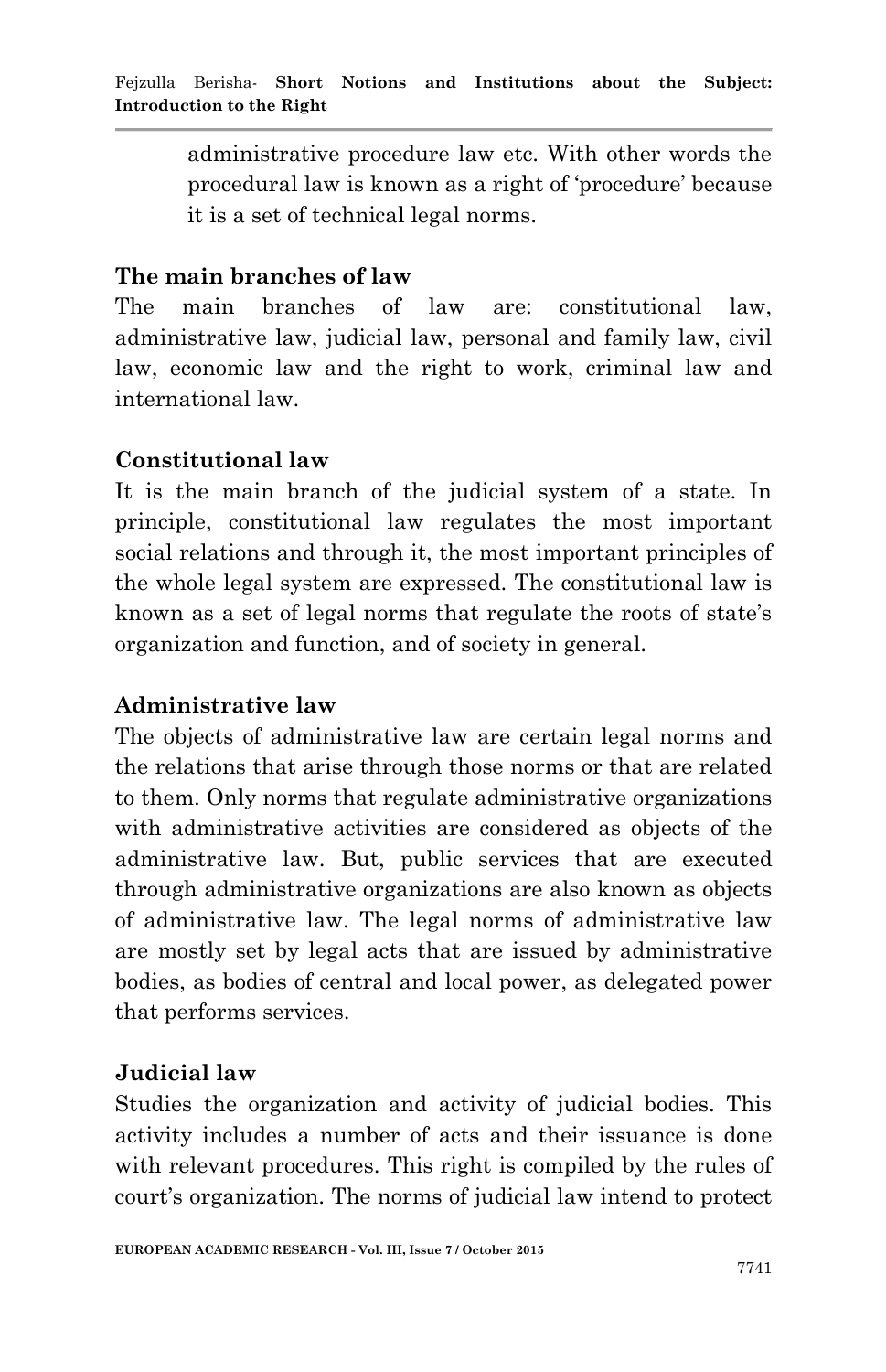administrative procedure law etc. With other words the procedural law is known as a right of "procedure" because it is a set of technical legal norms.

### **The main branches of law**

The main branches of law are: constitutional law, administrative law, judicial law, personal and family law, civil law, economic law and the right to work, criminal law and international law.

### **Constitutional law**

It is the main branch of the judicial system of a state. In principle, constitutional law regulates the most important social relations and through it, the most important principles of the whole legal system are expressed. The constitutional law is known as a set of legal norms that regulate the roots of state"s organization and function, and of society in general.

### **Administrative law**

The objects of administrative law are certain legal norms and the relations that arise through those norms or that are related to them. Only norms that regulate administrative organizations with administrative activities are considered as objects of the administrative law. But, public services that are executed through administrative organizations are also known as objects of administrative law. The legal norms of administrative law are mostly set by legal acts that are issued by administrative bodies, as bodies of central and local power, as delegated power that performs services.

### **Judicial law**

Studies the organization and activity of judicial bodies. This activity includes a number of acts and their issuance is done with relevant procedures. This right is compiled by the rules of court's organization. The norms of judicial law intend to protect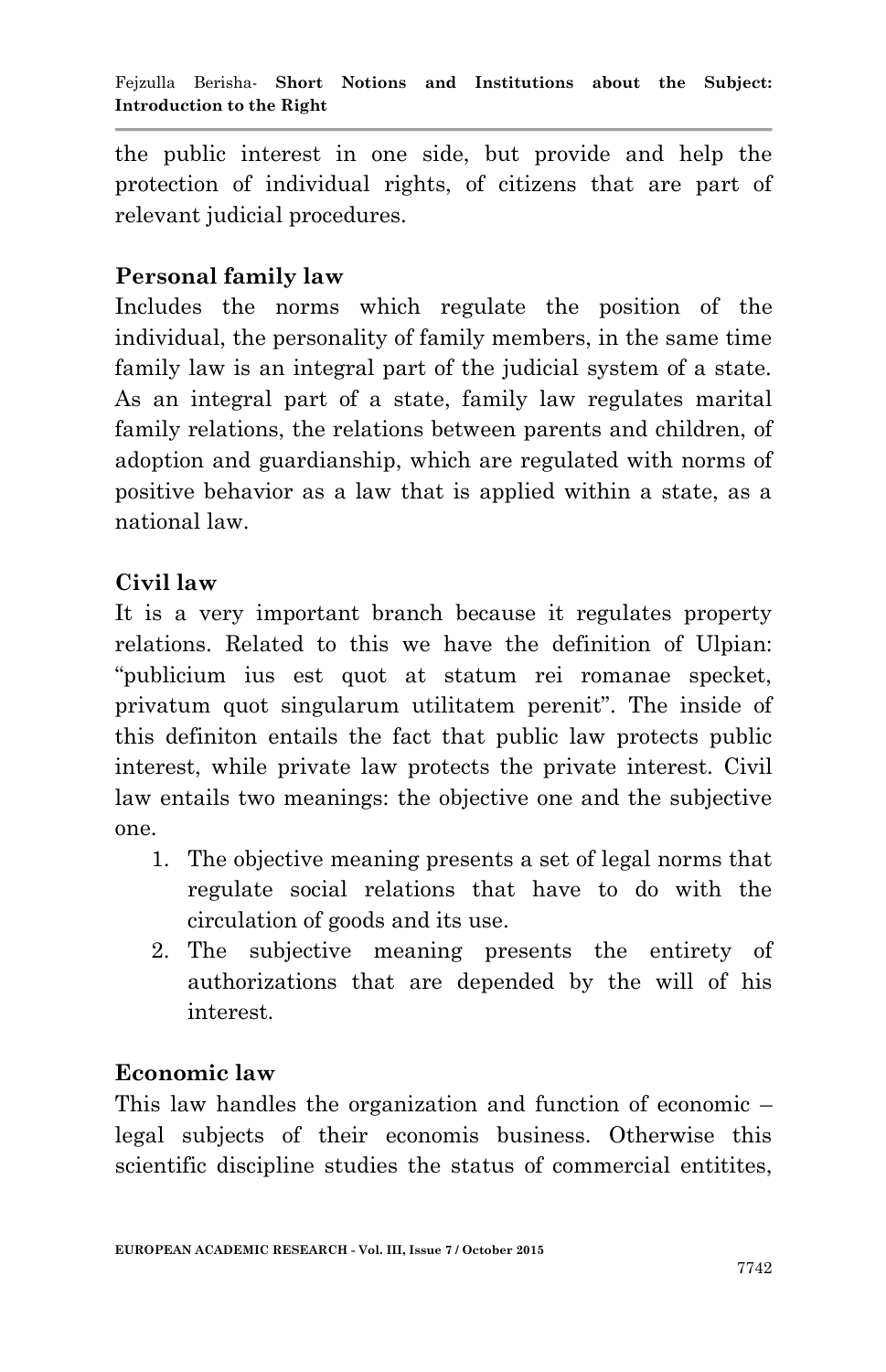the public interest in one side, but provide and help the protection of individual rights, of citizens that are part of relevant judicial procedures.

# **Personal family law**

Includes the norms which regulate the position of the individual, the personality of family members, in the same time family law is an integral part of the judicial system of a state. As an integral part of a state, family law regulates marital family relations, the relations between parents and children, of adoption and guardianship, which are regulated with norms of positive behavior as a law that is applied within a state, as a national law.

## **Civil law**

It is a very important branch because it regulates property relations. Related to this we have the definition of Ulpian: "publicium ius est quot at statum rei romanae specket, privatum quot singularum utilitatem perenit". The inside of this definiton entails the fact that public law protects public interest, while private law protects the private interest. Civil law entails two meanings: the objective one and the subjective one.

- 1. The objective meaning presents a set of legal norms that regulate social relations that have to do with the circulation of goods and its use.
- 2. The subjective meaning presents the entirety of authorizations that are depended by the will of his interest.

## **Economic law**

This law handles the organization and function of economic – legal subjects of their economis business. Otherwise this scientific discipline studies the status of commercial entitites,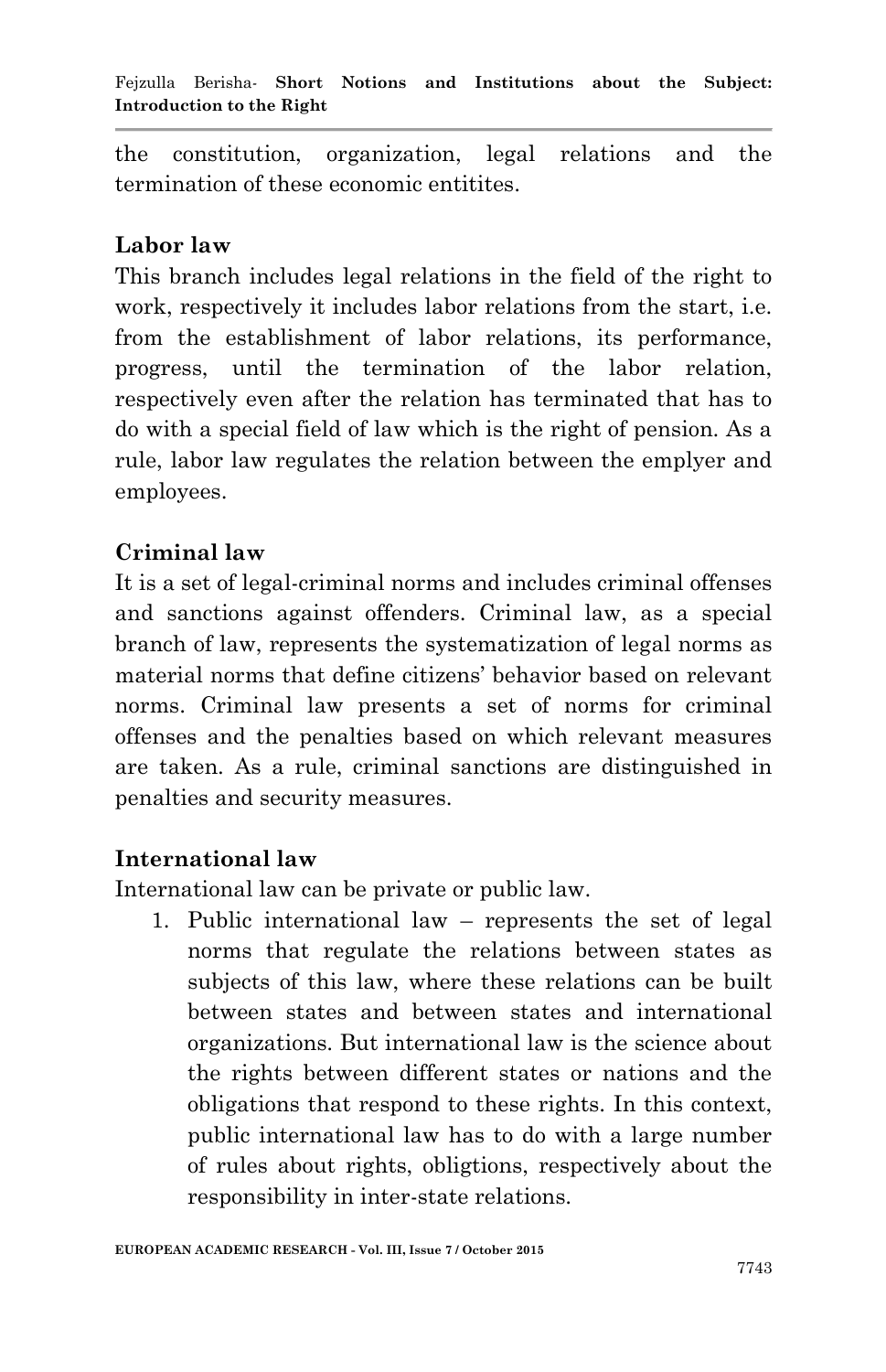Fejzulla Berisha*-* **Short Notions and Institutions about the Subject: Introduction to the Right**

the constitution, organization, legal relations and the termination of these economic entitites.

### **Labor law**

This branch includes legal relations in the field of the right to work, respectively it includes labor relations from the start, i.e. from the establishment of labor relations, its performance, progress, until the termination of the labor relation, respectively even after the relation has terminated that has to do with a special field of law which is the right of pension. As a rule, labor law regulates the relation between the emplyer and employees.

## **Criminal law**

It is a set of legal-criminal norms and includes criminal offenses and sanctions against offenders. Criminal law, as a special branch of law, represents the systematization of legal norms as material norms that define citizens" behavior based on relevant norms. Criminal law presents a set of norms for criminal offenses and the penalties based on which relevant measures are taken. As a rule, criminal sanctions are distinguished in penalties and security measures.

### **International law**

International law can be private or public law.

1. Public international law – represents the set of legal norms that regulate the relations between states as subjects of this law, where these relations can be built between states and between states and international organizations. But international law is the science about the rights between different states or nations and the obligations that respond to these rights. In this context, public international law has to do with a large number of rules about rights, obligtions, respectively about the responsibility in inter-state relations.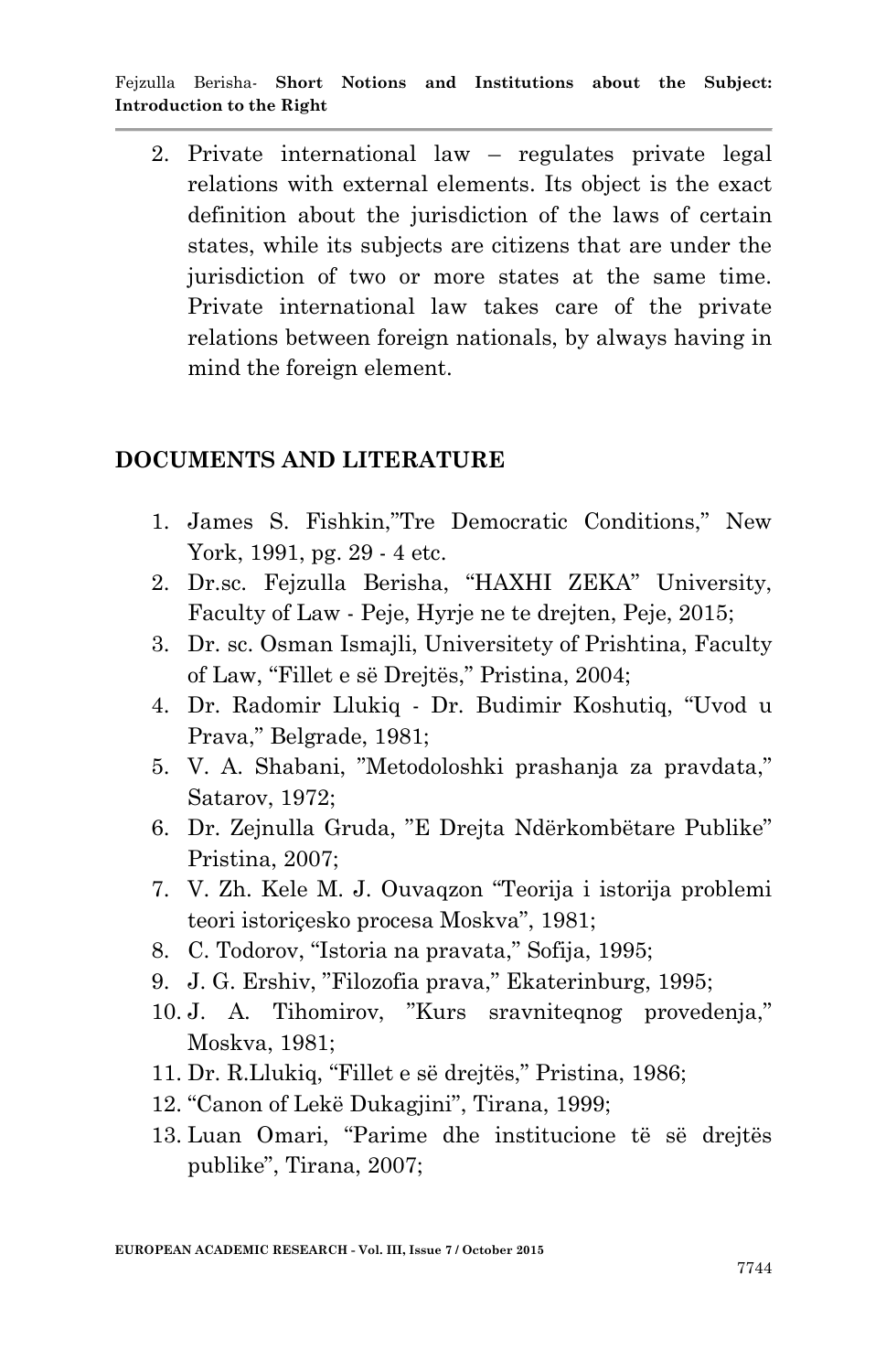2. Private international law – regulates private legal relations with external elements. Its object is the exact definition about the jurisdiction of the laws of certain states, while its subjects are citizens that are under the jurisdiction of two or more states at the same time. Private international law takes care of the private relations between foreign nationals, by always having in mind the foreign element.

#### **DOCUMENTS AND LITERATURE**

- 1. James S. Fishkin,"Tre Democratic Conditions," New York, 1991, pg. 29 - 4 etc.
- 2. Dr.sc. Fejzulla Berisha, "HAXHI ZEKA" University, Faculty of Law - Peje, Hyrje ne te drejten, Peje, 2015;
- 3. Dr. sc. Osman Ismajli, Universitety of Prishtina, Faculty of Law, "Fillet e së Drejtës," Pristina, 2004;
- 4. Dr. Radomir Llukiq Dr. Budimir Koshutiq, "Uvod u Prava," Belgrade, 1981;
- 5. V. A. Shabani, "Metodoloshki prashanja za pravdata," Satarov, 1972;
- 6. Dr. Zejnulla Gruda, "E Drejta Ndërkombëtare Publike" Pristina, 2007;
- 7. V. Zh. Kele M. J. Ouvaqzon "Teorija i istorija problemi teori istoriçesko procesa Moskva", 1981;
- 8. C. Todorov, "Istoria na pravata," Sofija, 1995;
- 9. J. G. Ershiv, "Filozofia prava," Ekaterinburg, 1995;
- 10. J. A. Tihomirov, "Kurs sravniteqnog provedenja," Moskva, 1981;
- 11. Dr. R.Llukiq, "Fillet e së drejtës," Pristina, 1986;
- 12. "Canon of Lekë Dukagjini", Tirana, 1999;
- 13. Luan Omari, "Parime dhe institucione të së drejtës publike", Tirana, 2007;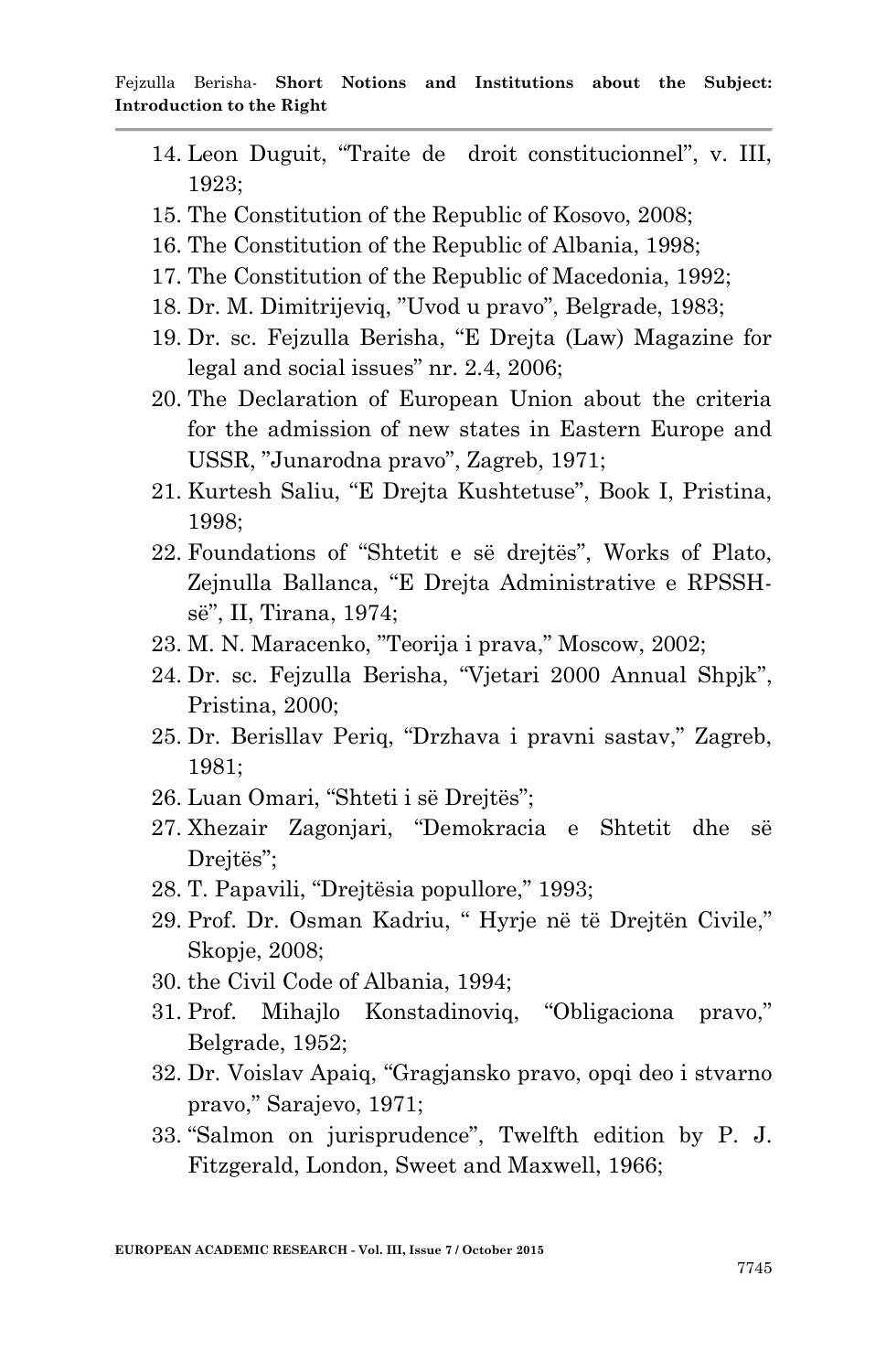- 14. Leon Duguit, "Traite de droit constitucionnel", v. III, 1923;
- 15. The Constitution of the Republic of Kosovo, 2008;
- 16. The Constitution of the Republic of Albania, 1998;
- 17. The Constitution of the Republic of Macedonia, 1992;
- 18. Dr. M. Dimitrijeviq, "Uvod u pravo", Belgrade, 1983;
- 19. Dr. sc. Fejzulla Berisha, "E Drejta (Law) Magazine for legal and social issues" nr. 2.4, 2006;
- 20. The Declaration of European Union about the criteria for the admission of new states in Eastern Europe and USSR, "Junarodna pravo", Zagreb, 1971;
- 21. Kurtesh Saliu, "E Drejta Kushtetuse", Book I, Pristina, 1998;
- 22. Foundations of "Shtetit e së drejtës", Works of Plato, Zejnulla Ballanca, "E Drejta Administrative e RPSSHsë", II, Tirana, 1974;
- 23. M. N. Maracenko, "Teorija i prava," Moscow, 2002;
- 24. Dr. sc. Fejzulla Berisha, "Vjetari 2000 Annual Shpjk", Pristina, 2000;
- 25. Dr. Berisllav Periq, "Drzhava i pravni sastav," Zagreb, 1981;
- 26. Luan Omari, "Shteti i së Drejtës";
- 27. Xhezair Zagonjari, "Demokracia e Shtetit dhe së Drejtës";
- 28. T. Papavili, "Drejtësia popullore," 1993;
- 29. Prof. Dr. Osman Kadriu, " Hyrje në të Drejtën Civile," Skopje, 2008;
- 30. the Civil Code of Albania, 1994;
- 31. Prof. Mihajlo Konstadinoviq, "Obligaciona pravo," Belgrade, 1952;
- 32. Dr. Voislav Apaiq, "Gragjansko pravo, opqi deo i stvarno pravo," Sarajevo, 1971;
- 33. "Salmon on jurisprudence", Twelfth edition by P. J. Fitzgerald, London, Sweet and Maxwell, 1966;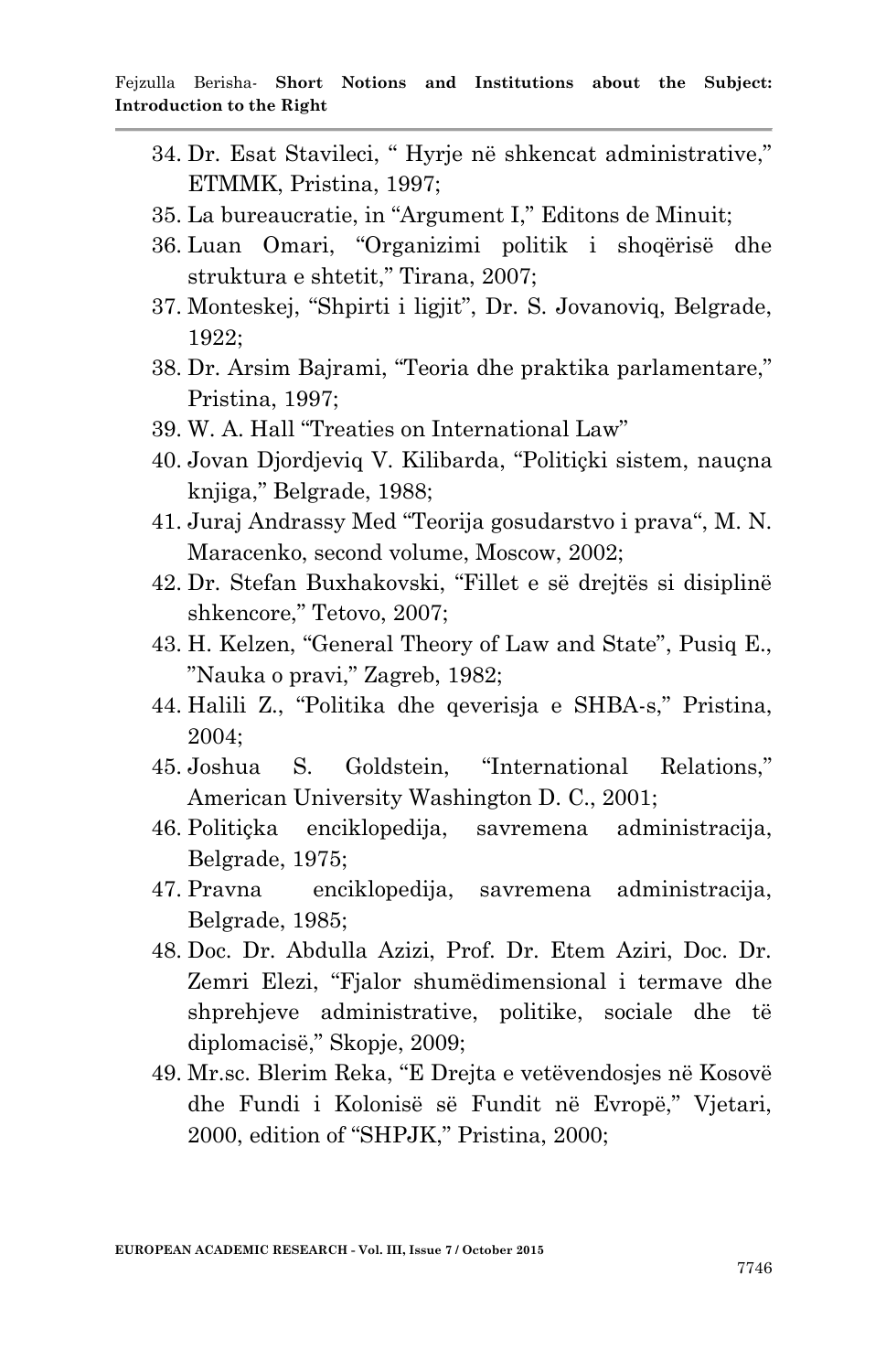- 34. Dr. Esat Stavileci, " Hyrje në shkencat administrative," ETMMK, Pristina, 1997;
- 35. La bureaucratie, in "Argument I," Editons de Minuit;
- 36. Luan Omari, "Organizimi politik i shoqërisë dhe struktura e shtetit," Tirana, 2007;
- 37. Monteskej, "Shpirti i ligjit", Dr. S. Jovanoviq, Belgrade, 1922;
- 38. Dr. Arsim Bajrami, "Teoria dhe praktika parlamentare," Pristina, 1997;
- 39. W. A. Hall "Treaties on International Law"
- 40. Jovan Djordjeviq V. Kilibarda, "Politiçki sistem, nauçna knjiga," Belgrade, 1988;
- 41. Juraj Andrassy Med "Teorija gosudarstvo i prava", M. N. Maracenko, second volume, Moscow, 2002;
- 42. Dr. Stefan Buxhakovski, "Fillet e së drejtës si disiplinë shkencore," Tetovo, 2007;
- 43. H. Kelzen, "General Theory of Law and State", Pusiq E., "Nauka o pravi," Zagreb, 1982;
- 44. Halili Z., "Politika dhe qeverisja e SHBA-s," Pristina, 2004;
- 45. Joshua S. Goldstein, "International Relations," American University Washington D. C., 2001;
- 46. Politiçka enciklopedija, savremena administracija, Belgrade, 1975;
- 47. Pravna enciklopedija, savremena administracija, Belgrade, 1985;
- 48. Doc. Dr. Abdulla Azizi, Prof. Dr. Etem Aziri, Doc. Dr. Zemri Elezi, "Fjalor shumëdimensional i termave dhe shprehjeve administrative, politike, sociale dhe të diplomacisë," Skopje, 2009;
- 49. Mr.sc. Blerim Reka, "E Drejta e vetëvendosjes në Kosovë dhe Fundi i Kolonisë së Fundit në Evropë," Vjetari, 2000, edition of "SHPJK," Pristina, 2000;